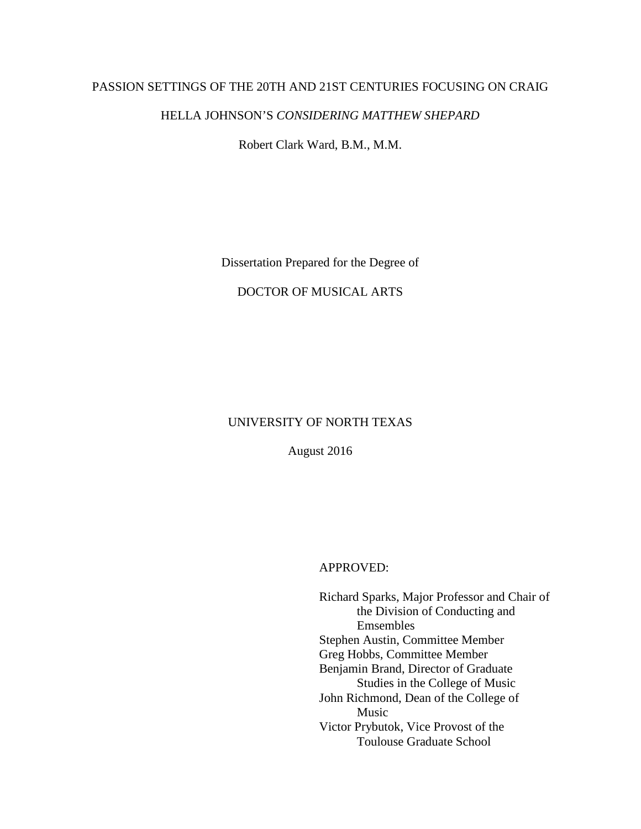## PASSION SETTINGS OF THE 20TH AND 21ST CENTURIES FOCUSING ON CRAIG

## HELLA JOHNSON'S *CONSIDERING MATTHEW SHEPARD*

Robert Clark Ward, B.M., M.M.

Dissertation Prepared for the Degree of

## DOCTOR OF MUSICAL ARTS

# UNIVERSITY OF NORTH TEXAS

August 2016

### APPROVED:

Richard Sparks, Major Professor and Chair of the Division of Conducting and Emsembles Stephen Austin, Committee Member Greg Hobbs, Committee Member Benjamin Brand, Director of Graduate Studies in the College of Music John Richmond, Dean of the College of Music Victor Prybutok, Vice Provost of the Toulouse Graduate School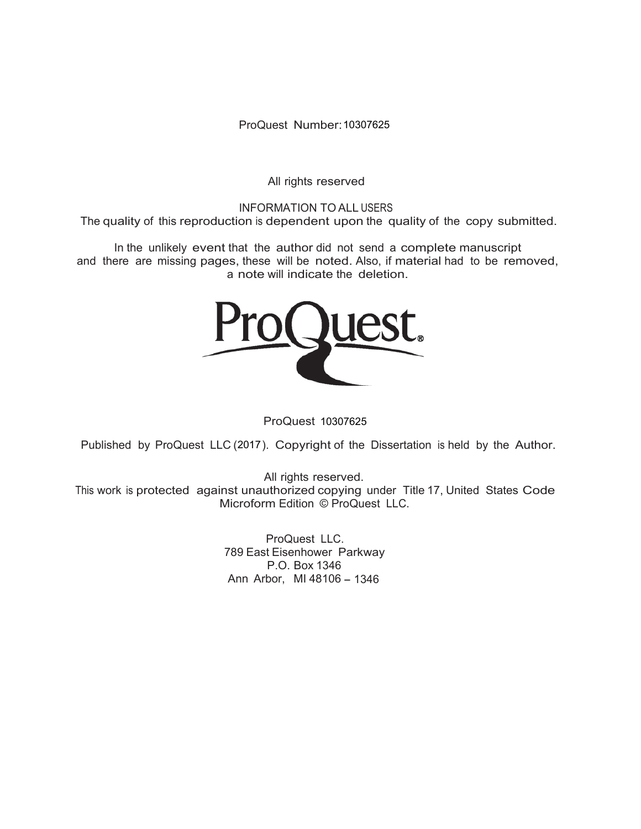ProQuest Number: 10307625

All rights reserved

INFORMATION TO ALL USERS The quality of this reproduction is dependent upon the quality of the copy submitted.

In the unlikely event that the author did not send a complete manuscript and there are missing pages, these will be noted. Also, if material had to be removed, a note will indicate the deletion.



ProQuest 10307625

Published by ProQuest LLC (2017). Copyright of the Dissertation is held by the Author.

All rights reserved. This work is protected against unauthorized copying under Title 17, United States Code Microform Edition © ProQuest LLC.

> ProQuest LLC. 789 East Eisenhower Parkway P.O. Box 1346 Ann Arbor, MI 48106 - 1346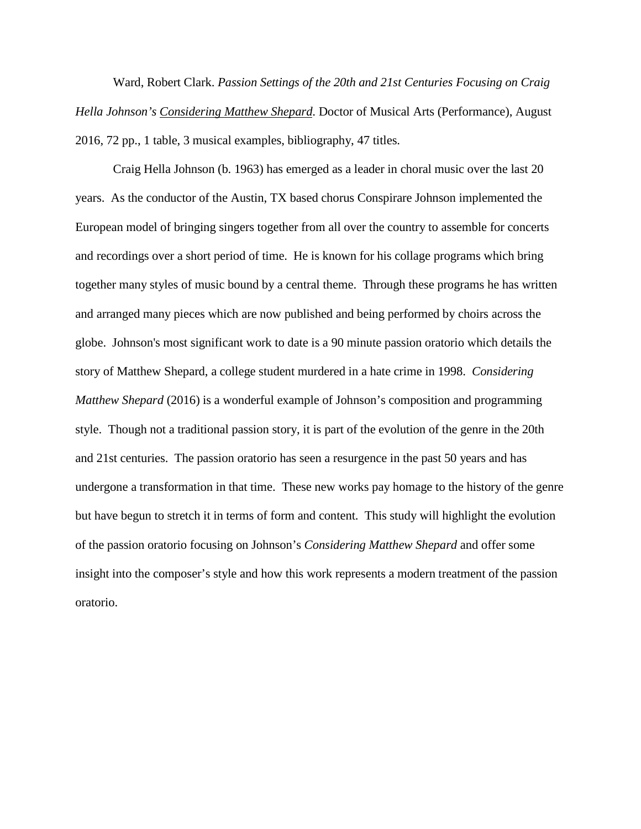Ward, Robert Clark. *Passion Settings of the 20th and 21st Centuries Focusing on Craig Hella Johnson's Considering Matthew Shepard*. Doctor of Musical Arts (Performance), August 2016, 72 pp., 1 table, 3 musical examples, bibliography, 47 titles.

Craig Hella Johnson (b. 1963) has emerged as a leader in choral music over the last 20 years. As the conductor of the Austin, TX based chorus Conspirare Johnson implemented the European model of bringing singers together from all over the country to assemble for concerts and recordings over a short period of time. He is known for his collage programs which bring together many styles of music bound by a central theme. Through these programs he has written and arranged many pieces which are now published and being performed by choirs across the globe. Johnson's most significant work to date is a 90 minute passion oratorio which details the story of Matthew Shepard, a college student murdered in a hate crime in 1998. *Considering Matthew Shepard* (2016) is a wonderful example of Johnson's composition and programming style. Though not a traditional passion story, it is part of the evolution of the genre in the 20th and 21st centuries. The passion oratorio has seen a resurgence in the past 50 years and has undergone a transformation in that time. These new works pay homage to the history of the genre but have begun to stretch it in terms of form and content. This study will highlight the evolution of the passion oratorio focusing on Johnson's *Considering Matthew Shepard* and offer some insight into the composer's style and how this work represents a modern treatment of the passion oratorio.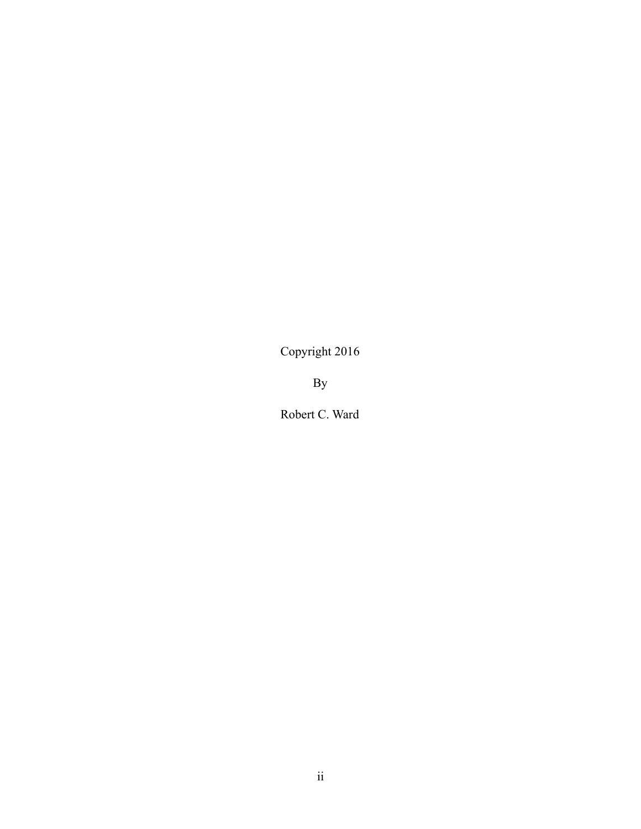Copyright 2016

By

Robert C. Ward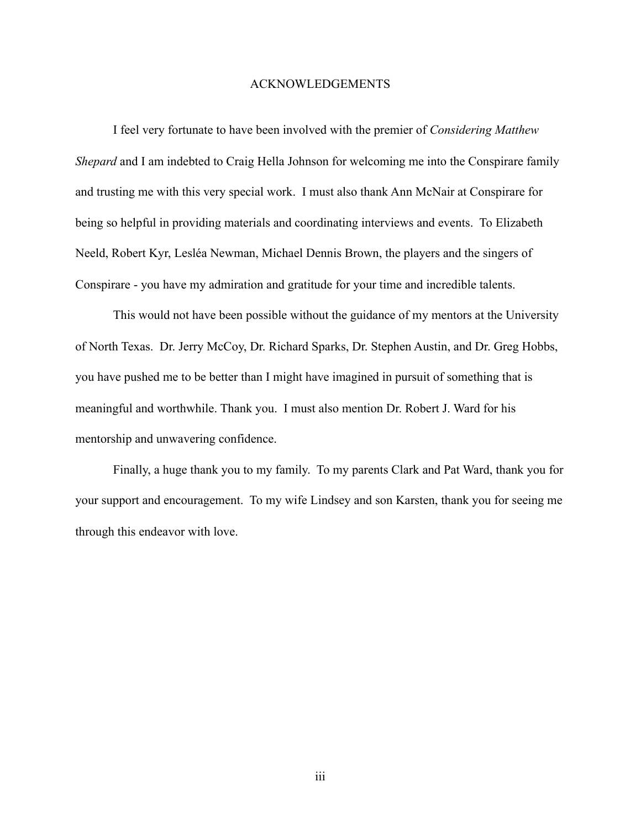#### ACKNOWLEDGEMENTS

 I feel very fortunate to have been involved with the premier of *Considering Matthew Shepard* and I am indebted to Craig Hella Johnson for welcoming me into the Conspirare family and trusting me with this very special work. I must also thank Ann McNair at Conspirare for being so helpful in providing materials and coordinating interviews and events. To Elizabeth Neeld, Robert Kyr, Lesléa Newman, Michael Dennis Brown, the players and the singers of Conspirare - you have my admiration and gratitude for your time and incredible talents.

 This would not have been possible without the guidance of my mentors at the University of North Texas. Dr. Jerry McCoy, Dr. Richard Sparks, Dr. Stephen Austin, and Dr. Greg Hobbs, you have pushed me to be better than I might have imagined in pursuit of something that is meaningful and worthwhile. Thank you. I must also mention Dr. Robert J. Ward for his mentorship and unwavering confidence.

 Finally, a huge thank you to my family. To my parents Clark and Pat Ward, thank you for your support and encouragement. To my wife Lindsey and son Karsten, thank you for seeing me through this endeavor with love.

iii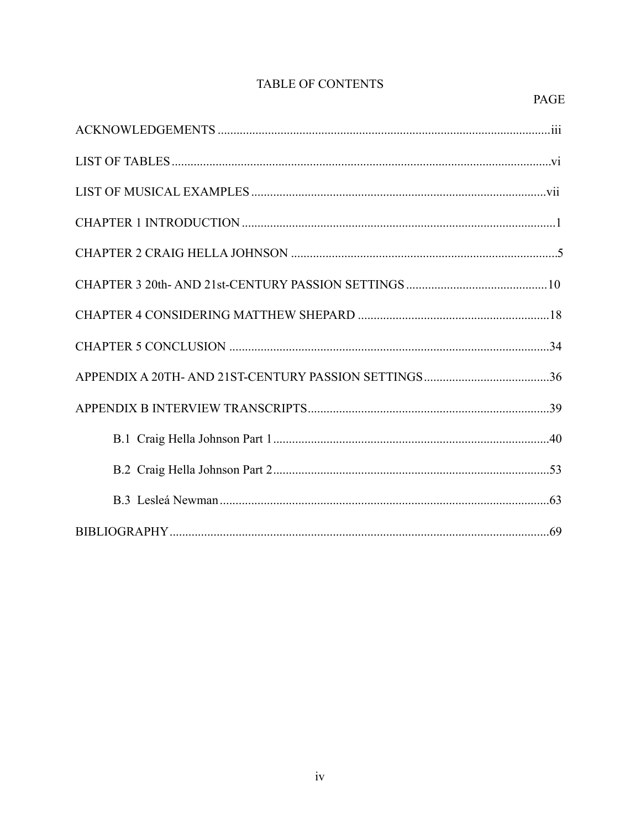# TABLE OF CONTENTS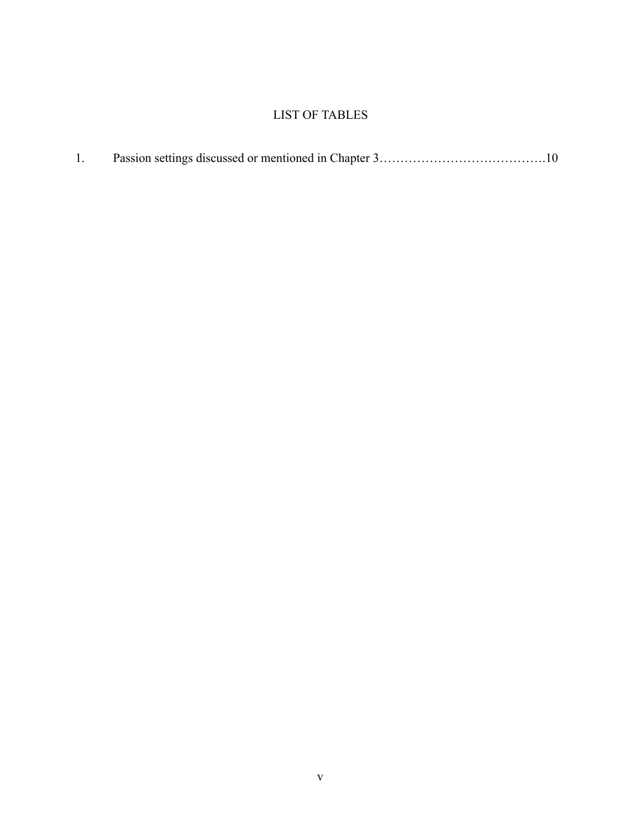# LIST OF TABLES

|--|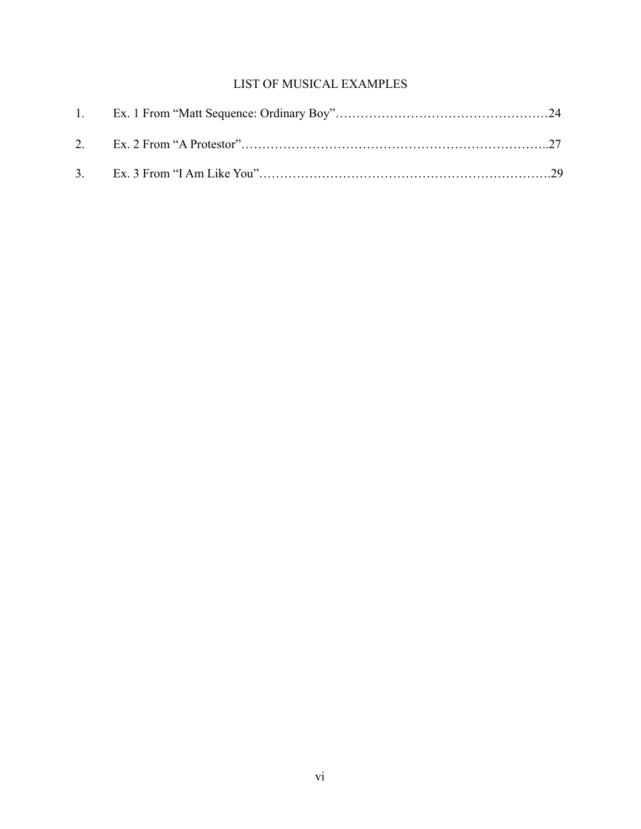# LIST OF MUSICAL EXAMPLES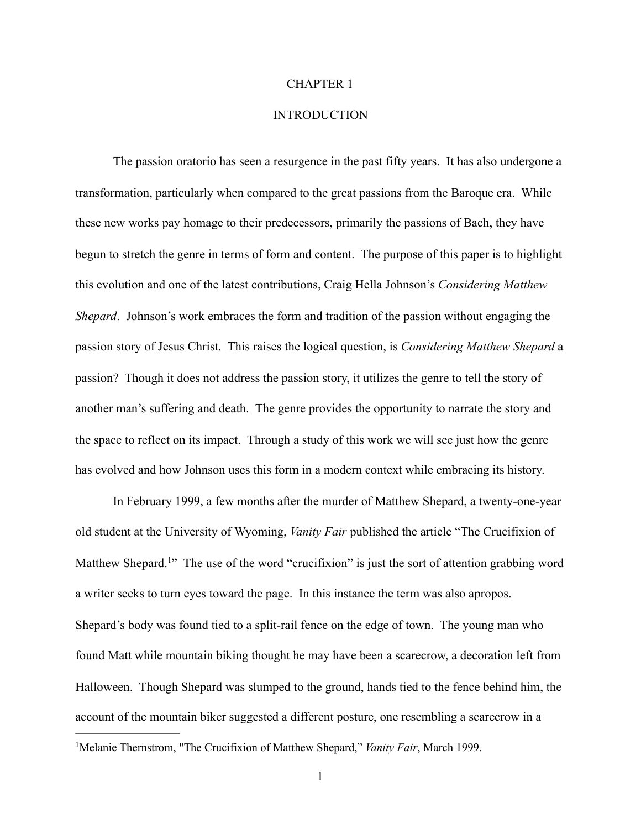#### CHAPTER 1

## **INTRODUCTION**

 The passion oratorio has seen a resurgence in the past fifty years. It has also undergone a transformation, particularly when compared to the great passions from the Baroque era. While these new works pay homage to their predecessors, primarily the passions of Bach, they have begun to stretch the genre in terms of form and content. The purpose of this paper is to highlight this evolution and one of the latest contributions, Craig Hella Johnson's *Considering Matthew Shepard*. Johnson's work embraces the form and tradition of the passion without engaging the passion story of Jesus Christ. This raises the logical question, is *Considering Matthew Shepard* a passion? Though it does not address the passion story, it utilizes the genre to tell the story of another man's suffering and death. The genre provides the opportunity to narrate the story and the space to reflect on its impact. Through a study of this work we will see just how the genre has evolved and how Johnson uses this form in a modern context while embracing its history.

<span id="page-8-1"></span> In February 1999, a few months after the murder of Matthew Shepard, a twenty-one-year old student at the University of Wyoming, *Vanity Fair* published the article "The Crucifixion of Matthew Shepard.<sup>1</sup>["](#page-8-0) The use of the word "crucifixion" is just the sort of attention grabbing word a writer seeks to turn eyes toward the page. In this instance the term was also apropos. Shepard's body was found tied to a split-rail fence on the edge of town. The young man who found Matt while mountain biking thought he may have been a scarecrow, a decoration left from Halloween. Though Shepard was slumped to the ground, hands tied to the fence behind him, the account of the mountain biker suggested a different posture, one resembling a scarecrow in a

<span id="page-8-0"></span><sup>&</sup>lt;sup>[1](#page-8-1)</sup>Melanie Thernstrom, "The Crucifixion of Matthew Shepard," *Vanity Fair*, March 1999.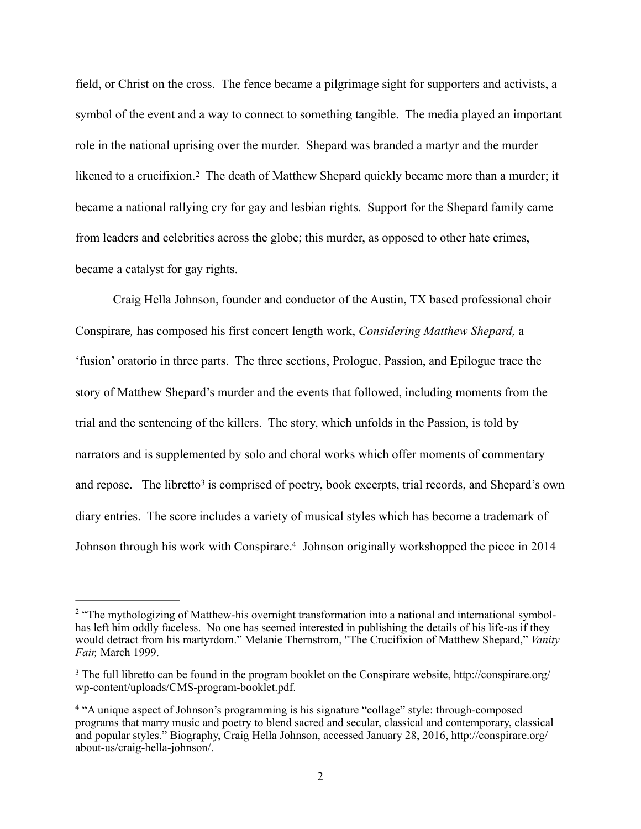<span id="page-9-3"></span>field, or Christ on the cross. The fence became a pilgrimage sight for supporters and activists, a symbol of the event and a way to connect to something tangible. The media played an important role in the national uprising over the murder. Shepard was branded a martyr and the murder likenedto a crucifixion.<sup>[2](#page-9-0)</sup> The death of Matthew Shepard quickly became more than a murder; it became a national rallying cry for gay and lesbian rights. Support for the Shepard family came from leaders and celebrities across the globe; this murder, as opposed to other hate crimes, became a catalyst for gay rights.

 Craig Hella Johnson, founder and conductor of the Austin, TX based professional choir Conspirare*,* has composed his first concert length work, *Considering Matthew Shepard,* a 'fusion' oratorio in three parts. The three sections, Prologue, Passion, and Epilogue trace the story of Matthew Shepard's murder and the events that followed, including moments from the trial and the sentencing of the killers. The story, which unfolds in the Passion, is told by narrators and is supplemented by solo and choral works which offer moments of commentary andrepose. The libretto<sup>[3](#page-9-1)</sup> is comprised of poetry, book excerpts, trial records, and Shepard's own diary entries. The score includes a variety of musical styles which has become a trademark of Johnson through his work with Conspirare[.](#page-9-2)<sup>[4](#page-9-2)</sup> Johnson originally workshopped the piece in 2014

<span id="page-9-5"></span><span id="page-9-4"></span><span id="page-9-0"></span><sup>&</sup>lt;sup>[2](#page-9-3)</sup> "The mythologizing of Matthew-his overnight transformation into a national and international symbolhas left him oddly faceless. No one has seemed interested in publishing the details of his life-as if they would detract from his martyrdom." Melanie Thernstrom, "The Crucifixion of Matthew Shepard," *Vanity Fair,* March 1999.

<span id="page-9-1"></span><sup>&</sup>lt;sup>[3](#page-9-4)</sup> The full libretto can be found in the program booklet on the Conspirare website, http://conspirare.org/ wp-content/uploads/CMS-program-booklet.pdf.

<span id="page-9-2"></span><sup>&</sup>lt;sup>4</sup>"A unique aspect of Johnson's programming is his signature "collage" style: through-composed programs that marry music and poetry to blend sacred and secular, classical and contemporary, classical and popular styles." Biography, Craig Hella Johnson, accessed January 28, 2016, http://conspirare.org/ about-us/craig-hella-johnson/.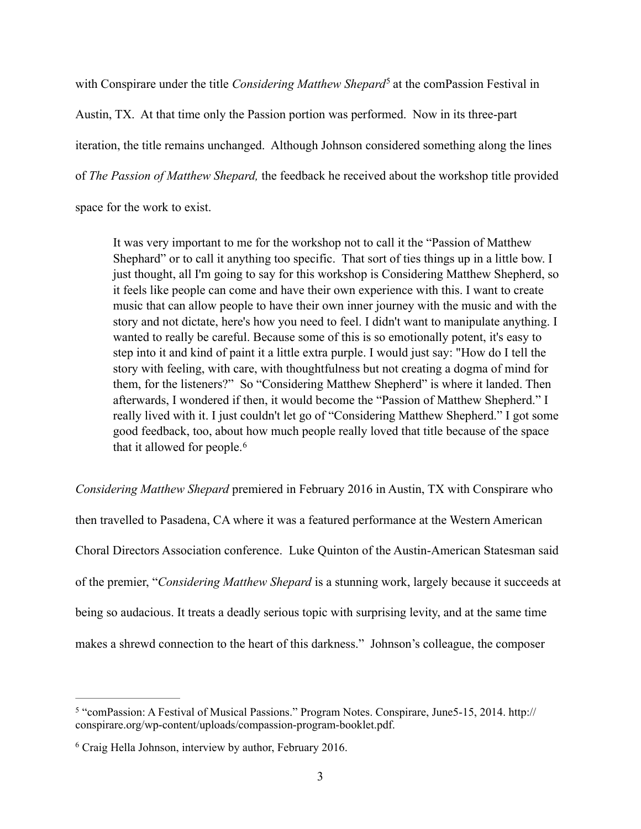with Conspirare under the title *Considering Matthew Shepard*<sup>[5](#page-10-0)</sup> at the comPassion Festival in

Austin, TX. At that time only the Passion portion was performed. Now in its three-part iteration, the title remains unchanged. Although Johnson considered something along the lines of *The Passion of Matthew Shepard,* the feedback he received about the workshop title provided

space for the work to exist.

<span id="page-10-2"></span>It was very important to me for the workshop not to call it the "Passion of Matthew Shephard" or to call it anything too specific. That sort of ties things up in a little bow. I just thought, all I'm going to say for this workshop is Considering Matthew Shepherd, so it feels like people can come and have their own experience with this. I want to create music that can allow people to have their own inner journey with the music and with the story and not dictate, here's how you need to feel. I didn't want to manipulate anything. I wanted to really be careful. Because some of this is so emotionally potent, it's easy to step into it and kind of paint it a little extra purple. I would just say: "How do I tell the story with feeling, with care, with thoughtfulness but not creating a dogma of mind for them, for the listeners?" So "Considering Matthew Shepherd" is where it landed. Then afterwards, I wondered if then, it would become the "Passion of Matthew Shepherd." I really lived with it. I just couldn't let go of "Considering Matthew Shepherd." I got some good feedback, too, about how much people really loved that title because of the space that it allowed for people.[6](#page-10-1)

<span id="page-10-3"></span>*Considering Matthew Shepard* premiered in February 2016 in Austin, TX with Conspirare who then travelled to Pasadena, CA where it was a featured performance at the Western American Choral Directors Association conference. Luke Quinton of the Austin-American Statesman said of the premier, "*Considering Matthew Shepard* is a stunning work, largely because it succeeds at being so audacious. It treats a deadly serious topic with surprising levity, and at the same time makes a shrewd connection to the heart of this darkness." Johnson's colleague, the composer

<span id="page-10-0"></span><sup>&</sup>lt;sup>[5](#page-10-2)</sup> "comPassion: A Festival of Musical Passions." Program Notes. Conspirare, June 5-15, 2014. http:// conspirare.org/wp-content/uploads/compassion-program-booklet.pdf.

<span id="page-10-1"></span> $6$  Craig Hella Johnson, interview by author, February 2016.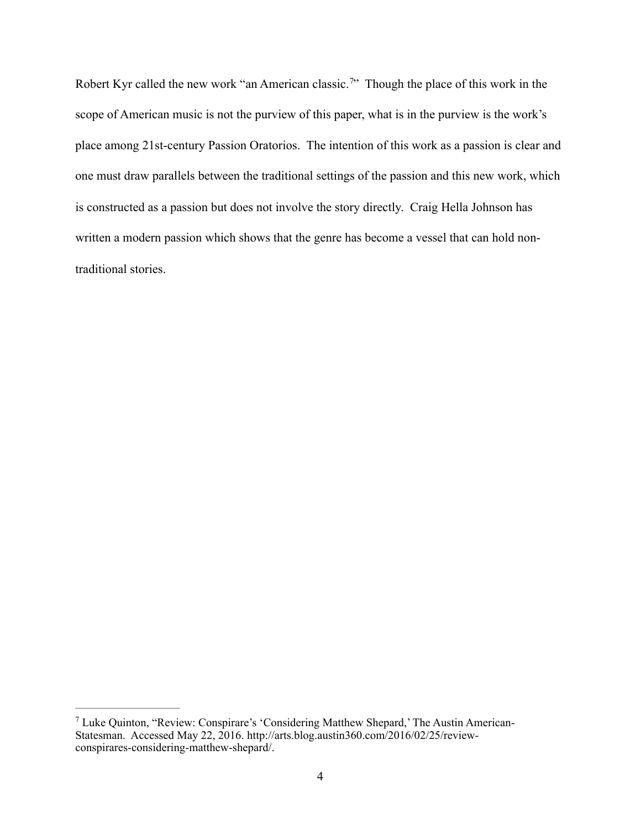<span id="page-11-1"></span>Robert Kyr called the new work ["](#page-11-0)an American classic.<sup>[7](#page-11-0)</sup>" Though the place of this work in the scope of American music is not the purview of this paper, what is in the purview is the work's place among 21st-century Passion Oratorios. The intention of this work as a passion is clear and one must draw parallels between the traditional settings of the passion and this new work, which is constructed as a passion but does not involve the story directly. Craig Hella Johnson has written a modern passion which shows that the genre has become a vessel that can hold nontraditional stories.

<span id="page-11-0"></span>Luke Quinton, "Review: Conspirare's 'Considering Matthew Shepard,' The Austin American- [7](#page-11-1) Statesman. Accessed May 22, 2016. http://arts.blog.austin360.com/2016/02/25/reviewconspirares-considering-matthew-shepard/.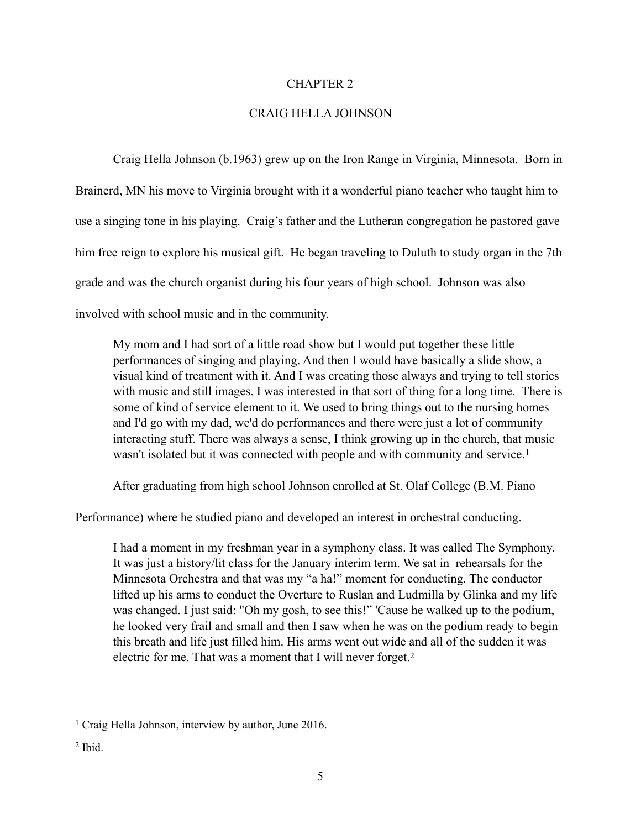#### CHAPTER 2

### CRAIG HELLA JOHNSON

 Craig Hella Johnson (b.1963) grew up on the Iron Range in Virginia, Minnesota. Born in Brainerd, MN his move to Virginia brought with it a wonderful piano teacher who taught him to use a singing tone in his playing. Craig's father and the Lutheran congregation he pastored gave him free reign to explore his musical gift. He began traveling to Duluth to study organ in the 7th grade and was the church organist during his four years of high school. Johnson was also involved with school music and in the community.

My mom and I had sort of a little road show but I would put together these little performances of singing and playing. And then I would have basically a slide show, a visual kind of treatment with it. And I was creating those always and trying to tell stories with music and still images. I was interested in that sort of thing for a long time. There is some of kind of service element to it. We used to bring things out to the nursing homes and I'd go with my dad, we'd do performances and there were just a lot of community interacting stuff. There was always a sense, I think growing up in the church, that music wasn't isolated but it was connected with people and with community and service.<sup>[1](#page-12-0)</sup>

<span id="page-12-2"></span>After graduating from high school Johnson enrolled at St. Olaf College (B.M. Piano

Performance) where he studied piano and developed an interest in orchestral conducting.

<span id="page-12-3"></span>I had a moment in my freshman year in a symphony class. It was called The Symphony. It was just a history/lit class for the January interim term. We sat in rehearsals for the Minnesota Orchestra and that was my "a ha!" moment for conducting. The conductor lifted up his arms to conduct the Overture to Ruslan and Ludmilla by Glinka and my life was changed. I just said: "Oh my gosh, to see this!" 'Cause he walked up to the podium, he looked very frail and small and then I saw when he was on the podium ready to begin this breath and life just filled him. His arms went out wide and all of the sudden it was electric for me. That was a moment that I will never forget.<sup>2</sup>

<span id="page-12-0"></span><sup>&</sup>lt;sup>[1](#page-12-2)</sup> Craig Hella Johnson, interview by author, June 2016.

<span id="page-12-1"></span> $<sup>2</sup>$  $<sup>2</sup>$  $<sup>2</sup>$  Ibid.</sup>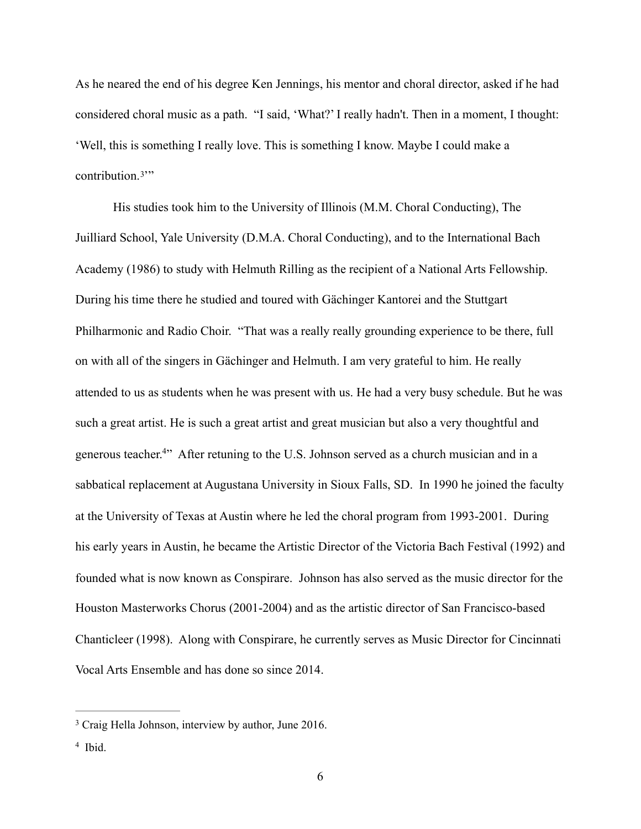As he neared the end of his degree Ken Jennings, his mentor and choral director, asked if he had considered choral music as a path. "I said, 'What?' I really hadn't. Then in a moment, I thought: 'Well, this is something I really love. This is something I know. Maybe I could make a contribution. $3''$  $3''$  $3''$ 

<span id="page-13-2"></span> His studies took him to the University of Illinois (M.M. Choral Conducting), The Juilliard School, Yale University (D.M.A. Choral Conducting), and to the International Bach Academy (1986) to study with Helmuth Rilling as the recipient of a National Arts Fellowship. During his time there he studied and toured with Gächinger Kantorei and the Stuttgart Philharmonic and Radio Choir. "That was a really really grounding experience to be there, full on with all of the singers in Gächinger and Helmuth. I am very grateful to him. He really attended to us as students when he was present with us. He had a very busy schedule. But he was such a great artist. He is such a great artist and great musician but also a very thoughtful and generous teacher.<sup>[4](#page-13-1)</sup> After retuning to the U.S. Johnson served as a church musician and in a sabbatical replacement at Augustana University in Sioux Falls, SD. In 1990 he joined the faculty at the University of Texas at Austin where he led the choral program from 1993-2001. During his early years in Austin, he became the Artistic Director of the Victoria Bach Festival (1992) and founded what is now known as Conspirare. Johnson has also served as the music director for the Houston Masterworks Chorus (2001-2004) and as the artistic director of San Francisco-based Chanticleer (1998). Along with Conspirare, he currently serves as Music Director for Cincinnati Vocal Arts Ensemble and has done so since 2014.

<span id="page-13-3"></span><span id="page-13-0"></span><sup>&</sup>lt;sup>[3](#page-13-2)</sup> Craig Hella Johnson, interview by author, June 2016.

<span id="page-13-1"></span> $4$  Ibid.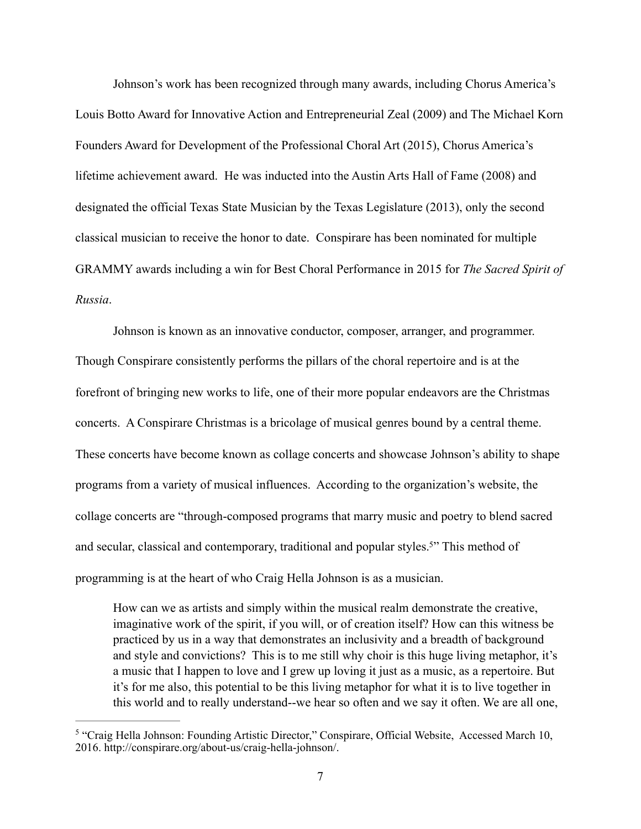Johnson's work has been recognized through many awards, including Chorus America's Louis Botto Award for Innovative Action and Entrepreneurial Zeal (2009) and The Michael Korn Founders Award for Development of the Professional Choral Art (2015), Chorus America's lifetime achievement award. He was inducted into the Austin Arts Hall of Fame (2008) and designated the official Texas State Musician by the Texas Legislature (2013), only the second classical musician to receive the honor to date. Conspirare has been nominated for multiple GRAMMY awards including a win for Best Choral Performance in 2015 for *The Sacred Spirit of Russia*.

 Johnson is known as an innovative conductor, composer, arranger, and programmer. Though Conspirare consistently performs the pillars of the choral repertoire and is at the forefront of bringing new works to life, one of their more popular endeavors are the Christmas concerts. A Conspirare Christmas is a bricolage of musical genres bound by a central theme. These concerts have become known as collage concerts and showcase Johnson's ability to shape programs from a variety of musical influences. According to the organization's website, the collage concerts are "through-composed programs that marry music and poetry to blend sacred and secular, classical and contemporary, traditional and popular styles.<sup>[5](#page-14-0)"</sup> This method of programming is at the heart of who Craig Hella Johnson is as a musician.

<span id="page-14-1"></span>How can we as artists and simply within the musical realm demonstrate the creative, imaginative work of the spirit, if you will, or of creation itself? How can this witness be practiced by us in a way that demonstrates an inclusivity and a breadth of background and style and convictions? This is to me still why choir is this huge living metaphor, it's a music that I happen to love and I grew up loving it just as a music, as a repertoire. But it's for me also, this potential to be this living metaphor for what it is to live together in this world and to really understand--we hear so often and we say it often. We are all one,

<span id="page-14-0"></span><sup>&</sup>lt;sup>5</sup>"Craig Hella Johnson: Founding Artistic Director," Conspirare, Official Website, Accessed March 10, 2016. http://conspirare.org/about-us/craig-hella-johnson/.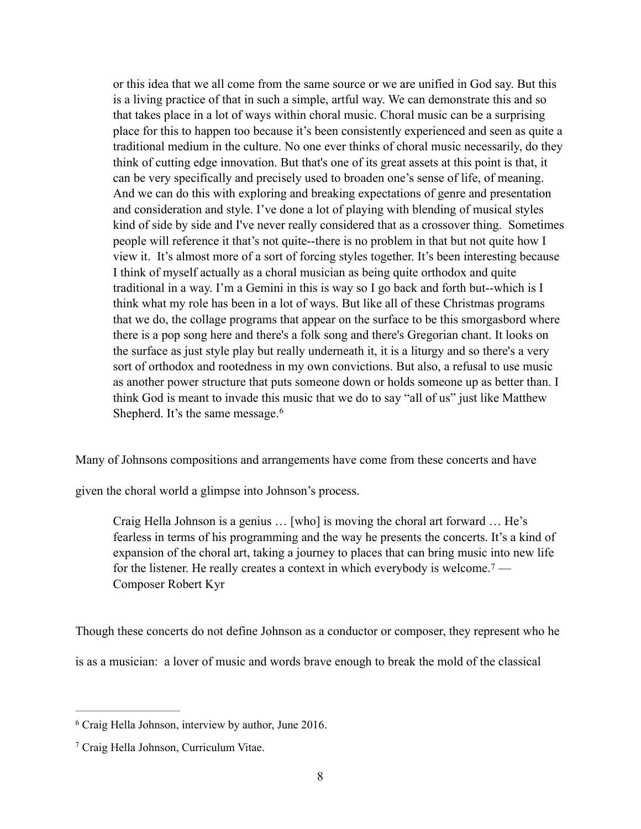or this idea that we all come from the same source or we are unified in God say. But this is a living practice of that in such a simple, artful way. We can demonstrate this and so that takes place in a lot of ways within choral music. Choral music can be a surprising place for this to happen too because it's been consistently experienced and seen as quite a traditional medium in the culture. No one ever thinks of choral music necessarily, do they think of cutting edge innovation. But that's one of its great assets at this point is that, it can be very specifically and precisely used to broaden one's sense of life, of meaning. And we can do this with exploring and breaking expectations of genre and presentation and consideration and style. I've done a lot of playing with blending of musical styles kind of side by side and I've never really considered that as a crossover thing. Sometimes people will reference it that's not quite--there is no problem in that but not quite how I view it. It's almost more of a sort of forcing styles together. It's been interesting because I think of myself actually as a choral musician as being quite orthodox and quite traditional in a way. I'm a Gemini in this is way so I go back and forth but--which is I think what my role has been in a lot of ways. But like all of these Christmas programs that we do, the collage programs that appear on the surface to be this smorgasbord where there is a pop song here and there's a folk song and there's Gregorian chant. It looks on the surface as just style play but really underneath it, it is a liturgy and so there's a very sort of orthodox and rootedness in my own convictions. But also, a refusal to use music as another power structure that puts someone down or holds someone up as better than. I think God is meant to invade this music that we do to say "all of us" just like Matthew Shepherd. It's the same message.<sup>[6](#page-15-0)</sup>

Many of Johnsons compositions and arrangements have come from these concerts and have

given the choral world a glimpse into Johnson's process.

<span id="page-15-3"></span><span id="page-15-2"></span>Craig Hella Johnson is a genius … [who] is moving the choral art forward … He's fearless in terms of his programming and the way he presents the concerts. It's a kind of expansion of the choral art, taking a journey to places that can bring music into new life for the listener. He really creates a context in which everybody is welcome.[7](#page-15-1) — Composer Robert Kyr

Though these concerts do not define Johnson as a conductor or composer, they represent who he

is as a musician: a lover of music and words brave enough to break the mold of the classical

<span id="page-15-0"></span><sup>&</sup>lt;sup>[6](#page-15-2)</sup> Craig Hella Johnson, interview by author, June 2016.

<span id="page-15-1"></span><sup>&</sup>lt;sup>[7](#page-15-3)</sup> Craig Hella Johnson, Curriculum Vitae.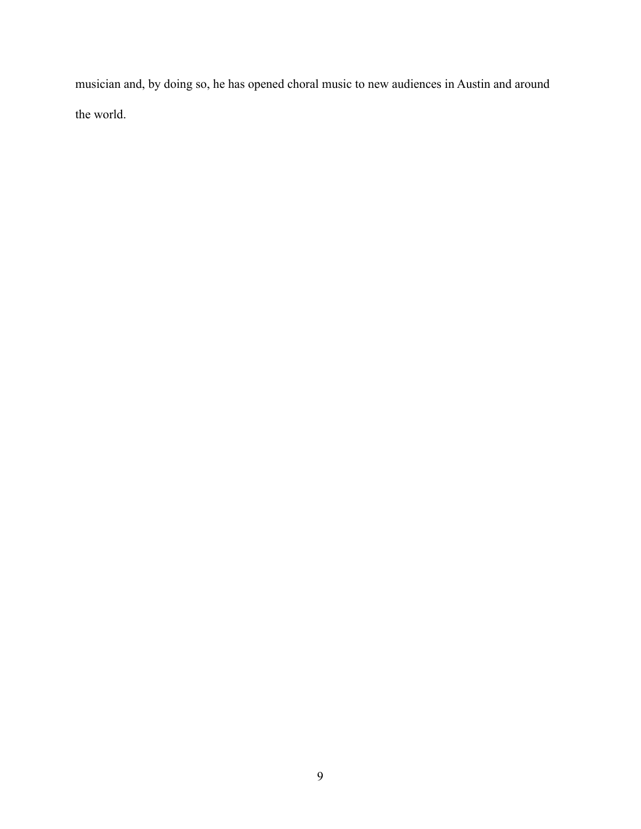musician and, by doing so, he has opened choral music to new audiences in Austin and around the world.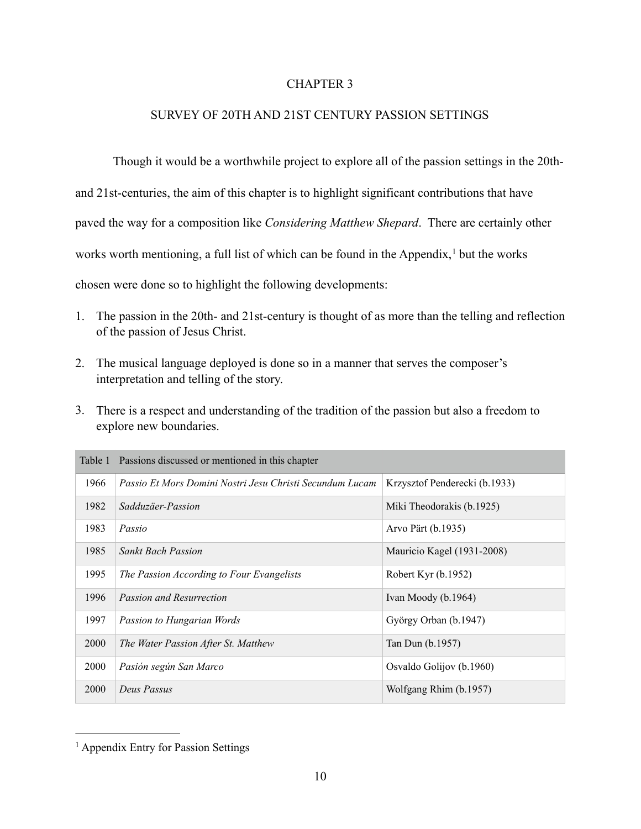# <span id="page-17-1"></span>CHAPTER 3

# SURVEY OF 20TH AND 21ST CENTURY PASSION SETTINGS

 Though it would be a worthwhile project to explore all of the passion settings in the 20thand 21st-centuries, the aim of this chapter is to highlight significant contributions that have paved the way for a composition like *Considering Matthew Shepard*. There are certainly other worksworth mentioning, a full list of which can be found in the Appendix,  $\frac{1}{1}$  $\frac{1}{1}$  $\frac{1}{1}$  but the works chosen were done so to highlight the following developments:

- 1. The passion in the 20th- and 21st-century is thought of as more than the telling and reflection of the passion of Jesus Christ.
- 2. The musical language deployed is done so in a manner that serves the composer's interpretation and telling of the story.
- 3. There is a respect and understanding of the tradition of the passion but also a freedom to explore new boundaries.

|      | Table 1 Passions discussed or mentioned in this chapter  |                               |
|------|----------------------------------------------------------|-------------------------------|
| 1966 | Passio Et Mors Domini Nostri Jesu Christi Secundum Lucam | Krzysztof Penderecki (b.1933) |
| 1982 | Sadduzäer-Passion                                        | Miki Theodorakis (b.1925)     |
| 1983 | Passio                                                   | Arvo Pärt (b.1935)            |
| 1985 | <b>Sankt Bach Passion</b>                                | Mauricio Kagel (1931-2008)    |
| 1995 | The Passion According to Four Evangelists                | Robert Kyr (b.1952)           |
| 1996 | <b>Passion and Resurrection</b>                          | Ivan Moody (b.1964)           |
| 1997 | Passion to Hungarian Words                               | György Orban (b.1947)         |
| 2000 | The Water Passion After St. Matthew                      | Tan Dun (b.1957)              |
| 2000 | Pasión según San Marco                                   | Osvaldo Golijov (b.1960)      |
| 2000 | Deus Passus                                              | Wolfgang Rhim (b.1957)        |

<span id="page-17-0"></span> $<sup>1</sup>$  $<sup>1</sup>$  $<sup>1</sup>$  Appendix Entry for Passion Settings</sup>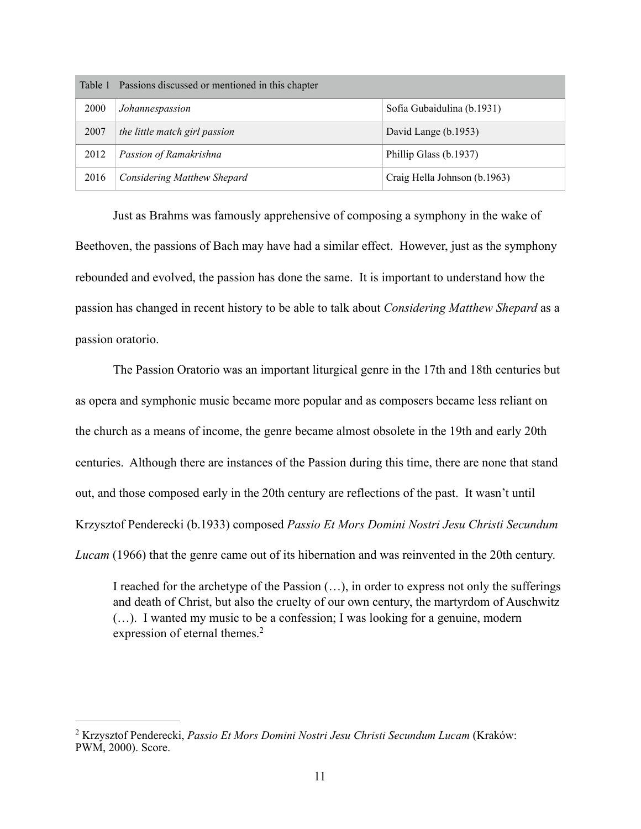|      | Table 1 Passions discussed or mentioned in this chapter |                              |
|------|---------------------------------------------------------|------------------------------|
| 2000 | Johannespassion                                         | Sofia Gubaidulina (b.1931)   |
| 2007 | the little match girl passion                           | David Lange (b.1953)         |
| 2012 | Passion of Ramakrishna                                  | Phillip Glass (b.1937)       |
| 2016 | Considering Matthew Shepard                             | Craig Hella Johnson (b.1963) |

 Just as Brahms was famously apprehensive of composing a symphony in the wake of Beethoven, the passions of Bach may have had a similar effect. However, just as the symphony rebounded and evolved, the passion has done the same. It is important to understand how the passion has changed in recent history to be able to talk about *Considering Matthew Shepard* as a passion oratorio.

 The Passion Oratorio was an important liturgical genre in the 17th and 18th centuries but as opera and symphonic music became more popular and as composers became less reliant on the church as a means of income, the genre became almost obsolete in the 19th and early 20th centuries. Although there are instances of the Passion during this time, there are none that stand out, and those composed early in the 20th century are reflections of the past. It wasn't until Krzysztof Penderecki (b.1933) composed *Passio Et Mors Domini Nostri Jesu Christi Secundum Lucam* (1966) that the genre came out of its hibernation and was reinvented in the 20th century.

<span id="page-18-1"></span>I reached for the archetype of the Passion (…), in order to express not only the sufferings and death of Christ, but also the cruelty of our own century, the martyrdom of Auschwitz (…). I wanted my music to be a confession; I was looking for a genuine, modern expression of eternal themes.<sup>[2](#page-18-0)</sup>

<span id="page-18-0"></span>Krzysztof Penderecki, *Passio Et Mors Domini Nostri Jesu Christi Secundum Lucam* (Kraków: [2](#page-18-1) PWM, 2000). Score.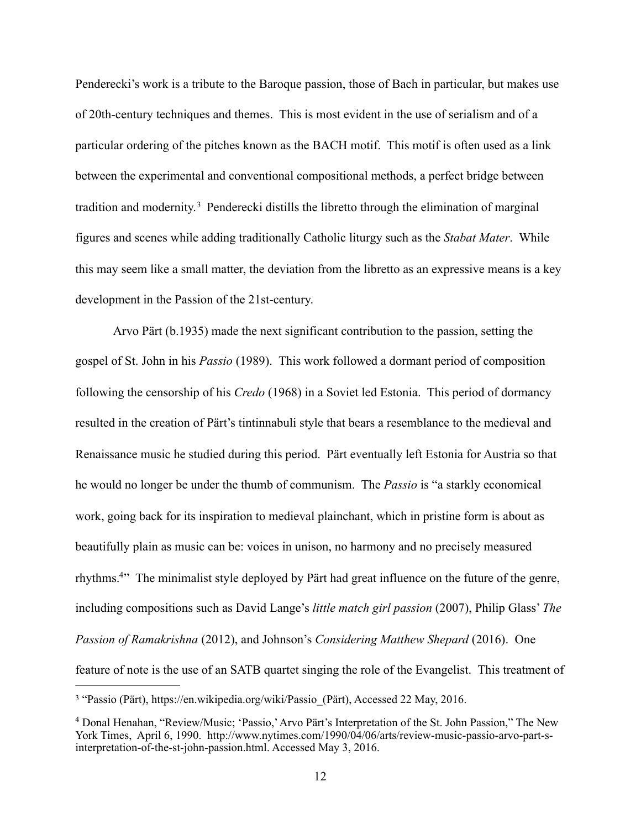Penderecki's work is a tribute to the Baroque passion, those of Bach in particular, but makes use of 20th-century techniques and themes. This is most evident in the use of serialism and of a particular ordering of the pitches known as the BACH motif. This motif is often used as a link between the experimental and conventional compositional methods, a perfect bridge between traditionand modernity.<sup>[3](#page-19-0)</sup> Penderecki distills the libretto through the elimination of marginal figures and scenes while adding traditionally Catholic liturgy such as the *Stabat Mater*. While this may seem like a small matter, the deviation from the libretto as an expressive means is a key development in the Passion of the 21st-century.

<span id="page-19-2"></span> Arvo Pärt (b.1935) made the next significant contribution to the passion, setting the gospel of St. John in his *Passio* (1989). This work followed a dormant period of composition following the censorship of his *Credo* (1968) in a Soviet led Estonia. This period of dormancy resulted in the creation of Pärt's tintinnabuli style that bears a resemblance to the medieval and Renaissance music he studied during this period. Pärt eventually left Estonia for Austria so that he would no longer be under the thumb of communism. The *Passio* is "a starkly economical work, going back for its inspiration to medieval plainchant, which in pristine form is about as beautifully plain as music can be: voices in unison, no harmony and no precisely measured rhythms.<sup>[4](#page-19-1)</sup> The minimalist style deployed by Pärt had great influence on the future of the genre, including compositions such as David Lange's *little match girl passion* (2007), Philip Glass' *The Passion of Ramakrishna* (2012), and Johnson's *Considering Matthew Shepard* (2016). One feature of note is the use of an SATB quartet singing the role of the Evangelist. This treatment of

<span id="page-19-3"></span><span id="page-19-0"></span><sup>&</sup>lt;sup>3</sup>"Passio (Pärt), https://en.wikipedia.org/wiki/Passio (Pärt), Accessed 22 May, 2016.

<span id="page-19-1"></span><sup>&</sup>lt;sup>4</sup>Donal Henahan, "Review/Music; 'Passio,' Arvo Pärt's Interpretation of the St. John Passion," The New York Times, April 6, 1990. http://www.nytimes.com/1990/04/06/arts/review-music-passio-arvo-part-sinterpretation-of-the-st-john-passion.html. Accessed May 3, 2016.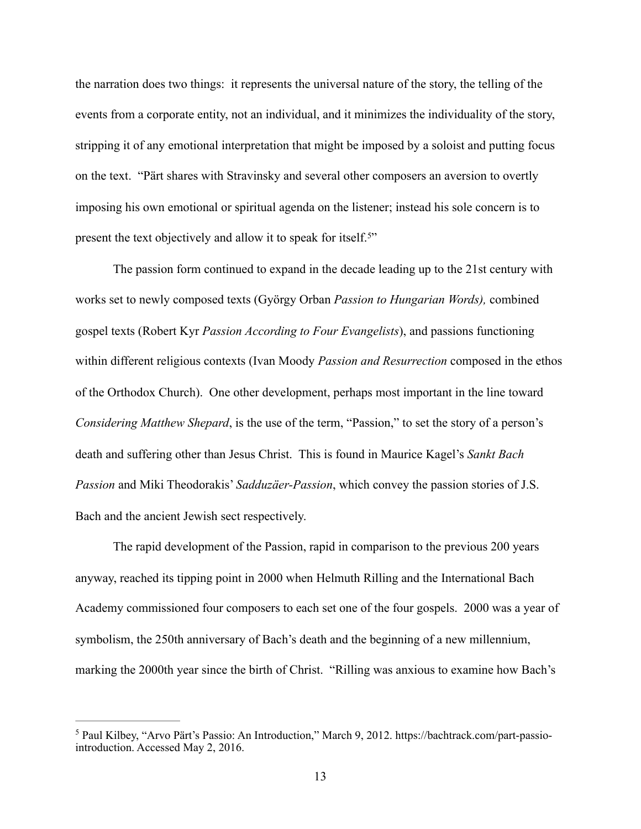the narration does two things: it represents the universal nature of the story, the telling of the events from a corporate entity, not an individual, and it minimizes the individuality of the story, stripping it of any emotional interpretation that might be imposed by a soloist and putting focus on the text. "Pärt shares with Stravinsky and several other composers an aversion to overtly imposing his own emotional or spiritual agenda on the listener; instead his sole concern is to present the text objectively and allow it to speak for itself.<sup>5["](#page-20-0)</sup>

<span id="page-20-1"></span> The passion form continued to expand in the decade leading up to the 21st century with works set to newly composed texts (György Orban *Passion to Hungarian Words),* combined gospel texts (Robert Kyr *Passion According to Four Evangelists*), and passions functioning within different religious contexts (Ivan Moody *Passion and Resurrection* composed in the ethos of the Orthodox Church). One other development, perhaps most important in the line toward *Considering Matthew Shepard*, is the use of the term, "Passion," to set the story of a person's death and suffering other than Jesus Christ. This is found in Maurice Kagel's *Sankt Bach Passion* and Miki Theodorakis' *Sadduzäer-Passion*, which convey the passion stories of J.S. Bach and the ancient Jewish sect respectively.

 The rapid development of the Passion, rapid in comparison to the previous 200 years anyway, reached its tipping point in 2000 when Helmuth Rilling and the International Bach Academy commissioned four composers to each set one of the four gospels. 2000 was a year of symbolism, the 250th anniversary of Bach's death and the beginning of a new millennium, marking the 2000th year since the birth of Christ. "Rilling was anxious to examine how Bach's

<span id="page-20-0"></span><sup>&</sup>lt;sup>[5](#page-20-1)</sup> Paul Kilbey, "Arvo Pärt's Passio: An Introduction," March 9, 2012. https://bachtrack.com/part-passiointroduction. Accessed May 2, 2016.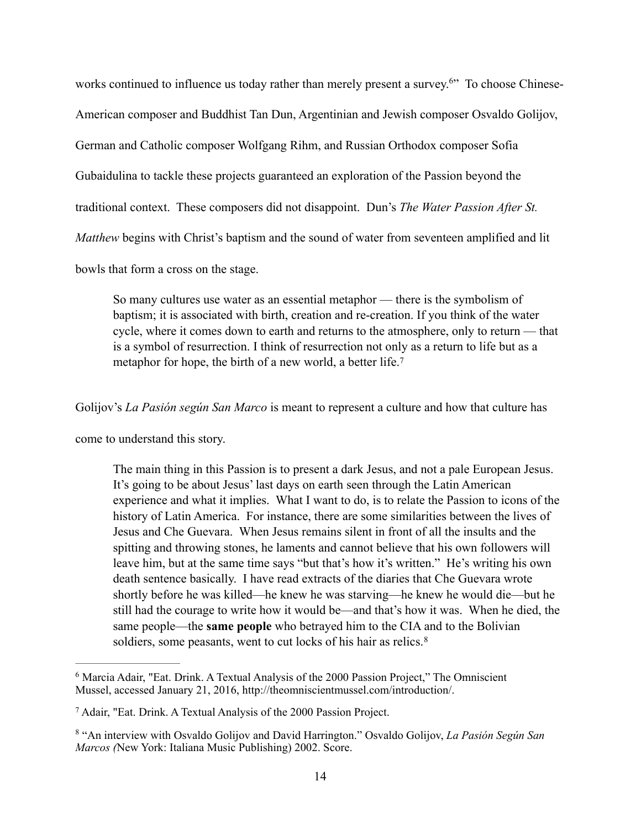<span id="page-21-3"></span>works continued to influence us today rather than merely present a survey.<sup>[6](#page-21-0)</sup> To choose Chinese-American composer and Buddhist Tan Dun, Argentinian and Jewish composer Osvaldo Golijov, German and Catholic composer Wolfgang Rihm, and Russian Orthodox composer Sofia Gubaidulina to tackle these projects guaranteed an exploration of the Passion beyond the traditional context. These composers did not disappoint. Dun's *The Water Passion After St. Matthew* begins with Christ's baptism and the sound of water from seventeen amplified and lit bowls that form a cross on the stage.

<span id="page-21-4"></span>So many cultures use water as an essential metaphor — there is the symbolism of baptism; it is associated with birth, creation and re-creation. If you think of the water cycle, where it comes down to earth and returns to the atmosphere, only to return — that is a symbol of resurrection. I think of resurrection not only as a return to life but as a metaphor for hope, the birth of a new world, a better life.<sup>[7](#page-21-1)</sup>

Golijov's *La Pasión según San Marco* is meant to represent a culture and how that culture has

come to understand this story.

The main thing in this Passion is to present a dark Jesus, and not a pale European Jesus. It's going to be about Jesus' last days on earth seen through the Latin American experience and what it implies. What I want to do, is to relate the Passion to icons of the history of Latin America. For instance, there are some similarities between the lives of Jesus and Che Guevara. When Jesus remains silent in front of all the insults and the spitting and throwing stones, he laments and cannot believe that his own followers will leave him, but at the same time says "but that's how it's written." He's writing his own death sentence basically. I have read extracts of the diaries that Che Guevara wrote shortly before he was killed—he knew he was starving—he knew he would die—but he still had the courage to write how it would be—and that's how it was. When he died, the same people—the **same people** who betrayed him to the CIA and to the Bolivian soldiers, some peasants, went to cut locks of his hair as relics.<sup>[8](#page-21-2)</sup>

<span id="page-21-5"></span><span id="page-21-0"></span> $6$ Marcia Adair, "Eat. Drink. A Textual Analysis of the 2000 Passion Project," The Omniscient Mussel, accessed January 21, 2016, http://theomniscientmussel.com/introduction/.

<span id="page-21-1"></span>Adair, "Eat. Drink. A Textual Analysis of the 2000 Passion Project. [7](#page-21-4)

<span id="page-21-2"></span><sup>&</sup>lt;sup>[8](#page-21-5)</sup> "An interview with Osvaldo Golijov and David Harrington." Osvaldo Golijov, *La Pasión Según San Marcos (*New York: Italiana Music Publishing) 2002. Score.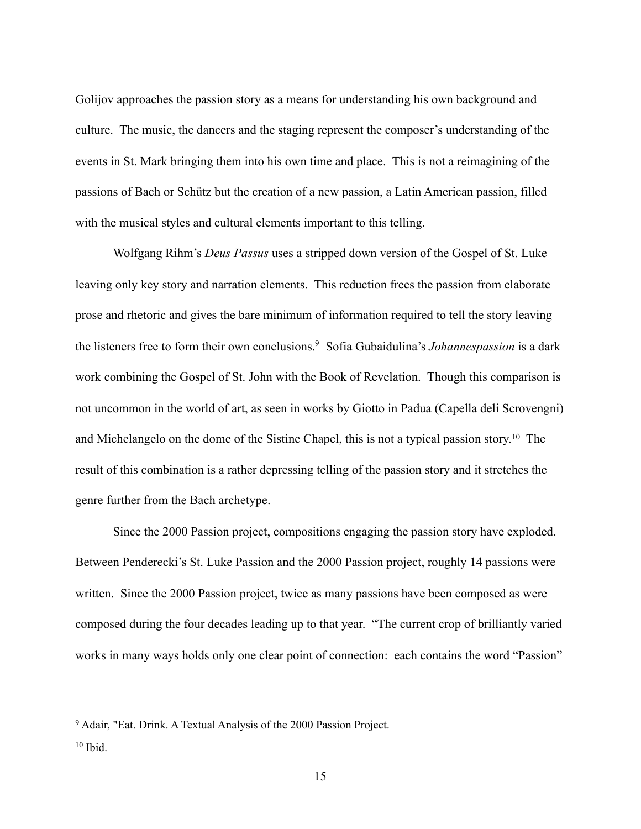Golijov approaches the passion story as a means for understanding his own background and culture. The music, the dancers and the staging represent the composer's understanding of the events in St. Mark bringing them into his own time and place. This is not a reimagining of the passions of Bach or Schütz but the creation of a new passion, a Latin American passion, filled with the musical styles and cultural elements important to this telling.

<span id="page-22-2"></span> Wolfgang Rihm's *Deus Passus* uses a stripped down version of the Gospel of St. Luke leaving only key story and narration elements. This reduction frees the passion from elaborate prose and rhetoric and gives the bare minimum of information required to tell the story leaving the listeners free to form their own conclusions.<sup>[9](#page-22-0)</sup> Sofia Gubaidulina's *Johannespassion* is a dark work combining the Gospel of St. John with the Book of Revelation. Though this comparison is not uncommon in the world of art, as seen in works by Giotto in Padua (Capella deli Scrovengni) andMichelangelo on the dome of the Sistine Chapel, this is not a typical passion story.<sup>[10](#page-22-1)</sup> The result of this combination is a rather depressing telling of the passion story and it stretches the genre further from the Bach archetype.

<span id="page-22-3"></span> Since the 2000 Passion project, compositions engaging the passion story have exploded. Between Penderecki's St. Luke Passion and the 2000 Passion project, roughly 14 passions were written. Since the 2000 Passion project, twice as many passions have been composed as were composed during the four decades leading up to that year. "The current crop of brilliantly varied works in many ways holds only one clear point of connection: each contains the word "Passion"

<span id="page-22-0"></span><sup>&</sup>lt;sup>[9](#page-22-2)</sup> Adair, "Eat. Drink. A Textual Analysis of the 2000 Passion Project.

<span id="page-22-1"></span> $10$  Ibid.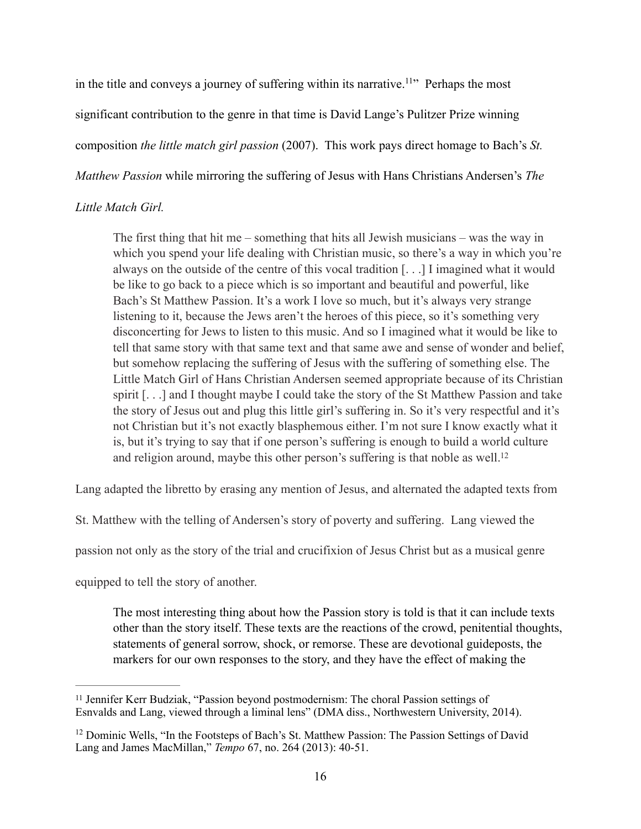in the title and conveys a journey of suffering within its narrative.<sup>[11](#page-23-0)</sup> $\cdot$  Perhaps the most significant contribution to the genre in that time is David Lange's Pulitzer Prize winning composition *the little match girl passion* (2007). This work pays direct homage to Bach's *St. Matthew Passion* while mirroring the suffering of Jesus with Hans Christians Andersen's *The* 

# *Little Match Girl.*

<span id="page-23-2"></span>The first thing that hit me – something that hits all Jewish musicians – was the way in which you spend your life dealing with Christian music, so there's a way in which you're always on the outside of the centre of this vocal tradition [. . .] I imagined what it would be like to go back to a piece which is so important and beautiful and powerful, like Bach's St Matthew Passion. It's a work I love so much, but it's always very strange listening to it, because the Jews aren't the heroes of this piece, so it's something very disconcerting for Jews to listen to this music. And so I imagined what it would be like to tell that same story with that same text and that same awe and sense of wonder and belief, but somehow replacing the suffering of Jesus with the suffering of something else. The Little Match Girl of Hans Christian Andersen seemed appropriate because of its Christian spirit [. . .] and I thought maybe I could take the story of the St Matthew Passion and take the story of Jesus out and plug this little girl's suffering in. So it's very respectful and it's not Christian but it's not exactly blasphemous either. I'm not sure I know exactly what it is, but it's trying to say that if one person's suffering is enough to build a world culture and religion around, maybe this other person's suffering is that noble as well.<sup>12</sup>

Lang adapted the libretto by erasing any mention of Jesus, and alternated the adapted texts from

St. Matthew with the telling of Andersen's story of poverty and suffering. Lang viewed the

passion not only as the story of the trial and crucifixion of Jesus Christ but as a musical genre

equipped to tell the story of another.

<span id="page-23-3"></span>The most interesting thing about how the Passion story is told is that it can include texts other than the story itself. These texts are the reactions of the crowd, penitential thoughts, statements of general sorrow, shock, or remorse. These are devotional guideposts, the markers for our own responses to the story, and they have the effect of making the

<span id="page-23-0"></span> $11$  Jennifer Kerr Budziak, "Passion beyond postmodernism: The choral Passion settings of Esnvalds and Lang, viewed through a liminal lens" (DMA diss., Northwestern University, 2014).

<span id="page-23-1"></span><sup>&</sup>lt;sup>[12](#page-23-3)</sup> Dominic Wells, "In the Footsteps of Bach's St. Matthew Passion: The Passion Settings of David Lang and James MacMillan," *Tempo* 67, no. 264 (2013): 40-51.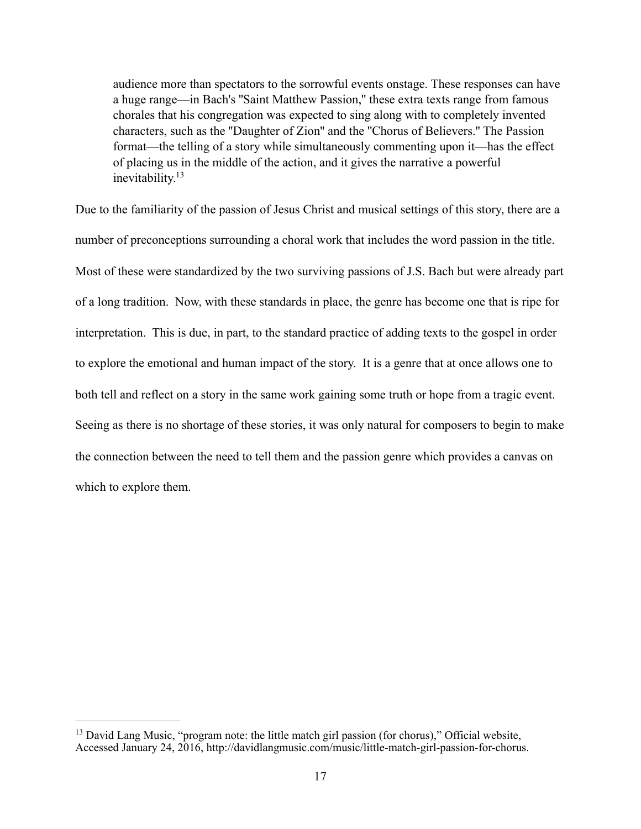audience more than spectators to the sorrowful events onstage. These responses can have a huge range—in Bach's ''Saint Matthew Passion,'' these extra texts range from famous chorales that his congregation was expected to sing along with to completely invented characters, such as the ''Daughter of Zion'' and the ''Chorus of Believers.'' The Passion format—the telling of a story while simultaneously commenting upon it—has the effect of placing us in the middle of the action, and it gives the narrative a powerful inevitability[.13](#page-24-0)

<span id="page-24-1"></span>Due to the familiarity of the passion of Jesus Christ and musical settings of this story, there are a number of preconceptions surrounding a choral work that includes the word passion in the title. Most of these were standardized by the two surviving passions of J.S. Bach but were already part of a long tradition. Now, with these standards in place, the genre has become one that is ripe for interpretation. This is due, in part, to the standard practice of adding texts to the gospel in order to explore the emotional and human impact of the story. It is a genre that at once allows one to both tell and reflect on a story in the same work gaining some truth or hope from a tragic event. Seeing as there is no shortage of these stories, it was only natural for composers to begin to make the connection between the need to tell them and the passion genre which provides a canvas on which to explore them.

<span id="page-24-0"></span><sup>&</sup>lt;sup>[13](#page-24-1)</sup> David Lang Music, "program note: the little match girl passion (for chorus)," Official website, Accessed January 24, 2016, http://davidlangmusic.com/music/little-match-girl-passion-for-chorus.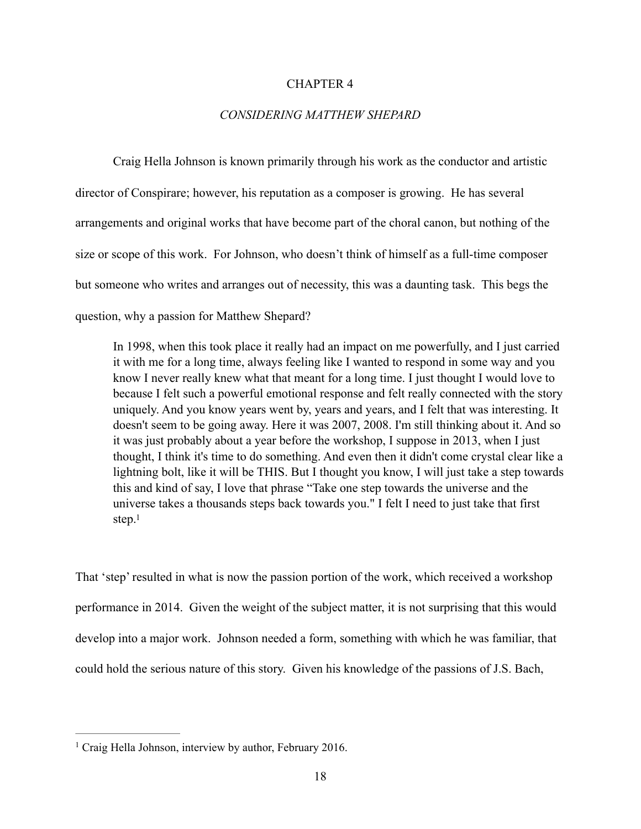#### CHAPTER 4

## *CONSIDERING MATTHEW SHEPARD*

 Craig Hella Johnson is known primarily through his work as the conductor and artistic director of Conspirare; however, his reputation as a composer is growing. He has several arrangements and original works that have become part of the choral canon, but nothing of the size or scope of this work. For Johnson, who doesn't think of himself as a full-time composer but someone who writes and arranges out of necessity, this was a daunting task. This begs the question, why a passion for Matthew Shepard?

In 1998, when this took place it really had an impact on me powerfully, and I just carried it with me for a long time, always feeling like I wanted to respond in some way and you know I never really knew what that meant for a long time. I just thought I would love to because I felt such a powerful emotional response and felt really connected with the story uniquely. And you know years went by, years and years, and I felt that was interesting. It doesn't seem to be going away. Here it was 2007, 2008. I'm still thinking about it. And so it was just probably about a year before the workshop, I suppose in 2013, when I just thought, I think it's time to do something. And even then it didn't come crystal clear like a lightning bolt, like it will be THIS. But I thought you know, I will just take a step towards this and kind of say, I love that phrase "Take one step towards the universe and the universe takes a thousands steps back towards you." I felt I need to just take that first step.<sup>1</sup>

<span id="page-25-1"></span>That 'step' resulted in what is now the passion portion of the work, which received a workshop performance in 2014. Given the weight of the subject matter, it is not surprising that this would develop into a major work. Johnson needed a form, something with which he was familiar, that could hold the serious nature of this story. Given his knowledge of the passions of J.S. Bach,

<span id="page-25-0"></span> $<sup>1</sup>$  $<sup>1</sup>$  $<sup>1</sup>$  Craig Hella Johnson, interview by author, February 2016.</sup>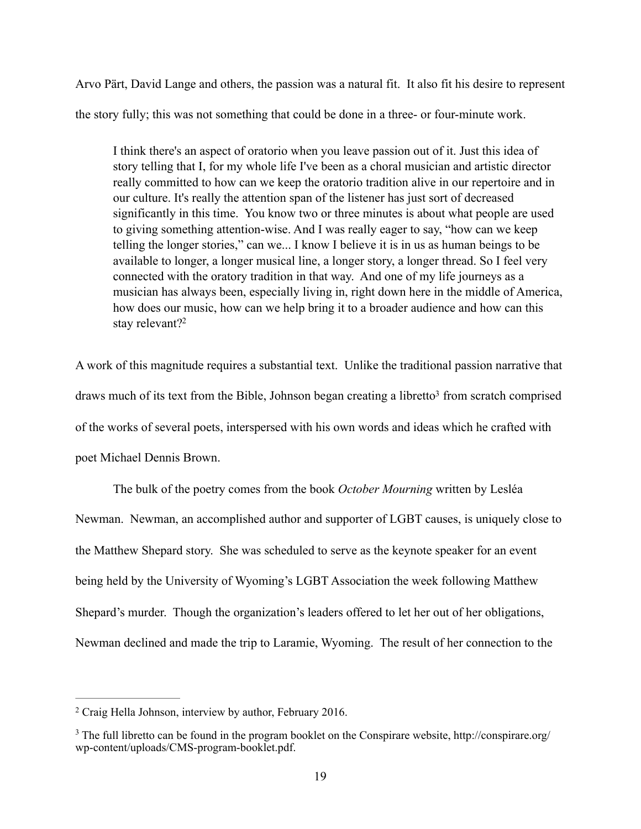Arvo Pärt, David Lange and others, the passion was a natural fit. It also fit his desire to represent the story fully; this was not something that could be done in a three- or four-minute work.

I think there's an aspect of oratorio when you leave passion out of it. Just this idea of story telling that I, for my whole life I've been as a choral musician and artistic director really committed to how can we keep the oratorio tradition alive in our repertoire and in our culture. It's really the attention span of the listener has just sort of decreased significantly in this time. You know two or three minutes is about what people are used to giving something attention-wise. And I was really eager to say, "how can we keep telling the longer stories," can we... I know I believe it is in us as human beings to be available to longer, a longer musical line, a longer story, a longer thread. So I feel very connected with the oratory tradition in that way. And one of my life journeys as a musician has always been, especially living in, right down here in the middle of America, how does our music, how can we help bring it to a broader audience and how can this stay relevant?<sup>2</sup>

<span id="page-26-3"></span><span id="page-26-2"></span>A work of this magnitude requires a substantial text. Unlike the traditional passion narrative that draws much [o](#page-26-1)f its text from the Bible, Johnson began creating a libretto<sup>[3](#page-26-1)</sup> from scratch comprised of the works of several poets, interspersed with his own words and ideas which he crafted with poet Michael Dennis Brown.

 The bulk of the poetry comes from the book *October Mourning* written by Lesléa Newman. Newman, an accomplished author and supporter of LGBT causes, is uniquely close to the Matthew Shepard story. She was scheduled to serve as the keynote speaker for an event being held by the University of Wyoming's LGBT Association the week following Matthew Shepard's murder. Though the organization's leaders offered to let her out of her obligations, Newman declined and made the trip to Laramie, Wyoming. The result of her connection to the

<span id="page-26-0"></span><sup>&</sup>lt;sup>[2](#page-26-2)</sup> Craig Hella Johnson, interview by author, February 2016.

<span id="page-26-1"></span><sup>&</sup>lt;sup>[3](#page-26-3)</sup> The full libretto can be found in the program booklet on the Conspirare website, http://conspirare.org/ wp-content/uploads/CMS-program-booklet.pdf.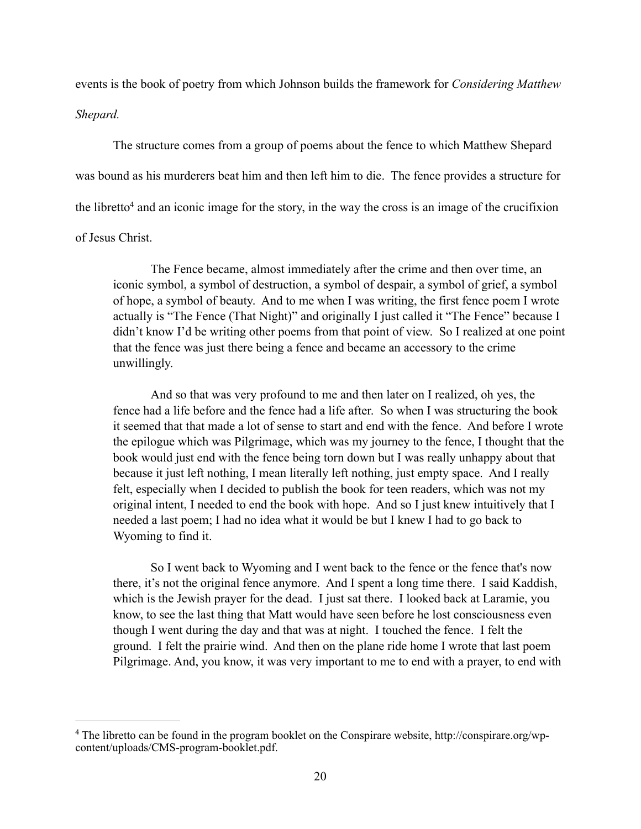events is the book of poetry from which Johnson builds the framework for *Considering Matthew* 

#### *Shepard.*

The structure comes from a group of poems about the fence to which Matthew Shepard was bound as his murderers beat him and then left him to die. The fence provides a structure for the librett[o](#page-27-0)<sup>[4](#page-27-0)</sup> and an iconic image for the story, in the way the cross is an image of the crucifixion of Jesus Christ.

<span id="page-27-1"></span> The Fence became, almost immediately after the crime and then over time, an iconic symbol, a symbol of destruction, a symbol of despair, a symbol of grief, a symbol of hope, a symbol of beauty. And to me when I was writing, the first fence poem I wrote actually is "The Fence (That Night)" and originally I just called it "The Fence" because I didn't know I'd be writing other poems from that point of view. So I realized at one point that the fence was just there being a fence and became an accessory to the crime unwillingly.

 And so that was very profound to me and then later on I realized, oh yes, the fence had a life before and the fence had a life after. So when I was structuring the book it seemed that that made a lot of sense to start and end with the fence. And before I wrote the epilogue which was Pilgrimage, which was my journey to the fence, I thought that the book would just end with the fence being torn down but I was really unhappy about that because it just left nothing, I mean literally left nothing, just empty space. And I really felt, especially when I decided to publish the book for teen readers, which was not my original intent, I needed to end the book with hope. And so I just knew intuitively that I needed a last poem; I had no idea what it would be but I knew I had to go back to Wyoming to find it.

 So I went back to Wyoming and I went back to the fence or the fence that's now there, it's not the original fence anymore. And I spent a long time there. I said Kaddish, which is the Jewish prayer for the dead. I just sat there. I looked back at Laramie, you know, to see the last thing that Matt would have seen before he lost consciousness even though I went during the day and that was at night. I touched the fence. I felt the ground. I felt the prairie wind. And then on the plane ride home I wrote that last poem Pilgrimage. And, you know, it was very important to me to end with a prayer, to end with

<span id="page-27-0"></span><sup>&</sup>lt;sup>[4](#page-27-1)</sup> The libretto can be found in the program booklet on the Conspirare website, http://conspirare.org/wpcontent/uploads/CMS-program-booklet.pdf.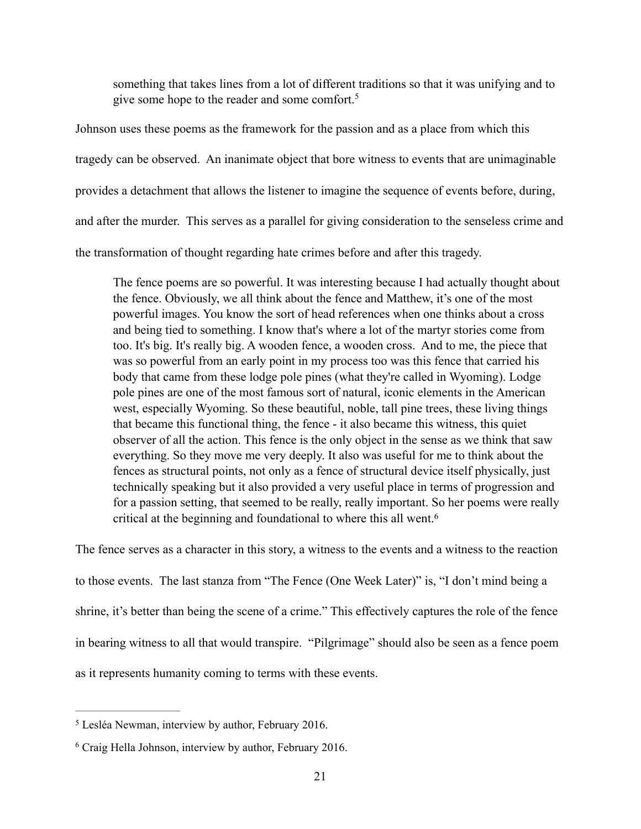<span id="page-28-2"></span>something that takes lines from a lot of different traditions so that it was unifying and to give some hope to the reader and some comfort.<sup>[5](#page-28-0)</sup>

Johnson uses these poems as the framework for the passion and as a place from which this tragedy can be observed. An inanimate object that bore witness to events that are unimaginable provides a detachment that allows the listener to imagine the sequence of events before, during, and after the murder. This serves as a parallel for giving consideration to the senseless crime and the transformation of thought regarding hate crimes before and after this tragedy.

The fence poems are so powerful. It was interesting because I had actually thought about the fence. Obviously, we all think about the fence and Matthew, it's one of the most powerful images. You know the sort of head references when one thinks about a cross and being tied to something. I know that's where a lot of the martyr stories come from too. It's big. It's really big. A wooden fence, a wooden cross. And to me, the piece that was so powerful from an early point in my process too was this fence that carried his body that came from these lodge pole pines (what they're called in Wyoming). Lodge pole pines are one of the most famous sort of natural, iconic elements in the American west, especially Wyoming. So these beautiful, noble, tall pine trees, these living things that became this functional thing, the fence - it also became this witness, this quiet observer of all the action. This fence is the only object in the sense as we think that saw everything. So they move me very deeply. It also was useful for me to think about the fences as structural points, not only as a fence of structural device itself physically, just technically speaking but it also provided a very useful place in terms of progression and for a passion setting, that seemed to be really, really important. So her poems were really critical at the beginning and foundational to where this all went.[6](#page-28-1)

<span id="page-28-3"></span>The fence serves as a character in this story, a witness to the events and a witness to the reaction to those events. The last stanza from "The Fence (One Week Later)" is, "I don't mind being a shrine, it's better than being the scene of a crime." This effectively captures the role of the fence in bearing witness to all that would transpire. "Pilgrimage" should also be seen as a fence poem as it represents humanity coming to terms with these events.

<span id="page-28-0"></span><sup>&</sup>lt;sup>[5](#page-28-2)</sup> Lesléa Newman, interview by author, February 2016.

<span id="page-28-1"></span> $6$  Craig Hella Johnson, interview by author, February 2016.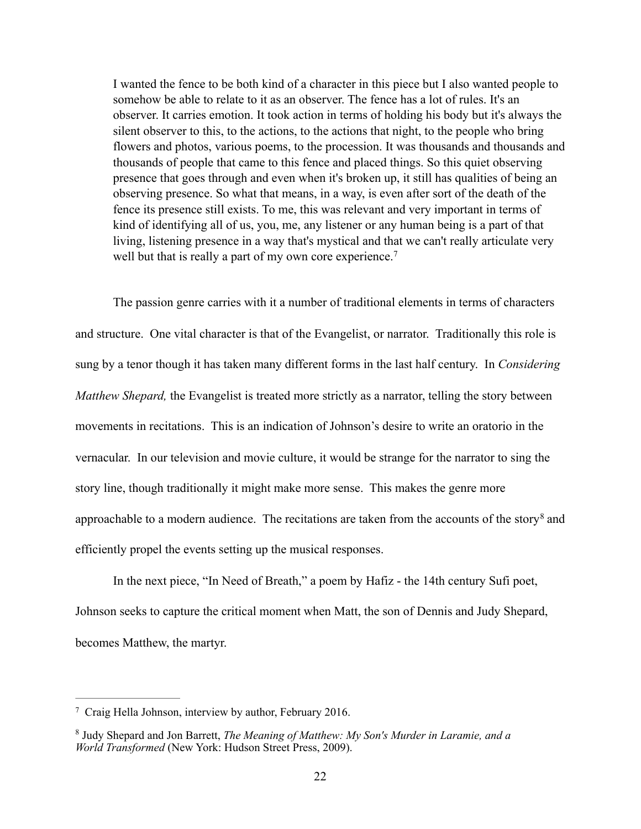I wanted the fence to be both kind of a character in this piece but I also wanted people to somehow be able to relate to it as an observer. The fence has a lot of rules. It's an observer. It carries emotion. It took action in terms of holding his body but it's always the silent observer to this, to the actions, to the actions that night, to the people who bring flowers and photos, various poems, to the procession. It was thousands and thousands and thousands of people that came to this fence and placed things. So this quiet observing presence that goes through and even when it's broken up, it still has qualities of being an observing presence. So what that means, in a way, is even after sort of the death of the fence its presence still exists. To me, this was relevant and very important in terms of kind of identifying all of us, you, me, any listener or any human being is a part of that living, listening presence in a way that's mystical and that we can't really articulate very well but that is really a part of my own core experience.<sup>[7](#page-29-0)</sup>

<span id="page-29-2"></span> The passion genre carries with it a number of traditional elements in terms of characters and structure. One vital character is that of the Evangelist, or narrator. Traditionally this role is sung by a tenor though it has taken many different forms in the last half century. In *Considering Matthew Shepard,* the Evangelist is treated more strictly as a narrator, telling the story between movements in recitations. This is an indication of Johnson's desire to write an oratorio in the vernacular. In our television and movie culture, it would be strange for the narrator to sing the story line, though traditionally it might make more sense. This makes the genre more approachableto a modern audience. The recitations are taken from the accounts of the story<sup>[8](#page-29-1)</sup> and efficiently propel the events setting up the musical responses.

<span id="page-29-3"></span> In the next piece, "In Need of Breath," a poem by Hafiz - the 14th century Sufi poet, Johnson seeks to capture the critical moment when Matt, the son of Dennis and Judy Shepard, becomes Matthew, the martyr.

<span id="page-29-0"></span>Craig Hella Johnson, interview by author, February 2016. [7](#page-29-2)

<span id="page-29-1"></span>Judy Shepard and Jon Barrett, *The Meaning of Matthew: My Son's Murder in Laramie, and a* [8](#page-29-3) *World Transformed* (New York: Hudson Street Press, 2009).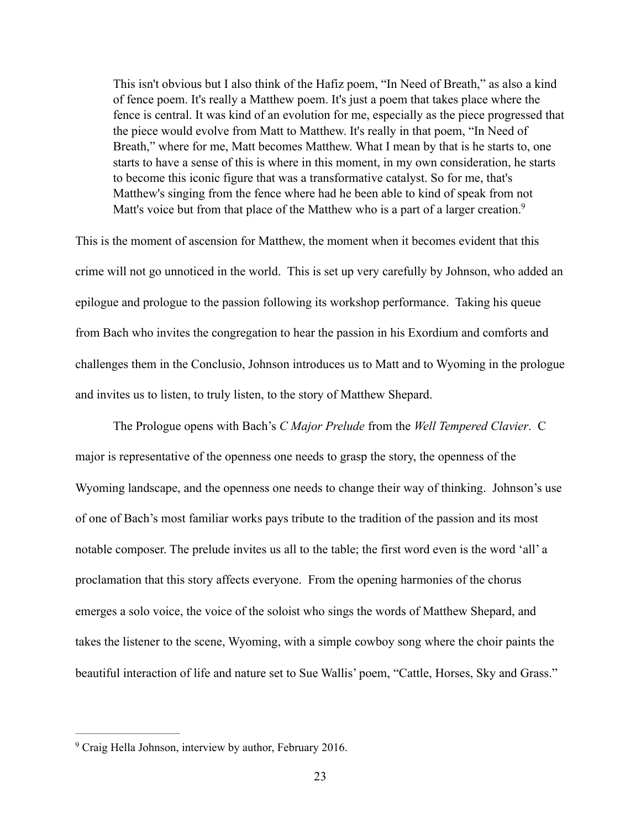<span id="page-30-1"></span>This isn't obvious but I also think of the Hafiz poem, "In Need of Breath," as also a kind of fence poem. It's really a Matthew poem. It's just a poem that takes place where the fence is central. It was kind of an evolution for me, especially as the piece progressed that the piece would evolve from Matt to Matthew. It's really in that poem, "In Need of Breath," where for me, Matt becomes Matthew. What I mean by that is he starts to, one starts to have a sense of this is where in this moment, in my own consideration, he starts to become this iconic figure that was a transformative catalyst. So for me, that's Matthew's singing from the fence where had he been able to kind of speak from not Matt's voice but from that place of the Matthew who is a part of a larger creation.<sup>9</sup>

This is the moment of ascension for Matthew, the moment when it becomes evident that this crime will not go unnoticed in the world. This is set up very carefully by Johnson, who added an epilogue and prologue to the passion following its workshop performance. Taking his queue from Bach who invites the congregation to hear the passion in his Exordium and comforts and challenges them in the Conclusio, Johnson introduces us to Matt and to Wyoming in the prologue and invites us to listen, to truly listen, to the story of Matthew Shepard.

 The Prologue opens with Bach's *C Major Prelude* from the *Well Tempered Clavier*. C major is representative of the openness one needs to grasp the story, the openness of the Wyoming landscape, and the openness one needs to change their way of thinking. Johnson's use of one of Bach's most familiar works pays tribute to the tradition of the passion and its most notable composer. The prelude invites us all to the table; the first word even is the word 'all' a proclamation that this story affects everyone. From the opening harmonies of the chorus emerges a solo voice, the voice of the soloist who sings the words of Matthew Shepard, and takes the listener to the scene, Wyoming, with a simple cowboy song where the choir paints the beautiful interaction of life and nature set to Sue Wallis' poem, "Cattle, Horses, Sky and Grass."

<span id="page-30-0"></span><sup>&</sup>lt;sup>[9](#page-30-1)</sup> Craig Hella Johnson, interview by author, February 2016.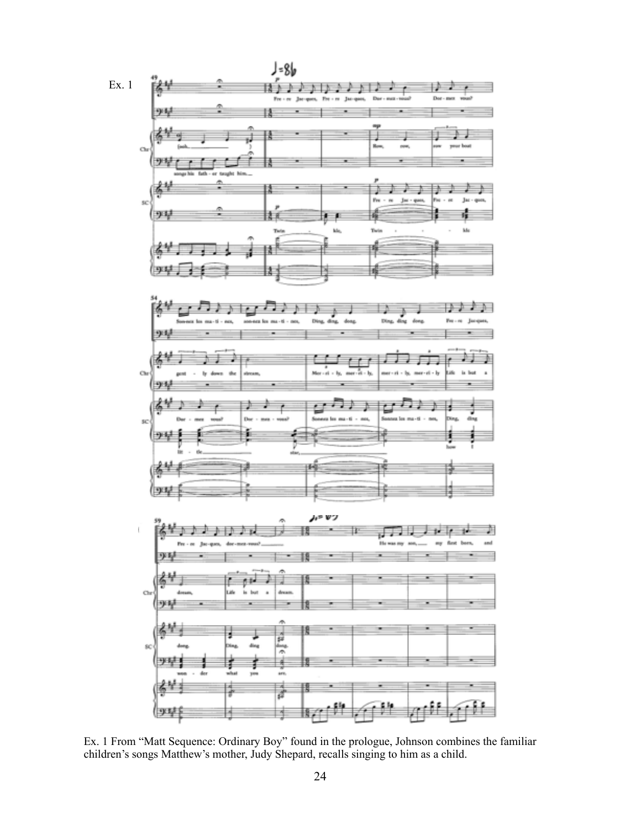

Ex. 1 From "Matt Sequence: Ordinary Boy" found in the prologue, Johnson combines the familiar children's songs Matthew's mother, Judy Shepard, recalls singing to him as a child.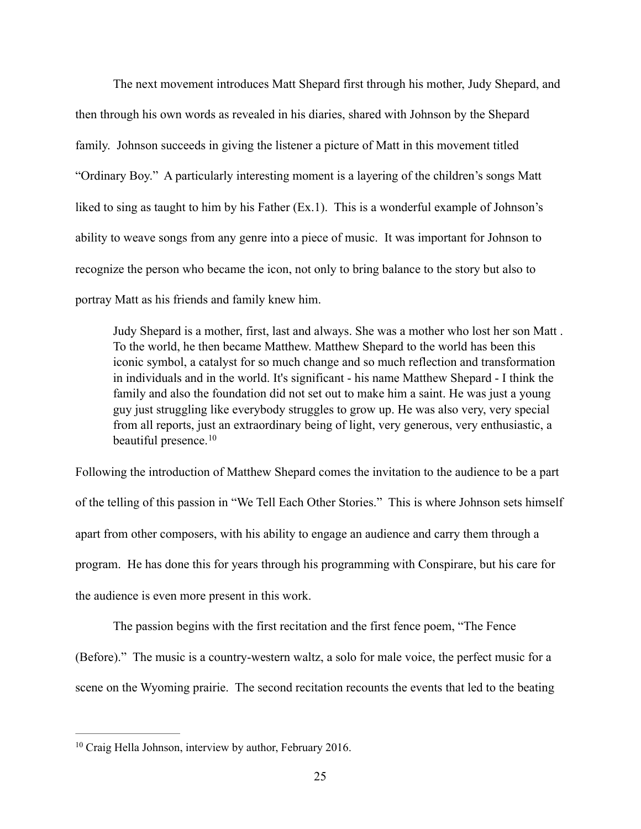The next movement introduces Matt Shepard first through his mother, Judy Shepard, and then through his own words as revealed in his diaries, shared with Johnson by the Shepard family. Johnson succeeds in giving the listener a picture of Matt in this movement titled "Ordinary Boy." A particularly interesting moment is a layering of the children's songs Matt liked to sing as taught to him by his Father (Ex.1). This is a wonderful example of Johnson's ability to weave songs from any genre into a piece of music. It was important for Johnson to recognize the person who became the icon, not only to bring balance to the story but also to portray Matt as his friends and family knew him.

Judy Shepard is a mother, first, last and always. She was a mother who lost her son Matt . To the world, he then became Matthew. Matthew Shepard to the world has been this iconic symbol, a catalyst for so much change and so much reflection and transformation in individuals and in the world. It's significant - his name Matthew Shepard - I think the family and also the foundation did not set out to make him a saint. He was just a young guy just struggling like everybody struggles to grow up. He was also very, very special from all reports, just an extraordinary being of light, very generous, very enthusiastic, a beautiful presence.<sup>[10](#page-32-0)</sup>

<span id="page-32-1"></span>Following the introduction of Matthew Shepard comes the invitation to the audience to be a part of the telling of this passion in "We Tell Each Other Stories." This is where Johnson sets himself apart from other composers, with his ability to engage an audience and carry them through a program. He has done this for years through his programming with Conspirare, but his care for the audience is even more present in this work.

 The passion begins with the first recitation and the first fence poem, "The Fence (Before)." The music is a country-western waltz, a solo for male voice, the perfect music for a scene on the Wyoming prairie. The second recitation recounts the events that led to the beating

<span id="page-32-0"></span> $10$  Craig Hella Johnson, interview by author, February 2016.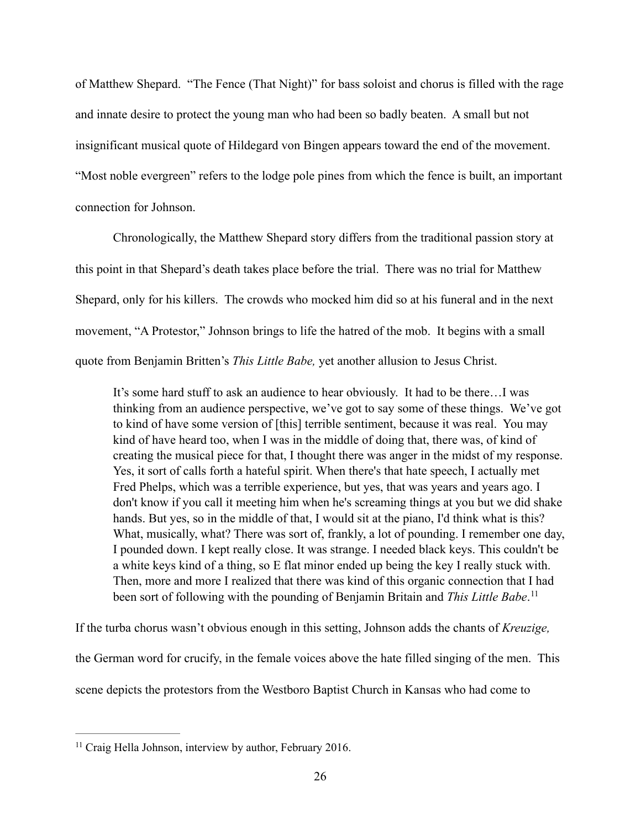of Matthew Shepard. "The Fence (That Night)" for bass soloist and chorus is filled with the rage and innate desire to protect the young man who had been so badly beaten. A small but not insignificant musical quote of Hildegard von Bingen appears toward the end of the movement. "Most noble evergreen" refers to the lodge pole pines from which the fence is built, an important connection for Johnson.

 Chronologically, the Matthew Shepard story differs from the traditional passion story at this point in that Shepard's death takes place before the trial. There was no trial for Matthew Shepard, only for his killers. The crowds who mocked him did so at his funeral and in the next movement, "A Protestor," Johnson brings to life the hatred of the mob. It begins with a small quote from Benjamin Britten's *This Little Babe,* yet another allusion to Jesus Christ.

It's some hard stuff to ask an audience to hear obviously. It had to be there…I was thinking from an audience perspective, we've got to say some of these things. We've got to kind of have some version of [this] terrible sentiment, because it was real. You may kind of have heard too, when I was in the middle of doing that, there was, of kind of creating the musical piece for that, I thought there was anger in the midst of my response. Yes, it sort of calls forth a hateful spirit. When there's that hate speech, I actually met Fred Phelps, which was a terrible experience, but yes, that was years and years ago. I don't know if you call it meeting him when he's screaming things at you but we did shake hands. But yes, so in the middle of that, I would sit at the piano, I'd think what is this? What, musically, what? There was sort of, frankly, a lot of pounding. I remember one day, I pounded down. I kept really close. It was strange. I needed black keys. This couldn't be a white keys kind of a thing, so E flat minor ended up being the key I really stuck with. Then, more and more I realized that there was kind of this organic connection that I had been sort of following with the pounding of Benjamin Britain and *This Little Babe*. [11](#page-33-0)

<span id="page-33-1"></span>If the turba chorus wasn't obvious enough in this setting, Johnson adds the chants of *Kreuzige,*  the German word for crucify, in the female voices above the hate filled singing of the men. This scene depicts the protestors from the Westboro Baptist Church in Kansas who had come to

<span id="page-33-0"></span> $<sup>11</sup>$  $<sup>11</sup>$  $<sup>11</sup>$  Craig Hella Johnson, interview by author, February 2016.</sup>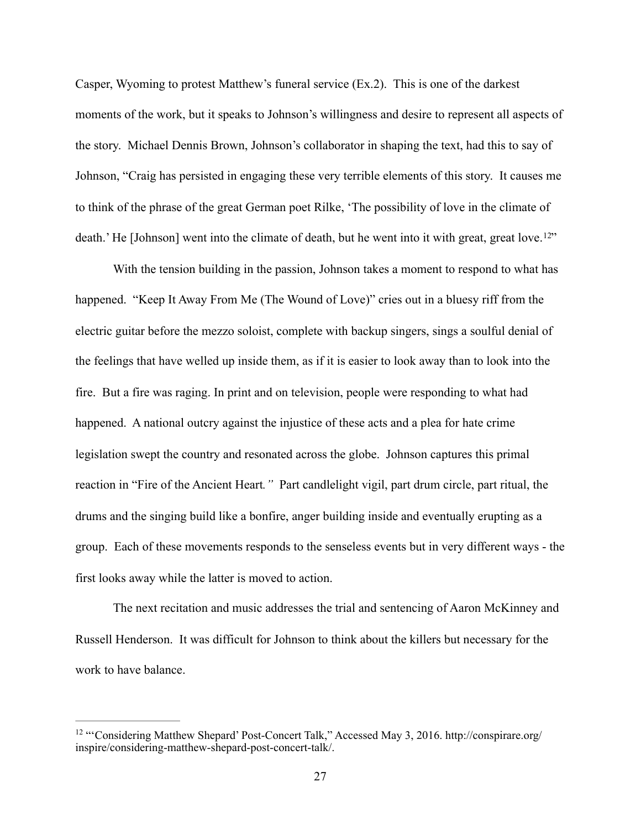Casper, Wyoming to protest Matthew's funeral service (Ex.2). This is one of the darkest moments of the work, but it speaks to Johnson's willingness and desire to represent all aspects of the story. Michael Dennis Brown, Johnson's collaborator in shaping the text, had this to say of Johnson, "Craig has persisted in engaging these very terrible elements of this story. It causes me to think of the phrase of the great German poet Rilke, 'The possibility of love in the climate of death.' He [Johnson] went into the climate of death, but he went into it with great, great love.<sup>12["](#page-34-0)</sup>

<span id="page-34-1"></span> With the tension building in the passion, Johnson takes a moment to respond to what has happened. "Keep It Away From Me (The Wound of Love)" cries out in a bluesy riff from the electric guitar before the mezzo soloist, complete with backup singers, sings a soulful denial of the feelings that have welled up inside them, as if it is easier to look away than to look into the fire. But a fire was raging. In print and on television, people were responding to what had happened. A national outcry against the injustice of these acts and a plea for hate crime legislation swept the country and resonated across the globe. Johnson captures this primal reaction in "Fire of the Ancient Heart*."* Part candlelight vigil, part drum circle, part ritual, the drums and the singing build like a bonfire, anger building inside and eventually erupting as a group. Each of these movements responds to the senseless events but in very different ways - the first looks away while the latter is moved to action.

 The next recitation and music addresses the trial and sentencing of Aaron McKinney and Russell Henderson. It was difficult for Johnson to think about the killers but necessary for the work to have balance.

<span id="page-34-0"></span><sup>&</sup>lt;sup>[12](#page-34-1)</sup> "'Considering Matthew Shepard' Post-Concert Talk," Accessed May 3, 2016. http://conspirare.org/ inspire/considering-matthew-shepard-post-concert-talk/.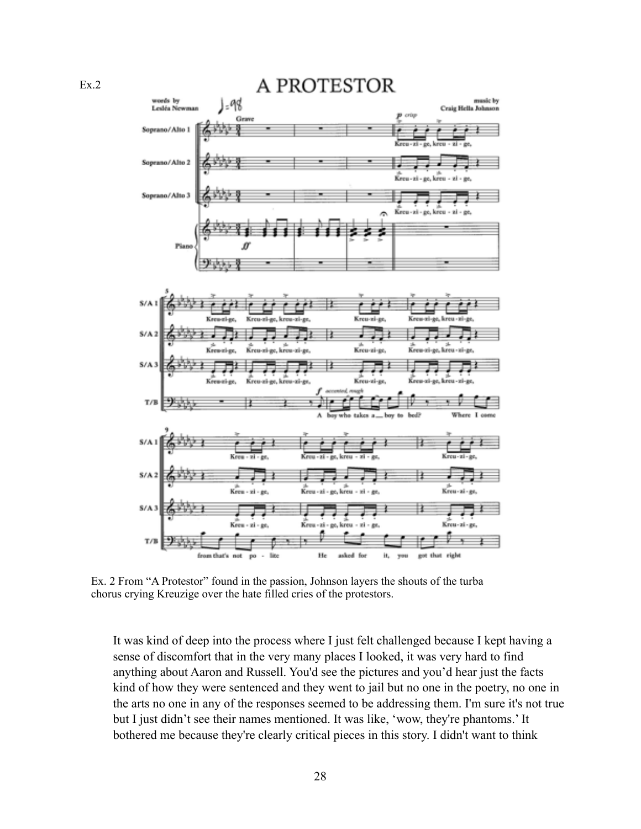A PROTESTOR words by music by -98 Lesléa New Craig Hella Johnson Gn Soprano/Alto 1 Soprano/Alto 2 Kreu - zi - ge, kreu vi. Soprano/Alto 3 Piano  $S/A1$  $S/I$ Kreu-zi-ge κĩ. zi-pe  $S/A$ 4 Keepsi-ge, kreu-zi-ge, Kreu-zi-ge  $T/B$ Where х ٨ takes com  $S/A$  $S/A$ ł Kreu-zi-gr. ge, kreu - zi - ge, ui.  $S/A$ Kro  $T/B$ He right from that's not po asked it. got that

Ex. 2 From "A Protestor" found in the passion, Johnson layers the shouts of the turba chorus crying Kreuzige over the hate filled cries of the protestors.

It was kind of deep into the process where I just felt challenged because I kept having a sense of discomfort that in the very many places I looked, it was very hard to find anything about Aaron and Russell. You'd see the pictures and you'd hear just the facts kind of how they were sentenced and they went to jail but no one in the poetry, no one in the arts no one in any of the responses seemed to be addressing them. I'm sure it's not true but I just didn't see their names mentioned. It was like, 'wow, they're phantoms.' It bothered me because they're clearly critical pieces in this story. I didn't want to think

Ex.2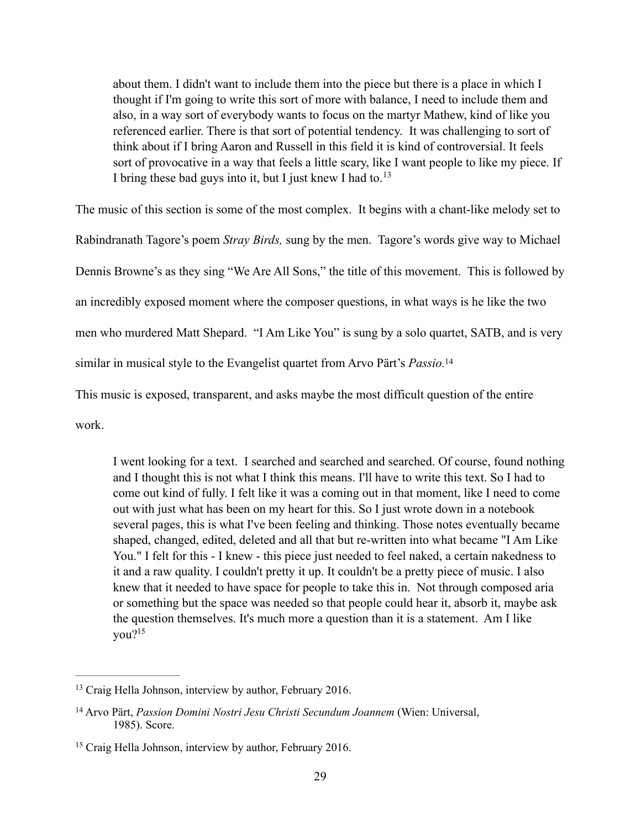<span id="page-36-3"></span>about them. I didn't want to include them into the piece but there is a place in which I thought if I'm going to write this sort of more with balance, I need to include them and also, in a way sort of everybody wants to focus on the martyr Mathew, kind of like you referenced earlier. There is that sort of potential tendency. It was challenging to sort of think about if I bring Aaron and Russell in this field it is kind of controversial. It feels sort of provocative in a way that feels a little scary, like I want people to like my piece. If I bring these bad guys into it, but I just knew I had to.<sup>13</sup>

The music of this section is some of the most complex. It begins with a chant-like melody set to

Rabindranath Tagore's poem *Stray Birds,* sung by the men. Tagore's words give way to Michael

Dennis Browne's as they sing "We Are All Sons," the title of this movement. This is followed by

an incredibly exposed moment where the composer questions, in what ways is he like the two

men who murdered Matt Shepard. "I Am Like You" is sung by a solo quartet, SATB, and is very

similar in musical style to the Evangelist quartet from Arvo Pärt's *Passio[.](#page-36-1)* <sup>14</sup>

This music is exposed, transparent, and asks maybe the most difficult question of the entire

work.

<span id="page-36-4"></span>I went looking for a text. I searched and searched and searched. Of course, found nothing and I thought this is not what I think this means. I'll have to write this text. So I had to come out kind of fully. I felt like it was a coming out in that moment, like I need to come out with just what has been on my heart for this. So I just wrote down in a notebook several pages, this is what I've been feeling and thinking. Those notes eventually became shaped, changed, edited, deleted and all that but re-written into what became "I Am Like You." I felt for this - I knew - this piece just needed to feel naked, a certain nakedness to it and a raw quality. I couldn't pretty it up. It couldn't be a pretty piece of music. I also knew that it needed to have space for people to take this in. Not through composed aria or something but the space was needed so that people could hear it, absorb it, maybe ask the question themselves. It's much more a question than it is a statement. Am I like you[?15](#page-36-2)

<span id="page-36-5"></span><span id="page-36-0"></span> $13$  Craig Hella Johnson, interview by author, February 2016.

<span id="page-36-1"></span><sup>&</sup>lt;sup>[14](#page-36-4)</sup> Arvo Pärt, *Passion Domini Nostri Jesu Christi Secundum Joannem* (Wien: Universal, 1985). Score.

<span id="page-36-2"></span> $15$  Craig Hella Johnson, interview by author, February 2016.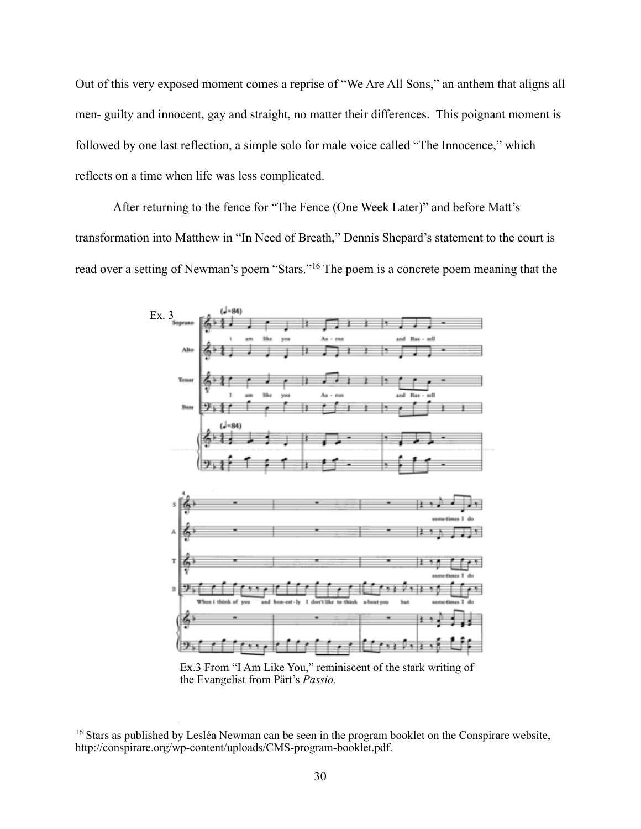Out of this very exposed moment comes a reprise of "We Are All Sons," an anthem that aligns all men- guilty and innocent, gay and straight, no matter their differences. This poignant moment is followed by one last reflection, a simple solo for male voice called "The Innocence," which reflects on a time when life was less complicated.

 After returning to the fence for "The Fence (One Week Later)" and before Matt's transformation into Matthew in "In Need of Breath," Dennis Shepard's statement to the court is readover a setting of Newman's poem "Stars."<sup>[16](#page-37-0)</sup> The poem is a concrete poem meaning that the

<span id="page-37-1"></span>

Ex.3 From "I Am Like You," reminiscent of the stark writing of the Evangelist from Pärt's *Passio.*

<span id="page-37-0"></span><sup>&</sup>lt;sup>[16](#page-37-1)</sup> Stars as published by Lesléa Newman can be seen in the program booklet on the Conspirare website, http://conspirare.org/wp-content/uploads/CMS-program-booklet.pdf.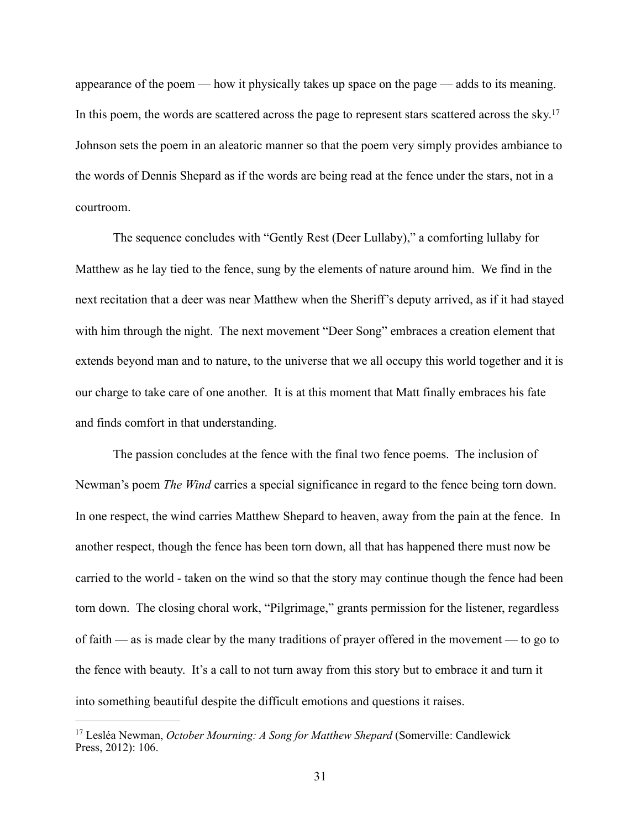<span id="page-38-1"></span>appearance of the poem — how it physically takes up space on the page — adds to its meaning. In this poem, the words are scattered across the page to represent stars scattered across the sky[.](#page-38-0)<sup>[17](#page-38-0)</sup> Johnson sets the poem in an aleatoric manner so that the poem very simply provides ambiance to the words of Dennis Shepard as if the words are being read at the fence under the stars, not in a courtroom.

 The sequence concludes with "Gently Rest (Deer Lullaby)," a comforting lullaby for Matthew as he lay tied to the fence, sung by the elements of nature around him. We find in the next recitation that a deer was near Matthew when the Sheriff's deputy arrived, as if it had stayed with him through the night. The next movement "Deer Song" embraces a creation element that extends beyond man and to nature, to the universe that we all occupy this world together and it is our charge to take care of one another. It is at this moment that Matt finally embraces his fate and finds comfort in that understanding.

 The passion concludes at the fence with the final two fence poems. The inclusion of Newman's poem *The Wind* carries a special significance in regard to the fence being torn down. In one respect, the wind carries Matthew Shepard to heaven, away from the pain at the fence. In another respect, though the fence has been torn down, all that has happened there must now be carried to the world - taken on the wind so that the story may continue though the fence had been torn down. The closing choral work, "Pilgrimage," grants permission for the listener, regardless of faith — as is made clear by the many traditions of prayer offered in the movement — to go to the fence with beauty. It's a call to not turn away from this story but to embrace it and turn it into something beautiful despite the difficult emotions and questions it raises.

<span id="page-38-0"></span><sup>&</sup>lt;sup>[17](#page-38-1)</sup> Lesléa Newman, *October Mourning: A Song for Matthew Shepard* (Somerville: Candlewick Press, 2012): 106.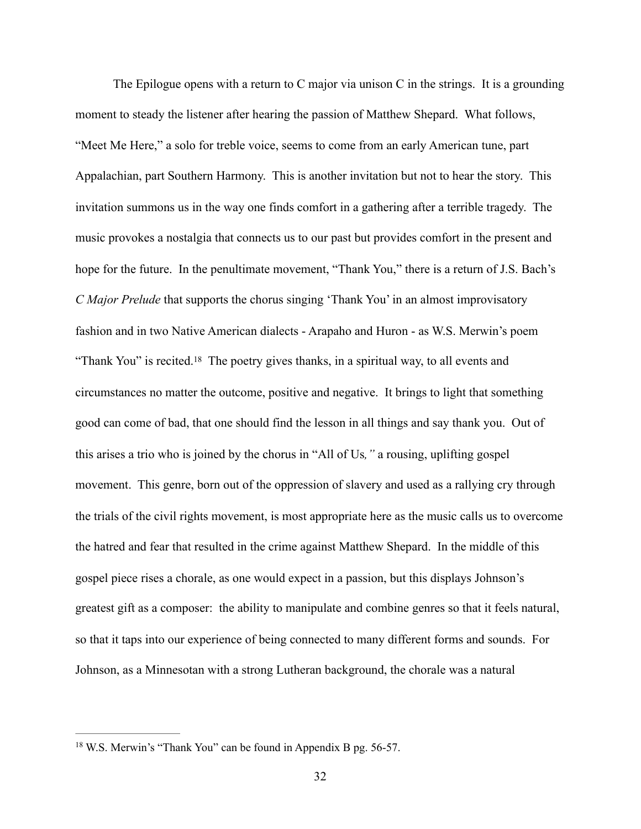<span id="page-39-1"></span> The Epilogue opens with a return to C major via unison C in the strings. It is a grounding moment to steady the listener after hearing the passion of Matthew Shepard. What follows, "Meet Me Here," a solo for treble voice, seems to come from an early American tune, part Appalachian, part Southern Harmony. This is another invitation but not to hear the story. This invitation summons us in the way one finds comfort in a gathering after a terrible tragedy. The music provokes a nostalgia that connects us to our past but provides comfort in the present and hope for the future. In the penultimate movement, "Thank You," there is a return of J.S. Bach's *C Major Prelude* that supports the chorus singing 'Thank You' in an almost improvisatory fashion and in two Native American dialects - Arapaho and Huron - as W.S. Merwin's poem "ThankYou" is recited.<sup>[18](#page-39-0)</sup> The poetry gives thanks, in a spiritual way, to all events and circumstances no matter the outcome, positive and negative. It brings to light that something good can come of bad, that one should find the lesson in all things and say thank you. Out of this arises a trio who is joined by the chorus in "All of Us*,"* a rousing, uplifting gospel movement. This genre, born out of the oppression of slavery and used as a rallying cry through the trials of the civil rights movement, is most appropriate here as the music calls us to overcome the hatred and fear that resulted in the crime against Matthew Shepard. In the middle of this gospel piece rises a chorale, as one would expect in a passion, but this displays Johnson's greatest gift as a composer: the ability to manipulate and combine genres so that it feels natural, so that it taps into our experience of being connected to many different forms and sounds. For Johnson, as a Minnesotan with a strong Lutheran background, the chorale was a natural

<span id="page-39-0"></span> $18$  W.S. Merwin's "Thank You" can be found in Appendix B pg. 56-57.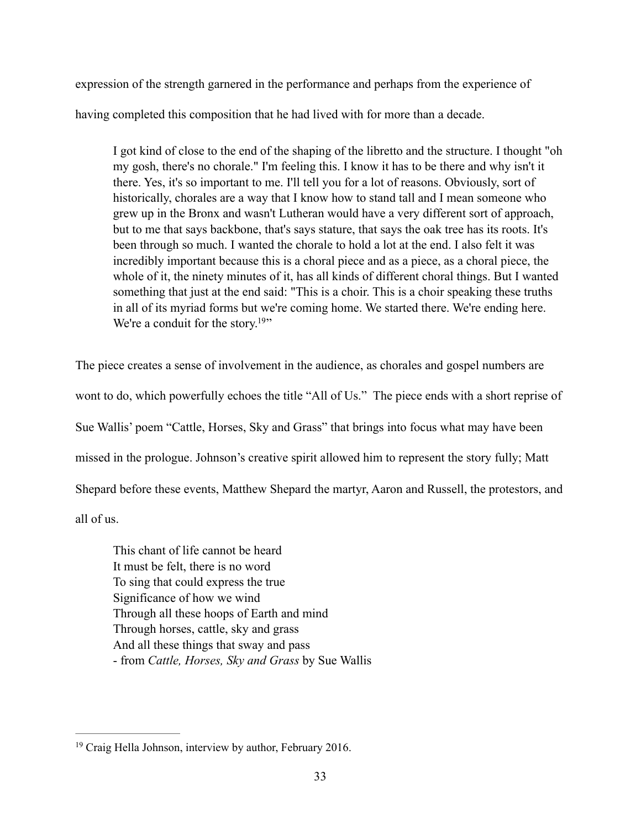expression of the strength garnered in the performance and perhaps from the experience of

having completed this composition that he had lived with for more than a decade.

I got kind of close to the end of the shaping of the libretto and the structure. I thought "oh my gosh, there's no chorale." I'm feeling this. I know it has to be there and why isn't it there. Yes, it's so important to me. I'll tell you for a lot of reasons. Obviously, sort of historically, chorales are a way that I know how to stand tall and I mean someone who grew up in the Bronx and wasn't Lutheran would have a very different sort of approach, but to me that says backbone, that's says stature, that says the oak tree has its roots. It's been through so much. I wanted the chorale to hold a lot at the end. I also felt it was incredibly important because this is a choral piece and as a piece, as a choral piece, the whole of it, the ninety minutes of it, has all kinds of different choral things. But I wanted something that just at the end said: "This is a choir. This is a choir speaking these truths in all of its myriad forms but we're coming home. We started there. We're ending here. We're a conduit for the story.<sup>[19](#page-40-0)</sup>"

<span id="page-40-1"></span>The piece creates a sense of involvement in the audience, as chorales and gospel numbers are wont to do, which powerfully echoes the title "All of Us." The piece ends with a short reprise of Sue Wallis' poem "Cattle, Horses, Sky and Grass" that brings into focus what may have been missed in the prologue. Johnson's creative spirit allowed him to represent the story fully; Matt Shepard before these events, Matthew Shepard the martyr, Aaron and Russell, the protestors, and all of us.

This chant of life cannot be heard It must be felt, there is no word To sing that could express the true Significance of how we wind Through all these hoops of Earth and mind Through horses, cattle, sky and grass And all these things that sway and pass - from *Cattle, Horses, Sky and Grass* by Sue Wallis

<span id="page-40-0"></span> $19$  Craig Hella Johnson, interview by author, February 2016.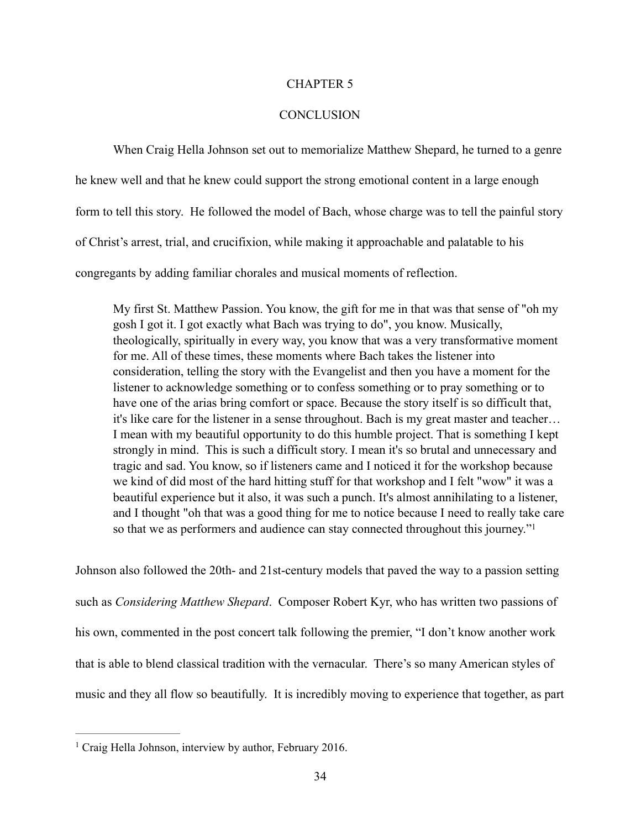### CHAPTER 5

### **CONCLUSION**

 When Craig Hella Johnson set out to memorialize Matthew Shepard, he turned to a genre he knew well and that he knew could support the strong emotional content in a large enough form to tell this story. He followed the model of Bach, whose charge was to tell the painful story of Christ's arrest, trial, and crucifixion, while making it approachable and palatable to his congregants by adding familiar chorales and musical moments of reflection.

My first St. Matthew Passion. You know, the gift for me in that was that sense of "oh my gosh I got it. I got exactly what Bach was trying to do", you know. Musically, theologically, spiritually in every way, you know that was a very transformative moment for me. All of these times, these moments where Bach takes the listener into consideration, telling the story with the Evangelist and then you have a moment for the listener to acknowledge something or to confess something or to pray something or to have one of the arias bring comfort or space. Because the story itself is so difficult that, it's like care for the listener in a sense throughout. Bach is my great master and teacher… I mean with my beautiful opportunity to do this humble project. That is something I kept strongly in mind. This is such a difficult story. I mean it's so brutal and unnecessary and tragic and sad. You know, so if listeners came and I noticed it for the workshop because we kind of did most of the hard hitting stuff for that workshop and I felt "wow" it was a beautiful experience but it also, it was such a punch. It's almost annihilating to a listener, and I thought "oh that was a good thing for me to notice because I need to really take care so that we as performers and audience can stay connected throughout this journey.["1](#page-41-0)

<span id="page-41-1"></span>Johnson also followed the 20th- and 21st-century models that paved the way to a passion setting such as *Considering Matthew Shepard*. Composer Robert Kyr, who has written two passions of his own, commented in the post concert talk following the premier, "I don't know another work that is able to blend classical tradition with the vernacular. There's so many American styles of music and they all flow so beautifully. It is incredibly moving to experience that together, as part

<span id="page-41-0"></span> $<sup>1</sup>$  $<sup>1</sup>$  $<sup>1</sup>$  Craig Hella Johnson, interview by author, February 2016.</sup>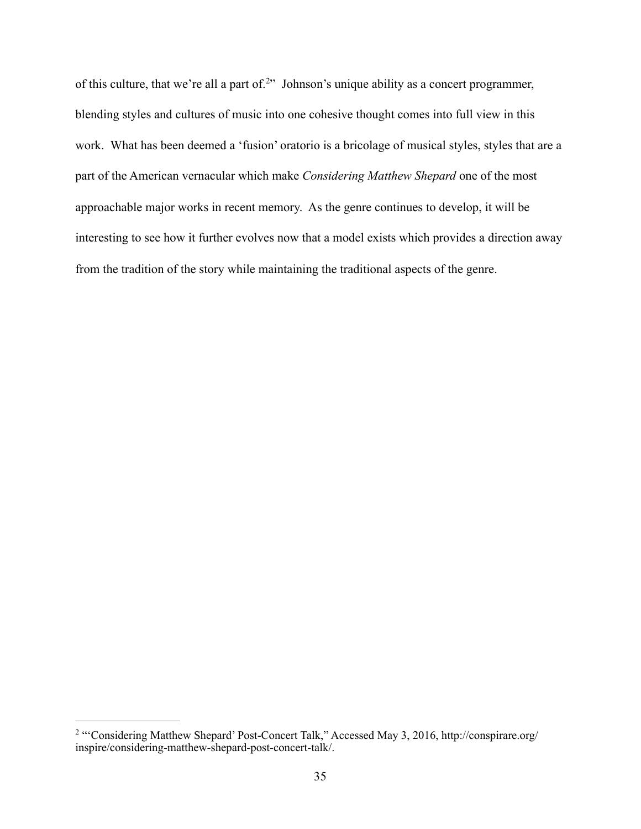<span id="page-42-1"></span>of this culture, that we're all a part of.<sup>[2](#page-42-0)</sup> Johnson's unique ability as a concert programmer, blending styles and cultures of music into one cohesive thought comes into full view in this work. What has been deemed a 'fusion' oratorio is a bricolage of musical styles, styles that are a part of the American vernacular which make *Considering Matthew Shepard* one of the most approachable major works in recent memory. As the genre continues to develop, it will be interesting to see how it further evolves now that a model exists which provides a direction away from the tradition of the story while maintaining the traditional aspects of the genre.

<span id="page-42-0"></span><sup>&</sup>lt;sup>[2](#page-42-1)</sup> "'Considering Matthew Shepard' Post-Concert Talk," Accessed May 3, 2016, http://conspirare.org/ inspire/considering-matthew-shepard-post-concert-talk/.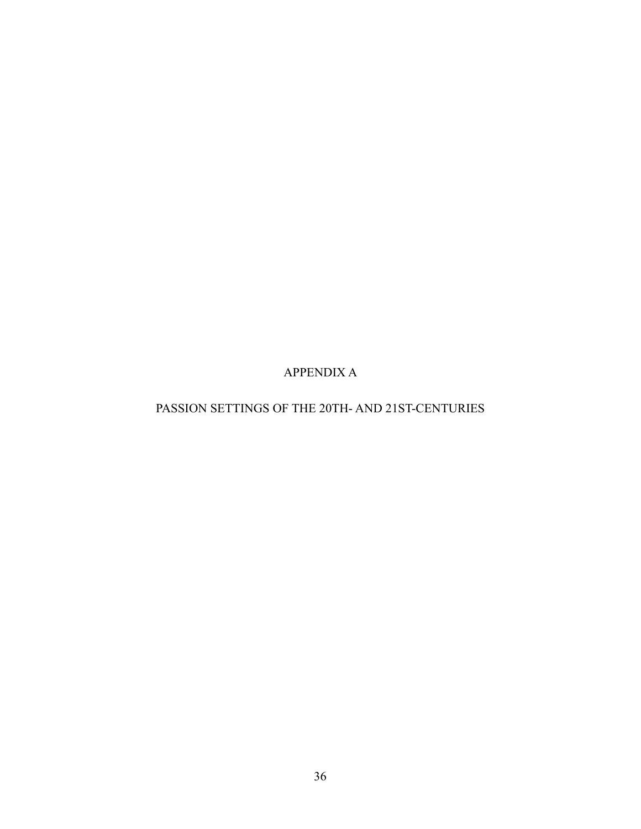APPENDIX A

# PASSION SETTINGS OF THE 20TH- AND 21ST-CENTURIES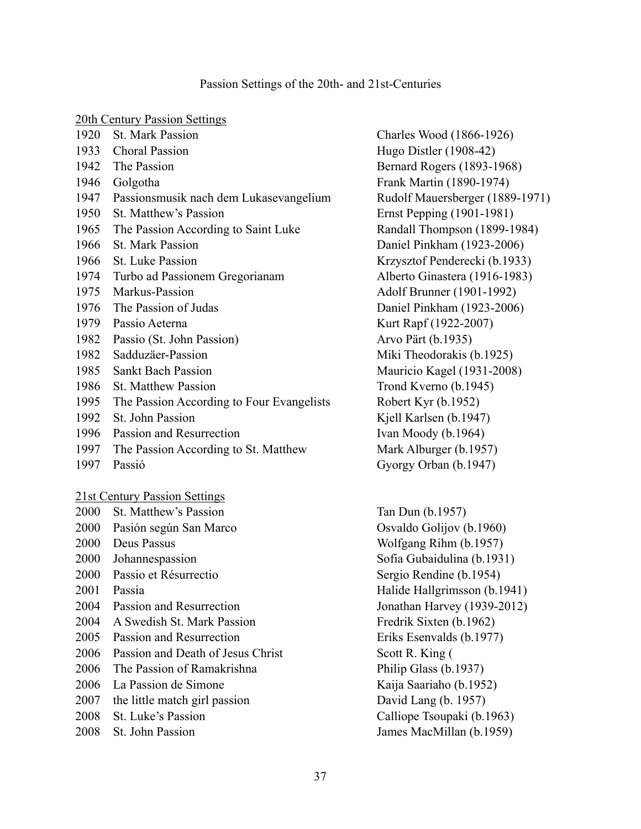# 20th Cantury Passion Settings

| ZUIII CUITUI Y FASSIOII SUITIILES |                                           |  |
|-----------------------------------|-------------------------------------------|--|
| 1920                              | <b>St. Mark Passion</b>                   |  |
| 1933                              | <b>Choral Passion</b>                     |  |
|                                   | 1942 The Passion                          |  |
|                                   | 1946 Golgotha                             |  |
| 1947                              | Passionsmusik nach dem Lukasevangelium    |  |
| 1950                              | St. Matthew's Passion                     |  |
| 1965                              | The Passion According to Saint Luke       |  |
| 1966                              | <b>St. Mark Passion</b>                   |  |
| 1966                              | <b>St. Luke Passion</b>                   |  |
| 1974                              | Turbo ad Passionem Gregorianam            |  |
| 1975                              | Markus-Passion                            |  |
| 1976                              | The Passion of Judas                      |  |
| 1979                              | Passio Aeterna                            |  |
| 1982                              | Passio (St. John Passion)                 |  |
| 1982                              | Sadduzäer-Passion                         |  |
| 1985                              | <b>Sankt Bach Passion</b>                 |  |
| 1986                              | <b>St. Matthew Passion</b>                |  |
| 1995                              | The Passion According to Four Evangelists |  |
| 1992                              | St. John Passion                          |  |
| 1996                              | Passion and Resurrection                  |  |
| 1997                              | The Passion According to St. Matthew      |  |
| 1997                              | Passió                                    |  |
|                                   |                                           |  |

21st Century Passion Settings

| 2000 | St. Matthew's Passion           |
|------|---------------------------------|
| 2000 | Pasión según San Marco          |
| 2000 | Deus Passus                     |
| 2000 | Johannespassion                 |
| 2000 | Passio et Résurrectio           |
| 2001 | Passia                          |
| 2004 | Passion and Resurrection        |
| 2004 | A Swedish St. Mark Passion      |
| 2005 | Passion and Resurrection        |
| 2006 | Passion and Death of Jesus Chri |
| 2006 | The Passion of Ramakrishna      |
| 2006 | La Passion de Simone            |
| 2007 | the little match girl passion   |
| 2008 | St. Luke's Passion              |
| 2008 | <b>St. John Passion</b>         |
|      |                                 |

Charles Wood (1866-1926) Hugo Distler  $(1908-42)$ Bernard Rogers (1893-1968) Frank Martin (1890-1974) Rudolf Mauersberger (1889-1971)  $Ernst$  Pepping  $(1901-1981)$ Randall Thompson (1899-1984) Daniel Pinkham (1923-2006) Krzysztof Penderecki (b.1933) Alberto Ginastera (1916-1983) Adolf Brunner (1901-1992) Daniel Pinkham (1923-2006) Kurt Rapf (1922-2007) Arvo Pärt (b.1935) Miki Theodorakis (b.1925) Mauricio Kagel (1931-2008) Trond Kverno (b.1945) Robert Kyr  $(b.1952)$ Kjell Karlsen (b.1947) Ivan Moody (b.1964) Mark Alburger (b.1957) Gyorgy Orban (b.1947)

Tan Dun (b.1957) Osvaldo Golijov (b.1960) Wolfgang Rihm (b.1957) Sofia Gubaidulina (b.1931) Sergio Rendine (b.1954) Halide Hallgrimsson (b.1941) Jonathan Harvey (1939-2012) Fredrik Sixten (b.1962) Eriks Esenvalds (b.1977)  $20000 \text{ scott R. King } ($ Philip Glass (b.1937) Kaija Saariaho (b.1952) David Lang (b. 1957) Calliope Tsoupaki (b.1963) James MacMillan (b.1959)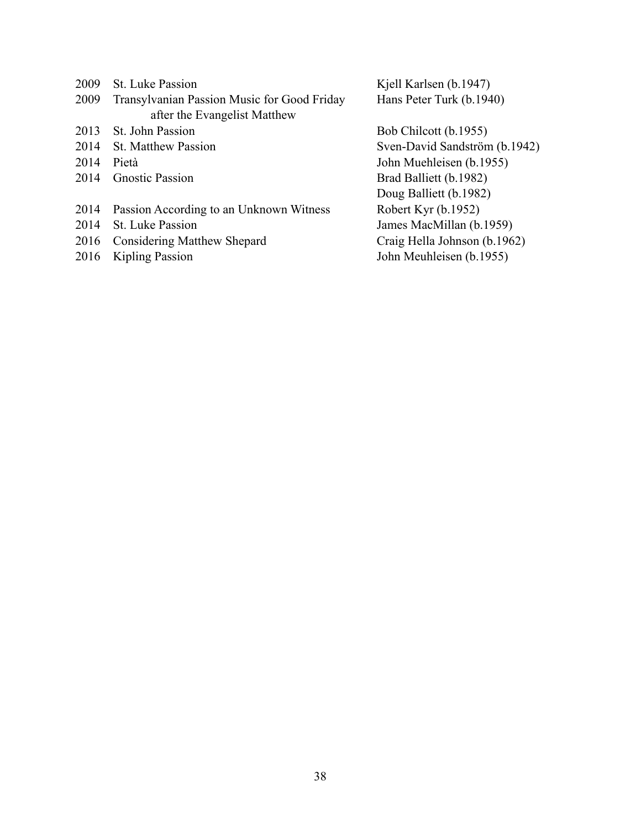- 
- 2009 Transylvanian Passion Music for Good Friday Hans Peter Turk (b.1940) after the Evangelist Matthew
- 2013 St. John Passion Bob Chilcott (b.1955)
- 
- 
- 
- 2014 Passion According to an Unknown Witness Robert Kyr (b.1952)
- 
- 2016 Considering Matthew Shepard Craig Hella Johnson (b.1962)
- 

2009 St. Luke Passion Kjell Karlsen (b.1947)

2014 St. Matthew Passion Sven-David Sandström (b.1942) 2014 Pietà John Muehleisen (b.1955) 2014 Gnostic Passion Brad Balliett (b.1982) Doug Balliett (b.1982) 2014 St. Luke Passion James MacMillan (b.1959) 2016 Kipling Passion John Meuhleisen (b.1955)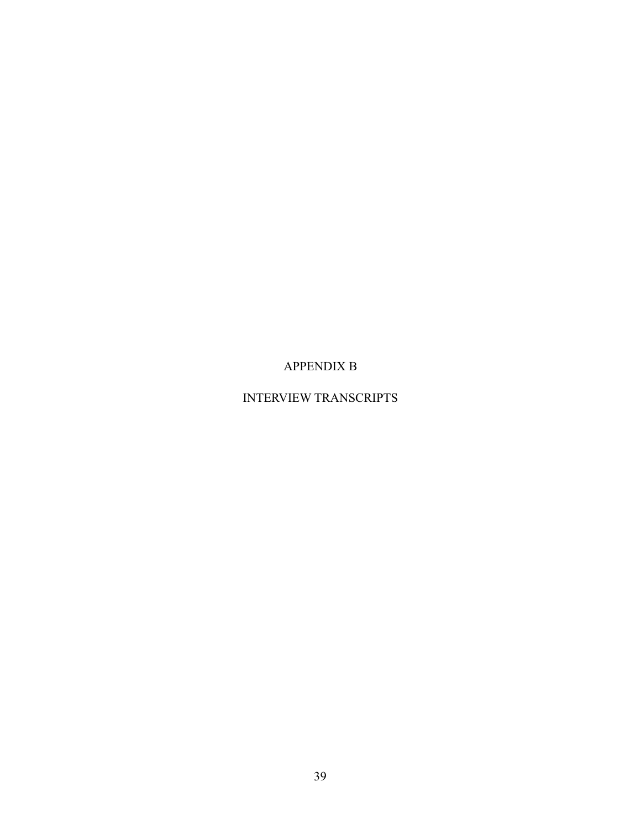APPENDIX B

# INTERVIEW TRANSCRIPTS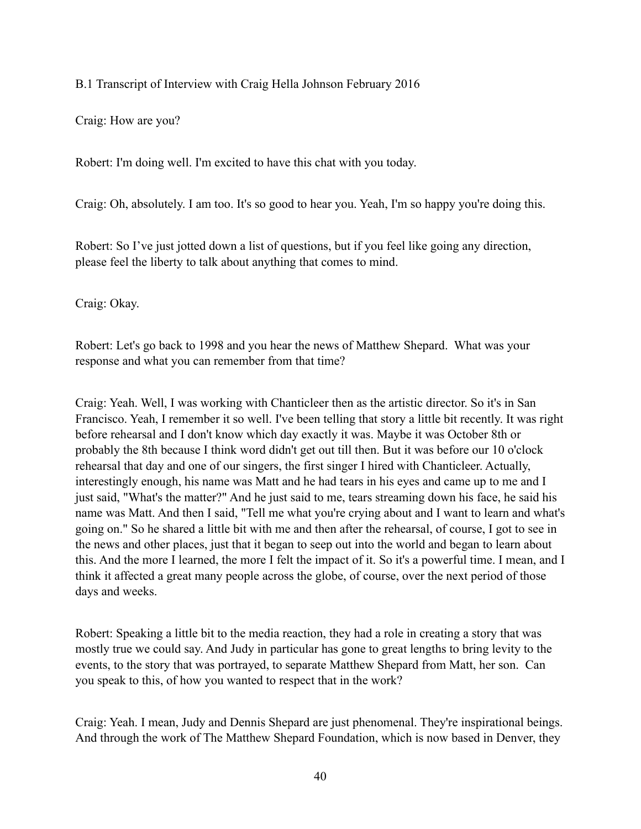B.1 Transcript of Interview with Craig Hella Johnson February 2016

Craig: How are you?

Robert: I'm doing well. I'm excited to have this chat with you today.

Craig: Oh, absolutely. I am too. It's so good to hear you. Yeah, I'm so happy you're doing this.

Robert: So I've just jotted down a list of questions, but if you feel like going any direction, please feel the liberty to talk about anything that comes to mind.

Craig: Okay.

Robert: Let's go back to 1998 and you hear the news of Matthew Shepard. What was your response and what you can remember from that time?

Craig: Yeah. Well, I was working with Chanticleer then as the artistic director. So it's in San Francisco. Yeah, I remember it so well. I've been telling that story a little bit recently. It was right before rehearsal and I don't know which day exactly it was. Maybe it was October 8th or probably the 8th because I think word didn't get out till then. But it was before our 10 o'clock rehearsal that day and one of our singers, the first singer I hired with Chanticleer. Actually, interestingly enough, his name was Matt and he had tears in his eyes and came up to me and I just said, "What's the matter?" And he just said to me, tears streaming down his face, he said his name was Matt. And then I said, "Tell me what you're crying about and I want to learn and what's going on." So he shared a little bit with me and then after the rehearsal, of course, I got to see in the news and other places, just that it began to seep out into the world and began to learn about this. And the more I learned, the more I felt the impact of it. So it's a powerful time. I mean, and I think it affected a great many people across the globe, of course, over the next period of those days and weeks.

Robert: Speaking a little bit to the media reaction, they had a role in creating a story that was mostly true we could say. And Judy in particular has gone to great lengths to bring levity to the events, to the story that was portrayed, to separate Matthew Shepard from Matt, her son. Can you speak to this, of how you wanted to respect that in the work?

Craig: Yeah. I mean, Judy and Dennis Shepard are just phenomenal. They're inspirational beings. And through the work of The Matthew Shepard Foundation, which is now based in Denver, they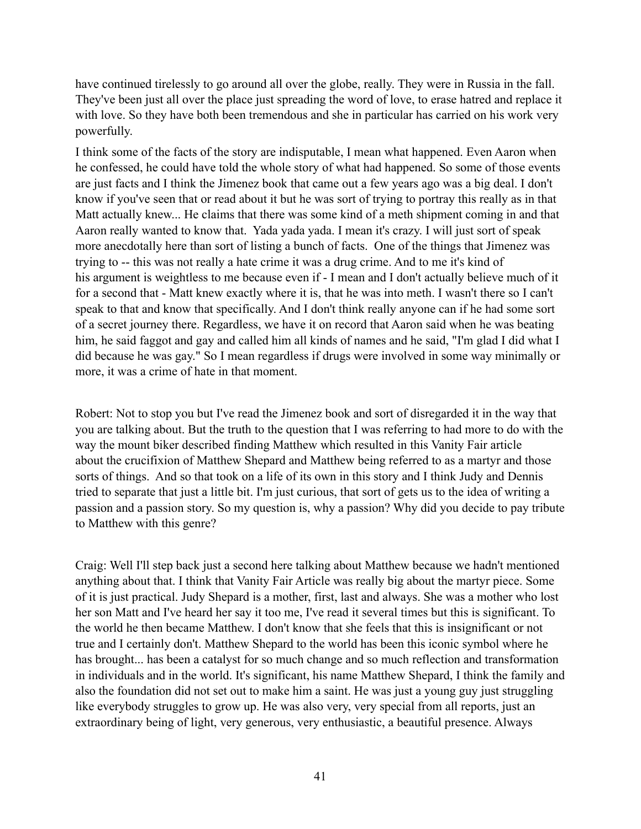have continued tirelessly to go around all over the globe, really. They were in Russia in the fall. They've been just all over the place just spreading the word of love, to erase hatred and replace it with love. So they have both been tremendous and she in particular has carried on his work very powerfully.

I think some of the facts of the story are indisputable, I mean what happened. Even Aaron when he confessed, he could have told the whole story of what had happened. So some of those events are just facts and I think the Jimenez book that came out a few years ago was a big deal. I don't know if you've seen that or read about it but he was sort of trying to portray this really as in that Matt actually knew... He claims that there was some kind of a meth shipment coming in and that Aaron really wanted to know that. Yada yada yada. I mean it's crazy. I will just sort of speak more anecdotally here than sort of listing a bunch of facts. One of the things that Jimenez was trying to -- this was not really a hate crime it was a drug crime. And to me it's kind of his argument is weightless to me because even if - I mean and I don't actually believe much of it for a second that - Matt knew exactly where it is, that he was into meth. I wasn't there so I can't speak to that and know that specifically. And I don't think really anyone can if he had some sort of a secret journey there. Regardless, we have it on record that Aaron said when he was beating him, he said faggot and gay and called him all kinds of names and he said, "I'm glad I did what I did because he was gay." So I mean regardless if drugs were involved in some way minimally or more, it was a crime of hate in that moment.

Robert: Not to stop you but I've read the Jimenez book and sort of disregarded it in the way that you are talking about. But the truth to the question that I was referring to had more to do with the way the mount biker described finding Matthew which resulted in this Vanity Fair article about the crucifixion of Matthew Shepard and Matthew being referred to as a martyr and those sorts of things. And so that took on a life of its own in this story and I think Judy and Dennis tried to separate that just a little bit. I'm just curious, that sort of gets us to the idea of writing a passion and a passion story. So my question is, why a passion? Why did you decide to pay tribute to Matthew with this genre?

Craig: Well I'll step back just a second here talking about Matthew because we hadn't mentioned anything about that. I think that Vanity Fair Article was really big about the martyr piece. Some of it is just practical. Judy Shepard is a mother, first, last and always. She was a mother who lost her son Matt and I've heard her say it too me, I've read it several times but this is significant. To the world he then became Matthew. I don't know that she feels that this is insignificant or not true and I certainly don't. Matthew Shepard to the world has been this iconic symbol where he has brought... has been a catalyst for so much change and so much reflection and transformation in individuals and in the world. It's significant, his name Matthew Shepard, I think the family and also the foundation did not set out to make him a saint. He was just a young guy just struggling like everybody struggles to grow up. He was also very, very special from all reports, just an extraordinary being of light, very generous, very enthusiastic, a beautiful presence. Always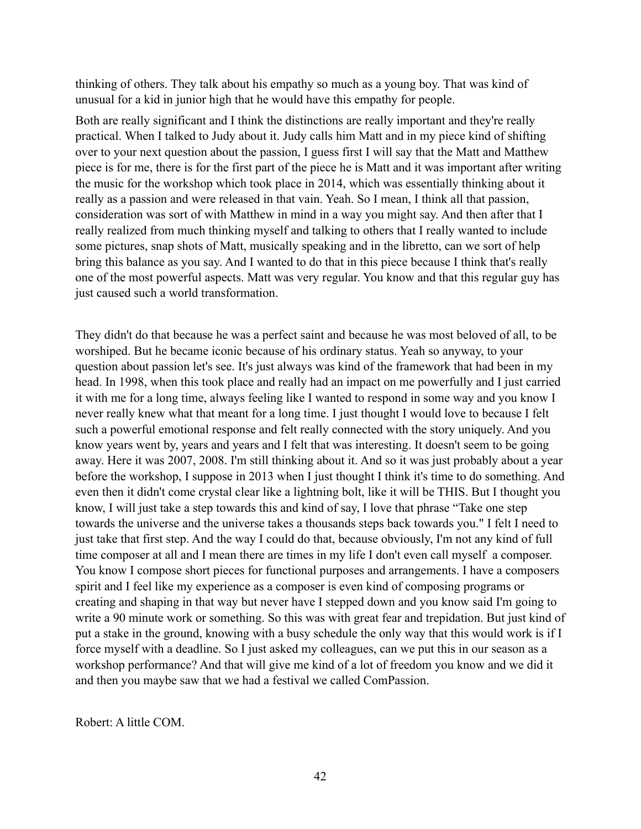thinking of others. They talk about his empathy so much as a young boy. That was kind of unusual for a kid in junior high that he would have this empathy for people.

Both are really significant and I think the distinctions are really important and they're really practical. When I talked to Judy about it. Judy calls him Matt and in my piece kind of shifting over to your next question about the passion, I guess first I will say that the Matt and Matthew piece is for me, there is for the first part of the piece he is Matt and it was important after writing the music for the workshop which took place in 2014, which was essentially thinking about it really as a passion and were released in that vain. Yeah. So I mean, I think all that passion, consideration was sort of with Matthew in mind in a way you might say. And then after that I really realized from much thinking myself and talking to others that I really wanted to include some pictures, snap shots of Matt, musically speaking and in the libretto, can we sort of help bring this balance as you say. And I wanted to do that in this piece because I think that's really one of the most powerful aspects. Matt was very regular. You know and that this regular guy has just caused such a world transformation.

They didn't do that because he was a perfect saint and because he was most beloved of all, to be worshiped. But he became iconic because of his ordinary status. Yeah so anyway, to your question about passion let's see. It's just always was kind of the framework that had been in my head. In 1998, when this took place and really had an impact on me powerfully and I just carried it with me for a long time, always feeling like I wanted to respond in some way and you know I never really knew what that meant for a long time. I just thought I would love to because I felt such a powerful emotional response and felt really connected with the story uniquely. And you know years went by, years and years and I felt that was interesting. It doesn't seem to be going away. Here it was 2007, 2008. I'm still thinking about it. And so it was just probably about a year before the workshop, I suppose in 2013 when I just thought I think it's time to do something. And even then it didn't come crystal clear like a lightning bolt, like it will be THIS. But I thought you know, I will just take a step towards this and kind of say, I love that phrase "Take one step towards the universe and the universe takes a thousands steps back towards you." I felt I need to just take that first step. And the way I could do that, because obviously, I'm not any kind of full time composer at all and I mean there are times in my life I don't even call myself a composer. You know I compose short pieces for functional purposes and arrangements. I have a composers spirit and I feel like my experience as a composer is even kind of composing programs or creating and shaping in that way but never have I stepped down and you know said I'm going to write a 90 minute work or something. So this was with great fear and trepidation. But just kind of put a stake in the ground, knowing with a busy schedule the only way that this would work is if I force myself with a deadline. So I just asked my colleagues, can we put this in our season as a workshop performance? And that will give me kind of a lot of freedom you know and we did it and then you maybe saw that we had a festival we called ComPassion.

Robert: A little COM.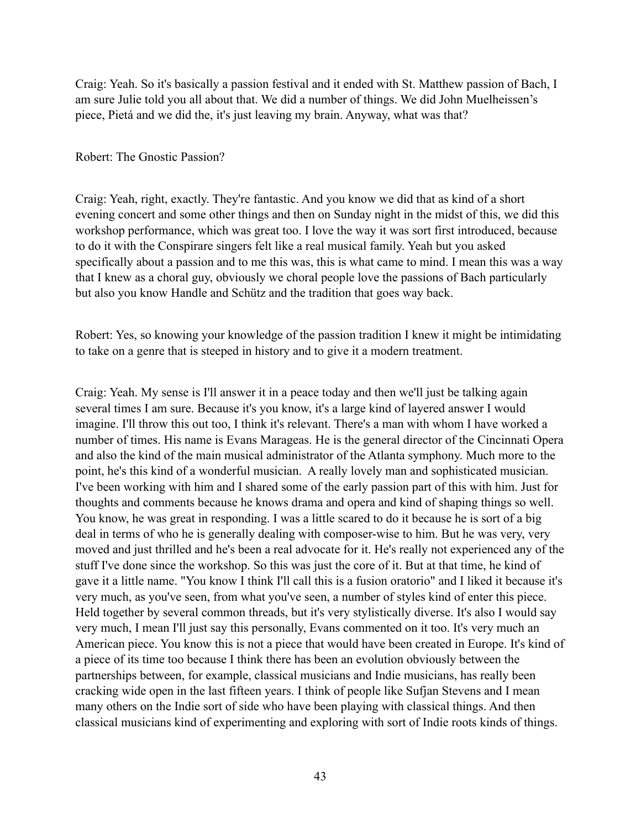Craig: Yeah. So it's basically a passion festival and it ended with St. Matthew passion of Bach, I am sure Julie told you all about that. We did a number of things. We did John Muelheissen's piece, Pietá and we did the, it's just leaving my brain. Anyway, what was that?

### Robert: The Gnostic Passion?

Craig: Yeah, right, exactly. They're fantastic. And you know we did that as kind of a short evening concert and some other things and then on Sunday night in the midst of this, we did this workshop performance, which was great too. I love the way it was sort first introduced, because to do it with the Conspirare singers felt like a real musical family. Yeah but you asked specifically about a passion and to me this was, this is what came to mind. I mean this was a way that I knew as a choral guy, obviously we choral people love the passions of Bach particularly but also you know Handle and Schütz and the tradition that goes way back.

Robert: Yes, so knowing your knowledge of the passion tradition I knew it might be intimidating to take on a genre that is steeped in history and to give it a modern treatment.

Craig: Yeah. My sense is I'll answer it in a peace today and then we'll just be talking again several times I am sure. Because it's you know, it's a large kind of layered answer I would imagine. I'll throw this out too, I think it's relevant. There's a man with whom I have worked a number of times. His name is Evans Marageas. He is the general director of the Cincinnati Opera and also the kind of the main musical administrator of the Atlanta symphony. Much more to the point, he's this kind of a wonderful musician. A really lovely man and sophisticated musician. I've been working with him and I shared some of the early passion part of this with him. Just for thoughts and comments because he knows drama and opera and kind of shaping things so well. You know, he was great in responding. I was a little scared to do it because he is sort of a big deal in terms of who he is generally dealing with composer-wise to him. But he was very, very moved and just thrilled and he's been a real advocate for it. He's really not experienced any of the stuff I've done since the workshop. So this was just the core of it. But at that time, he kind of gave it a little name. "You know I think I'll call this is a fusion oratorio" and I liked it because it's very much, as you've seen, from what you've seen, a number of styles kind of enter this piece. Held together by several common threads, but it's very stylistically diverse. It's also I would say very much, I mean I'll just say this personally, Evans commented on it too. It's very much an American piece. You know this is not a piece that would have been created in Europe. It's kind of a piece of its time too because I think there has been an evolution obviously between the partnerships between, for example, classical musicians and Indie musicians, has really been cracking wide open in the last fifteen years. I think of people like Sufjan Stevens and I mean many others on the Indie sort of side who have been playing with classical things. And then classical musicians kind of experimenting and exploring with sort of Indie roots kinds of things.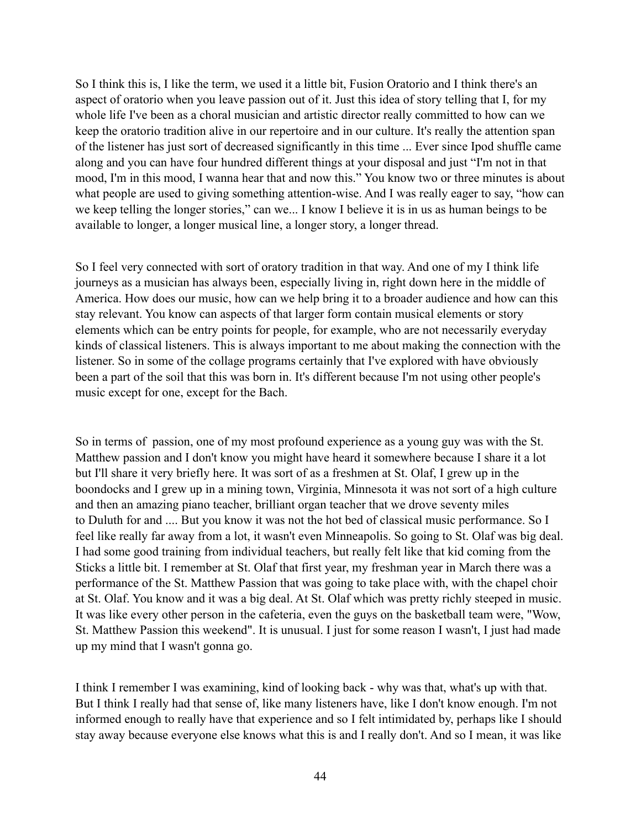So I think this is, I like the term, we used it a little bit, Fusion Oratorio and I think there's an aspect of oratorio when you leave passion out of it. Just this idea of story telling that I, for my whole life I've been as a choral musician and artistic director really committed to how can we keep the oratorio tradition alive in our repertoire and in our culture. It's really the attention span of the listener has just sort of decreased significantly in this time ... Ever since Ipod shuffle came along and you can have four hundred different things at your disposal and just "I'm not in that mood, I'm in this mood, I wanna hear that and now this." You know two or three minutes is about what people are used to giving something attention-wise. And I was really eager to say, "how can we keep telling the longer stories," can we... I know I believe it is in us as human beings to be available to longer, a longer musical line, a longer story, a longer thread.

So I feel very connected with sort of oratory tradition in that way. And one of my I think life journeys as a musician has always been, especially living in, right down here in the middle of America. How does our music, how can we help bring it to a broader audience and how can this stay relevant. You know can aspects of that larger form contain musical elements or story elements which can be entry points for people, for example, who are not necessarily everyday kinds of classical listeners. This is always important to me about making the connection with the listener. So in some of the collage programs certainly that I've explored with have obviously been a part of the soil that this was born in. It's different because I'm not using other people's music except for one, except for the Bach.

So in terms of passion, one of my most profound experience as a young guy was with the St. Matthew passion and I don't know you might have heard it somewhere because I share it a lot but I'll share it very briefly here. It was sort of as a freshmen at St. Olaf, I grew up in the boondocks and I grew up in a mining town, Virginia, Minnesota it was not sort of a high culture and then an amazing piano teacher, brilliant organ teacher that we drove seventy miles to Duluth for and .... But you know it was not the hot bed of classical music performance. So I feel like really far away from a lot, it wasn't even Minneapolis. So going to St. Olaf was big deal. I had some good training from individual teachers, but really felt like that kid coming from the Sticks a little bit. I remember at St. Olaf that first year, my freshman year in March there was a performance of the St. Matthew Passion that was going to take place with, with the chapel choir at St. Olaf. You know and it was a big deal. At St. Olaf which was pretty richly steeped in music. It was like every other person in the cafeteria, even the guys on the basketball team were, "Wow, St. Matthew Passion this weekend". It is unusual. I just for some reason I wasn't, I just had made up my mind that I wasn't gonna go.

I think I remember I was examining, kind of looking back - why was that, what's up with that. But I think I really had that sense of, like many listeners have, like I don't know enough. I'm not informed enough to really have that experience and so I felt intimidated by, perhaps like I should stay away because everyone else knows what this is and I really don't. And so I mean, it was like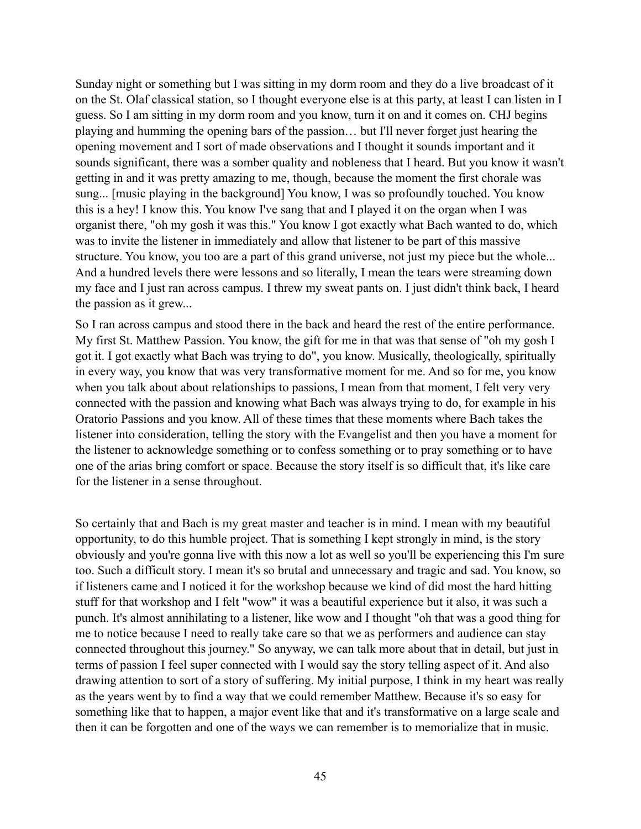Sunday night or something but I was sitting in my dorm room and they do a live broadcast of it on the St. Olaf classical station, so I thought everyone else is at this party, at least I can listen in I guess. So I am sitting in my dorm room and you know, turn it on and it comes on. CHJ begins playing and humming the opening bars of the passion… but I'll never forget just hearing the opening movement and I sort of made observations and I thought it sounds important and it sounds significant, there was a somber quality and nobleness that I heard. But you know it wasn't getting in and it was pretty amazing to me, though, because the moment the first chorale was sung... [music playing in the background] You know, I was so profoundly touched. You know this is a hey! I know this. You know I've sang that and I played it on the organ when I was organist there, "oh my gosh it was this." You know I got exactly what Bach wanted to do, which was to invite the listener in immediately and allow that listener to be part of this massive structure. You know, you too are a part of this grand universe, not just my piece but the whole... And a hundred levels there were lessons and so literally, I mean the tears were streaming down my face and I just ran across campus. I threw my sweat pants on. I just didn't think back, I heard the passion as it grew...

So I ran across campus and stood there in the back and heard the rest of the entire performance. My first St. Matthew Passion. You know, the gift for me in that was that sense of "oh my gosh I got it. I got exactly what Bach was trying to do", you know. Musically, theologically, spiritually in every way, you know that was very transformative moment for me. And so for me, you know when you talk about about relationships to passions, I mean from that moment, I felt very very connected with the passion and knowing what Bach was always trying to do, for example in his Oratorio Passions and you know. All of these times that these moments where Bach takes the listener into consideration, telling the story with the Evangelist and then you have a moment for the listener to acknowledge something or to confess something or to pray something or to have one of the arias bring comfort or space. Because the story itself is so difficult that, it's like care for the listener in a sense throughout.

So certainly that and Bach is my great master and teacher is in mind. I mean with my beautiful opportunity, to do this humble project. That is something I kept strongly in mind, is the story obviously and you're gonna live with this now a lot as well so you'll be experiencing this I'm sure too. Such a difficult story. I mean it's so brutal and unnecessary and tragic and sad. You know, so if listeners came and I noticed it for the workshop because we kind of did most the hard hitting stuff for that workshop and I felt "wow" it was a beautiful experience but it also, it was such a punch. It's almost annihilating to a listener, like wow and I thought "oh that was a good thing for me to notice because I need to really take care so that we as performers and audience can stay connected throughout this journey." So anyway, we can talk more about that in detail, but just in terms of passion I feel super connected with I would say the story telling aspect of it. And also drawing attention to sort of a story of suffering. My initial purpose, I think in my heart was really as the years went by to find a way that we could remember Matthew. Because it's so easy for something like that to happen, a major event like that and it's transformative on a large scale and then it can be forgotten and one of the ways we can remember is to memorialize that in music.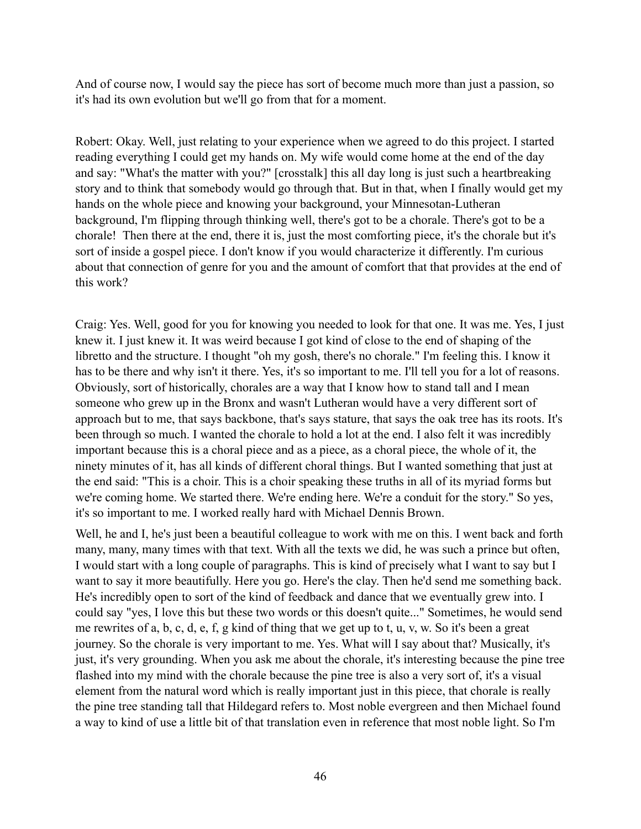And of course now, I would say the piece has sort of become much more than just a passion, so it's had its own evolution but we'll go from that for a moment.

Robert: Okay. Well, just relating to your experience when we agreed to do this project. I started reading everything I could get my hands on. My wife would come home at the end of the day and say: "What's the matter with you?" [crosstalk] this all day long is just such a heartbreaking story and to think that somebody would go through that. But in that, when I finally would get my hands on the whole piece and knowing your background, your Minnesotan-Lutheran background, I'm flipping through thinking well, there's got to be a chorale. There's got to be a chorale! Then there at the end, there it is, just the most comforting piece, it's the chorale but it's sort of inside a gospel piece. I don't know if you would characterize it differently. I'm curious about that connection of genre for you and the amount of comfort that that provides at the end of this work?

Craig: Yes. Well, good for you for knowing you needed to look for that one. It was me. Yes, I just knew it. I just knew it. It was weird because I got kind of close to the end of shaping of the libretto and the structure. I thought "oh my gosh, there's no chorale." I'm feeling this. I know it has to be there and why isn't it there. Yes, it's so important to me. I'll tell you for a lot of reasons. Obviously, sort of historically, chorales are a way that I know how to stand tall and I mean someone who grew up in the Bronx and wasn't Lutheran would have a very different sort of approach but to me, that says backbone, that's says stature, that says the oak tree has its roots. It's been through so much. I wanted the chorale to hold a lot at the end. I also felt it was incredibly important because this is a choral piece and as a piece, as a choral piece, the whole of it, the ninety minutes of it, has all kinds of different choral things. But I wanted something that just at the end said: "This is a choir. This is a choir speaking these truths in all of its myriad forms but we're coming home. We started there. We're ending here. We're a conduit for the story." So yes, it's so important to me. I worked really hard with Michael Dennis Brown.

Well, he and I, he's just been a beautiful colleague to work with me on this. I went back and forth many, many, many times with that text. With all the texts we did, he was such a prince but often, I would start with a long couple of paragraphs. This is kind of precisely what I want to say but I want to say it more beautifully. Here you go. Here's the clay. Then he'd send me something back. He's incredibly open to sort of the kind of feedback and dance that we eventually grew into. I could say "yes, I love this but these two words or this doesn't quite..." Sometimes, he would send me rewrites of a, b, c, d, e, f, g kind of thing that we get up to t, u, v, w. So it's been a great journey. So the chorale is very important to me. Yes. What will I say about that? Musically, it's just, it's very grounding. When you ask me about the chorale, it's interesting because the pine tree flashed into my mind with the chorale because the pine tree is also a very sort of, it's a visual element from the natural word which is really important just in this piece, that chorale is really the pine tree standing tall that Hildegard refers to. Most noble evergreen and then Michael found a way to kind of use a little bit of that translation even in reference that most noble light. So I'm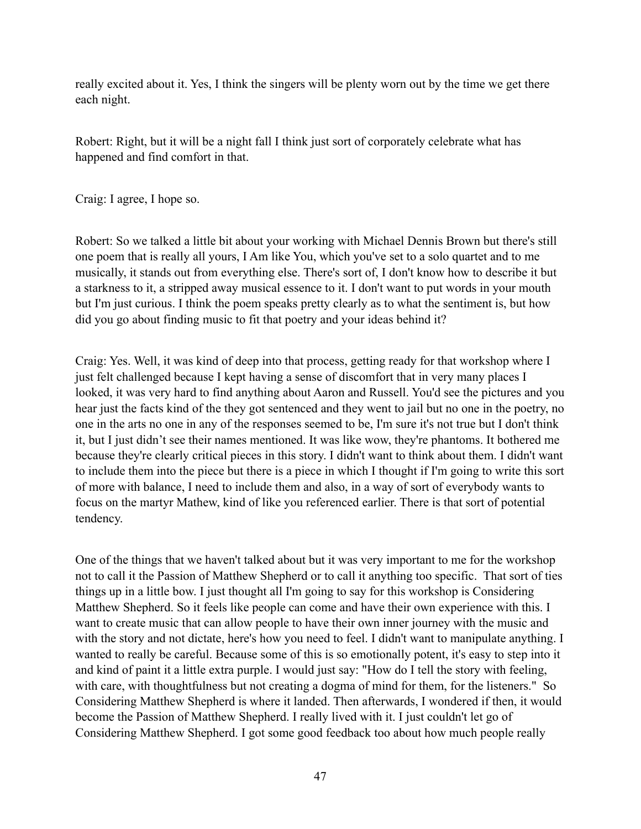really excited about it. Yes, I think the singers will be plenty worn out by the time we get there each night.

Robert: Right, but it will be a night fall I think just sort of corporately celebrate what has happened and find comfort in that.

Craig: I agree, I hope so.

Robert: So we talked a little bit about your working with Michael Dennis Brown but there's still one poem that is really all yours, I Am like You, which you've set to a solo quartet and to me musically, it stands out from everything else. There's sort of, I don't know how to describe it but a starkness to it, a stripped away musical essence to it. I don't want to put words in your mouth but I'm just curious. I think the poem speaks pretty clearly as to what the sentiment is, but how did you go about finding music to fit that poetry and your ideas behind it?

Craig: Yes. Well, it was kind of deep into that process, getting ready for that workshop where I just felt challenged because I kept having a sense of discomfort that in very many places I looked, it was very hard to find anything about Aaron and Russell. You'd see the pictures and you hear just the facts kind of the they got sentenced and they went to jail but no one in the poetry, no one in the arts no one in any of the responses seemed to be, I'm sure it's not true but I don't think it, but I just didn't see their names mentioned. It was like wow, they're phantoms. It bothered me because they're clearly critical pieces in this story. I didn't want to think about them. I didn't want to include them into the piece but there is a piece in which I thought if I'm going to write this sort of more with balance, I need to include them and also, in a way of sort of everybody wants to focus on the martyr Mathew, kind of like you referenced earlier. There is that sort of potential tendency.

One of the things that we haven't talked about but it was very important to me for the workshop not to call it the Passion of Matthew Shepherd or to call it anything too specific. That sort of ties things up in a little bow. I just thought all I'm going to say for this workshop is Considering Matthew Shepherd. So it feels like people can come and have their own experience with this. I want to create music that can allow people to have their own inner journey with the music and with the story and not dictate, here's how you need to feel. I didn't want to manipulate anything. I wanted to really be careful. Because some of this is so emotionally potent, it's easy to step into it and kind of paint it a little extra purple. I would just say: "How do I tell the story with feeling, with care, with thoughtfulness but not creating a dogma of mind for them, for the listeners." So Considering Matthew Shepherd is where it landed. Then afterwards, I wondered if then, it would become the Passion of Matthew Shepherd. I really lived with it. I just couldn't let go of Considering Matthew Shepherd. I got some good feedback too about how much people really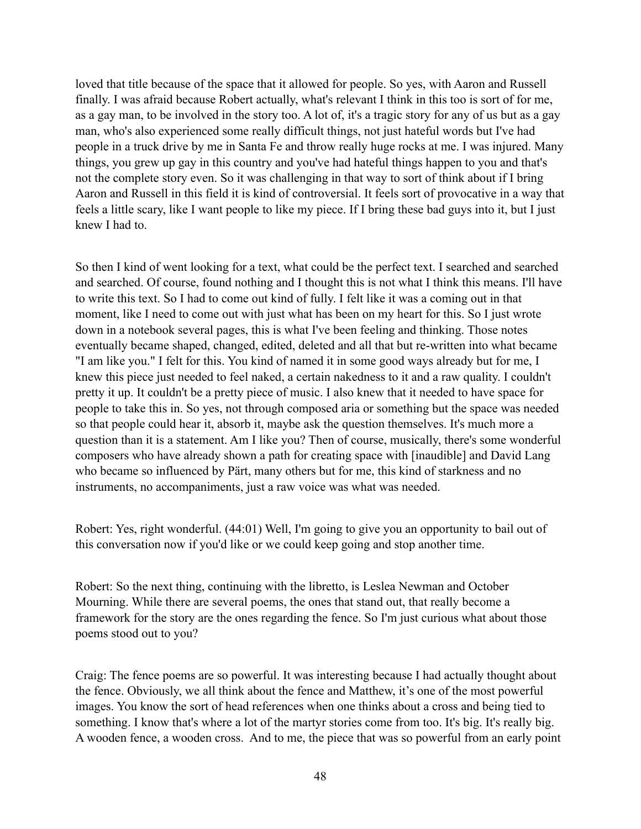loved that title because of the space that it allowed for people. So yes, with Aaron and Russell finally. I was afraid because Robert actually, what's relevant I think in this too is sort of for me, as a gay man, to be involved in the story too. A lot of, it's a tragic story for any of us but as a gay man, who's also experienced some really difficult things, not just hateful words but I've had people in a truck drive by me in Santa Fe and throw really huge rocks at me. I was injured. Many things, you grew up gay in this country and you've had hateful things happen to you and that's not the complete story even. So it was challenging in that way to sort of think about if I bring Aaron and Russell in this field it is kind of controversial. It feels sort of provocative in a way that feels a little scary, like I want people to like my piece. If I bring these bad guys into it, but I just knew I had to.

So then I kind of went looking for a text, what could be the perfect text. I searched and searched and searched. Of course, found nothing and I thought this is not what I think this means. I'll have to write this text. So I had to come out kind of fully. I felt like it was a coming out in that moment, like I need to come out with just what has been on my heart for this. So I just wrote down in a notebook several pages, this is what I've been feeling and thinking. Those notes eventually became shaped, changed, edited, deleted and all that but re-written into what became "I am like you." I felt for this. You kind of named it in some good ways already but for me, I knew this piece just needed to feel naked, a certain nakedness to it and a raw quality. I couldn't pretty it up. It couldn't be a pretty piece of music. I also knew that it needed to have space for people to take this in. So yes, not through composed aria or something but the space was needed so that people could hear it, absorb it, maybe ask the question themselves. It's much more a question than it is a statement. Am I like you? Then of course, musically, there's some wonderful composers who have already shown a path for creating space with [inaudible] and David Lang who became so influenced by Pärt, many others but for me, this kind of starkness and no instruments, no accompaniments, just a raw voice was what was needed.

Robert: Yes, right wonderful. (44:01) Well, I'm going to give you an opportunity to bail out of this conversation now if you'd like or we could keep going and stop another time.

Robert: So the next thing, continuing with the libretto, is Leslea Newman and October Mourning. While there are several poems, the ones that stand out, that really become a framework for the story are the ones regarding the fence. So I'm just curious what about those poems stood out to you?

Craig: The fence poems are so powerful. It was interesting because I had actually thought about the fence. Obviously, we all think about the fence and Matthew, it's one of the most powerful images. You know the sort of head references when one thinks about a cross and being tied to something. I know that's where a lot of the martyr stories come from too. It's big. It's really big. A wooden fence, a wooden cross. And to me, the piece that was so powerful from an early point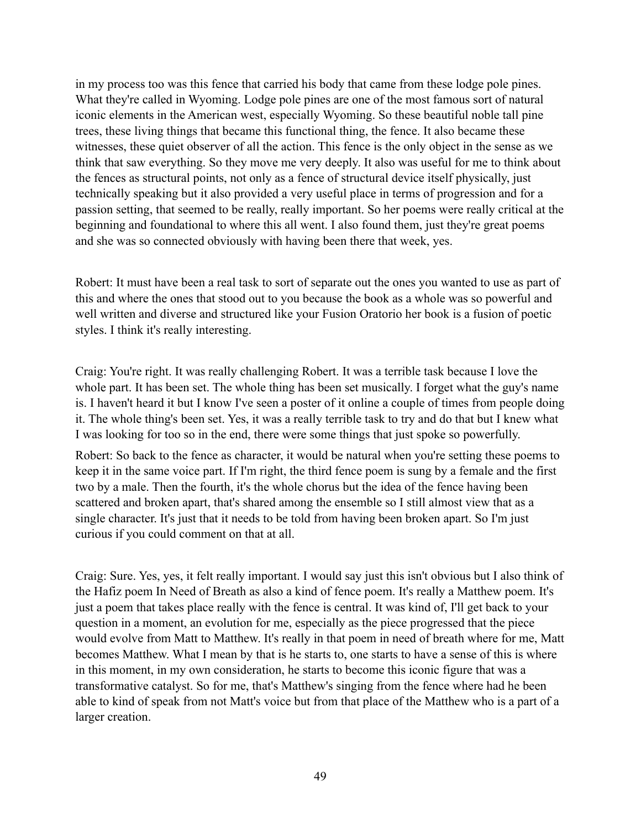in my process too was this fence that carried his body that came from these lodge pole pines. What they're called in Wyoming. Lodge pole pines are one of the most famous sort of natural iconic elements in the American west, especially Wyoming. So these beautiful noble tall pine trees, these living things that became this functional thing, the fence. It also became these witnesses, these quiet observer of all the action. This fence is the only object in the sense as we think that saw everything. So they move me very deeply. It also was useful for me to think about the fences as structural points, not only as a fence of structural device itself physically, just technically speaking but it also provided a very useful place in terms of progression and for a passion setting, that seemed to be really, really important. So her poems were really critical at the beginning and foundational to where this all went. I also found them, just they're great poems and she was so connected obviously with having been there that week, yes.

Robert: It must have been a real task to sort of separate out the ones you wanted to use as part of this and where the ones that stood out to you because the book as a whole was so powerful and well written and diverse and structured like your Fusion Oratorio her book is a fusion of poetic styles. I think it's really interesting.

Craig: You're right. It was really challenging Robert. It was a terrible task because I love the whole part. It has been set. The whole thing has been set musically. I forget what the guy's name is. I haven't heard it but I know I've seen a poster of it online a couple of times from people doing it. The whole thing's been set. Yes, it was a really terrible task to try and do that but I knew what I was looking for too so in the end, there were some things that just spoke so powerfully.

Robert: So back to the fence as character, it would be natural when you're setting these poems to keep it in the same voice part. If I'm right, the third fence poem is sung by a female and the first two by a male. Then the fourth, it's the whole chorus but the idea of the fence having been scattered and broken apart, that's shared among the ensemble so I still almost view that as a single character. It's just that it needs to be told from having been broken apart. So I'm just curious if you could comment on that at all.

Craig: Sure. Yes, yes, it felt really important. I would say just this isn't obvious but I also think of the Hafiz poem In Need of Breath as also a kind of fence poem. It's really a Matthew poem. It's just a poem that takes place really with the fence is central. It was kind of, I'll get back to your question in a moment, an evolution for me, especially as the piece progressed that the piece would evolve from Matt to Matthew. It's really in that poem in need of breath where for me, Matt becomes Matthew. What I mean by that is he starts to, one starts to have a sense of this is where in this moment, in my own consideration, he starts to become this iconic figure that was a transformative catalyst. So for me, that's Matthew's singing from the fence where had he been able to kind of speak from not Matt's voice but from that place of the Matthew who is a part of a larger creation.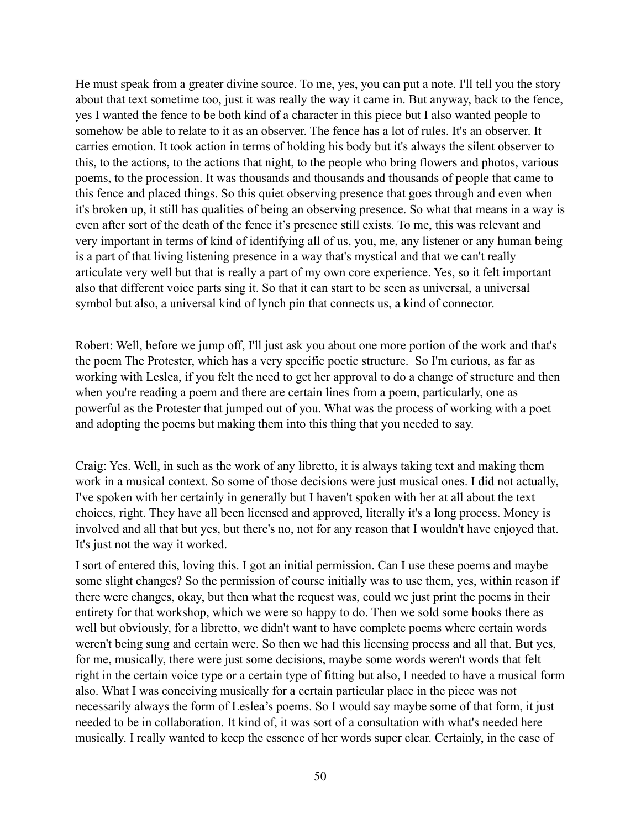He must speak from a greater divine source. To me, yes, you can put a note. I'll tell you the story about that text sometime too, just it was really the way it came in. But anyway, back to the fence, yes I wanted the fence to be both kind of a character in this piece but I also wanted people to somehow be able to relate to it as an observer. The fence has a lot of rules. It's an observer. It carries emotion. It took action in terms of holding his body but it's always the silent observer to this, to the actions, to the actions that night, to the people who bring flowers and photos, various poems, to the procession. It was thousands and thousands and thousands of people that came to this fence and placed things. So this quiet observing presence that goes through and even when it's broken up, it still has qualities of being an observing presence. So what that means in a way is even after sort of the death of the fence it's presence still exists. To me, this was relevant and very important in terms of kind of identifying all of us, you, me, any listener or any human being is a part of that living listening presence in a way that's mystical and that we can't really articulate very well but that is really a part of my own core experience. Yes, so it felt important also that different voice parts sing it. So that it can start to be seen as universal, a universal symbol but also, a universal kind of lynch pin that connects us, a kind of connector.

Robert: Well, before we jump off, I'll just ask you about one more portion of the work and that's the poem The Protester, which has a very specific poetic structure. So I'm curious, as far as working with Leslea, if you felt the need to get her approval to do a change of structure and then when you're reading a poem and there are certain lines from a poem, particularly, one as powerful as the Protester that jumped out of you. What was the process of working with a poet and adopting the poems but making them into this thing that you needed to say.

Craig: Yes. Well, in such as the work of any libretto, it is always taking text and making them work in a musical context. So some of those decisions were just musical ones. I did not actually, I've spoken with her certainly in generally but I haven't spoken with her at all about the text choices, right. They have all been licensed and approved, literally it's a long process. Money is involved and all that but yes, but there's no, not for any reason that I wouldn't have enjoyed that. It's just not the way it worked.

I sort of entered this, loving this. I got an initial permission. Can I use these poems and maybe some slight changes? So the permission of course initially was to use them, yes, within reason if there were changes, okay, but then what the request was, could we just print the poems in their entirety for that workshop, which we were so happy to do. Then we sold some books there as well but obviously, for a libretto, we didn't want to have complete poems where certain words weren't being sung and certain were. So then we had this licensing process and all that. But yes, for me, musically, there were just some decisions, maybe some words weren't words that felt right in the certain voice type or a certain type of fitting but also, I needed to have a musical form also. What I was conceiving musically for a certain particular place in the piece was not necessarily always the form of Leslea's poems. So I would say maybe some of that form, it just needed to be in collaboration. It kind of, it was sort of a consultation with what's needed here musically. I really wanted to keep the essence of her words super clear. Certainly, in the case of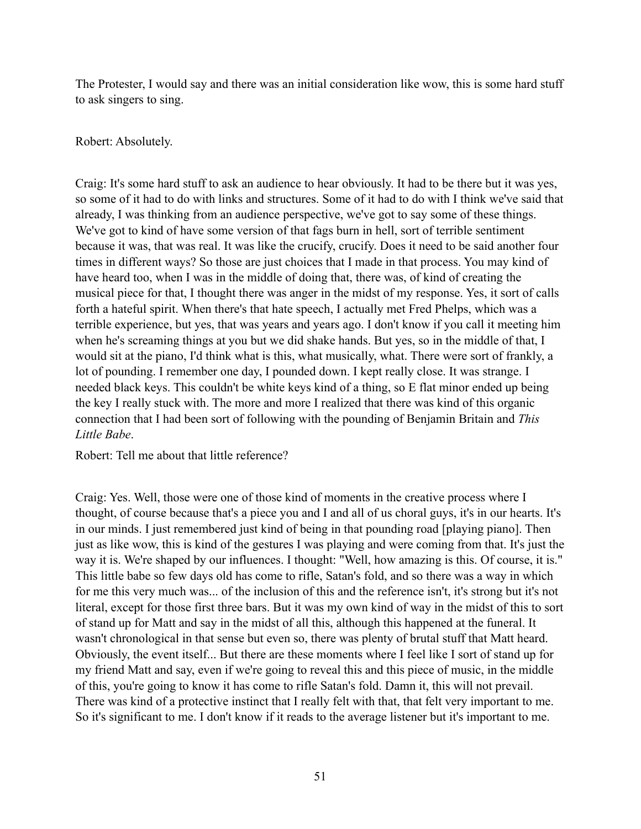The Protester, I would say and there was an initial consideration like wow, this is some hard stuff to ask singers to sing.

## Robert: Absolutely.

Craig: It's some hard stuff to ask an audience to hear obviously. It had to be there but it was yes, so some of it had to do with links and structures. Some of it had to do with I think we've said that already, I was thinking from an audience perspective, we've got to say some of these things. We've got to kind of have some version of that fags burn in hell, sort of terrible sentiment because it was, that was real. It was like the crucify, crucify. Does it need to be said another four times in different ways? So those are just choices that I made in that process. You may kind of have heard too, when I was in the middle of doing that, there was, of kind of creating the musical piece for that, I thought there was anger in the midst of my response. Yes, it sort of calls forth a hateful spirit. When there's that hate speech, I actually met Fred Phelps, which was a terrible experience, but yes, that was years and years ago. I don't know if you call it meeting him when he's screaming things at you but we did shake hands. But yes, so in the middle of that, I would sit at the piano, I'd think what is this, what musically, what. There were sort of frankly, a lot of pounding. I remember one day, I pounded down. I kept really close. It was strange. I needed black keys. This couldn't be white keys kind of a thing, so E flat minor ended up being the key I really stuck with. The more and more I realized that there was kind of this organic connection that I had been sort of following with the pounding of Benjamin Britain and *This Little Babe*.

Robert: Tell me about that little reference?

Craig: Yes. Well, those were one of those kind of moments in the creative process where I thought, of course because that's a piece you and I and all of us choral guys, it's in our hearts. It's in our minds. I just remembered just kind of being in that pounding road [playing piano]. Then just as like wow, this is kind of the gestures I was playing and were coming from that. It's just the way it is. We're shaped by our influences. I thought: "Well, how amazing is this. Of course, it is." This little babe so few days old has come to rifle, Satan's fold, and so there was a way in which for me this very much was... of the inclusion of this and the reference isn't, it's strong but it's not literal, except for those first three bars. But it was my own kind of way in the midst of this to sort of stand up for Matt and say in the midst of all this, although this happened at the funeral. It wasn't chronological in that sense but even so, there was plenty of brutal stuff that Matt heard. Obviously, the event itself... But there are these moments where I feel like I sort of stand up for my friend Matt and say, even if we're going to reveal this and this piece of music, in the middle of this, you're going to know it has come to rifle Satan's fold. Damn it, this will not prevail. There was kind of a protective instinct that I really felt with that, that felt very important to me. So it's significant to me. I don't know if it reads to the average listener but it's important to me.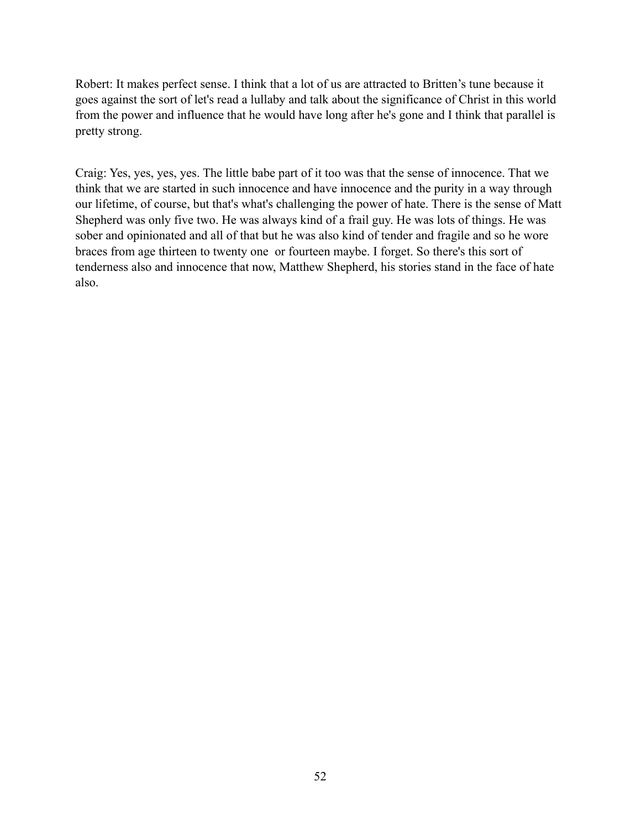Robert: It makes perfect sense. I think that a lot of us are attracted to Britten's tune because it goes against the sort of let's read a lullaby and talk about the significance of Christ in this world from the power and influence that he would have long after he's gone and I think that parallel is pretty strong.

Craig: Yes, yes, yes, yes. The little babe part of it too was that the sense of innocence. That we think that we are started in such innocence and have innocence and the purity in a way through our lifetime, of course, but that's what's challenging the power of hate. There is the sense of Matt Shepherd was only five two. He was always kind of a frail guy. He was lots of things. He was sober and opinionated and all of that but he was also kind of tender and fragile and so he wore braces from age thirteen to twenty one or fourteen maybe. I forget. So there's this sort of tenderness also and innocence that now, Matthew Shepherd, his stories stand in the face of hate also.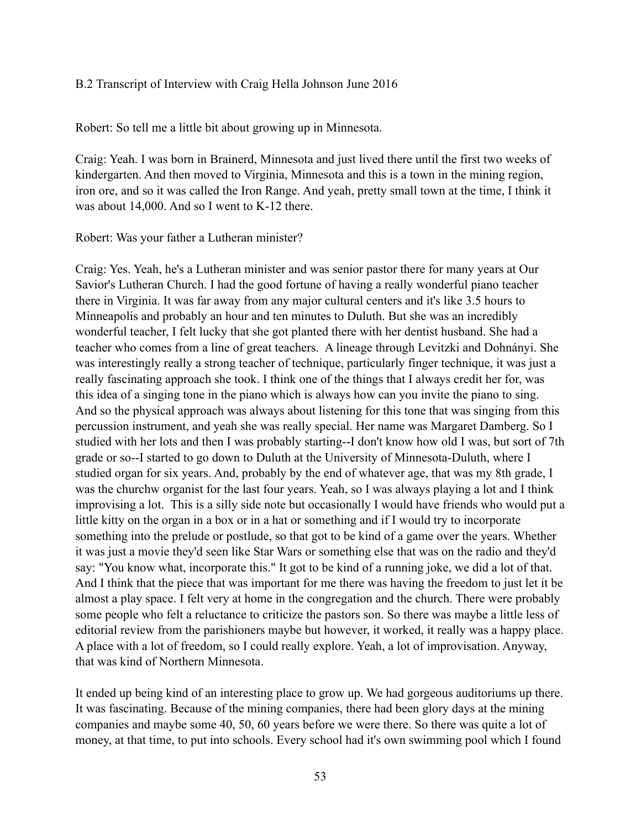## B.2 Transcript of Interview with Craig Hella Johnson June 2016

Robert: So tell me a little bit about growing up in Minnesota.

Craig: Yeah. I was born in Brainerd, Minnesota and just lived there until the first two weeks of kindergarten. And then moved to Virginia, Minnesota and this is a town in the mining region, iron ore, and so it was called the Iron Range. And yeah, pretty small town at the time, I think it was about 14,000. And so I went to K-12 there.

### Robert: Was your father a Lutheran minister?

Craig: Yes. Yeah, he's a Lutheran minister and was senior pastor there for many years at Our Savior's Lutheran Church. I had the good fortune of having a really wonderful piano teacher there in Virginia. It was far away from any major cultural centers and it's like 3.5 hours to Minneapolis and probably an hour and ten minutes to Duluth. But she was an incredibly wonderful teacher, I felt lucky that she got planted there with her dentist husband. She had a teacher who comes from a line of great teachers. A lineage through Levitzki and Dohnányi. She was interestingly really a strong teacher of technique, particularly finger technique, it was just a really fascinating approach she took. I think one of the things that I always credit her for, was this idea of a singing tone in the piano which is always how can you invite the piano to sing. And so the physical approach was always about listening for this tone that was singing from this percussion instrument, and yeah she was really special. Her name was Margaret Damberg. So I studied with her lots and then I was probably starting--I don't know how old I was, but sort of 7th grade or so--I started to go down to Duluth at the University of Minnesota-Duluth, where I studied organ for six years. And, probably by the end of whatever age, that was my 8th grade, I was the churchw organist for the last four years. Yeah, so I was always playing a lot and I think improvising a lot. This is a silly side note but occasionally I would have friends who would put a little kitty on the organ in a box or in a hat or something and if I would try to incorporate something into the prelude or postlude, so that got to be kind of a game over the years. Whether it was just a movie they'd seen like Star Wars or something else that was on the radio and they'd say: "You know what, incorporate this." It got to be kind of a running joke, we did a lot of that. And I think that the piece that was important for me there was having the freedom to just let it be almost a play space. I felt very at home in the congregation and the church. There were probably some people who felt a reluctance to criticize the pastors son. So there was maybe a little less of editorial review from the parishioners maybe but however, it worked, it really was a happy place. A place with a lot of freedom, so I could really explore. Yeah, a lot of improvisation. Anyway, that was kind of Northern Minnesota.

It ended up being kind of an interesting place to grow up. We had gorgeous auditoriums up there. It was fascinating. Because of the mining companies, there had been glory days at the mining companies and maybe some 40, 50, 60 years before we were there. So there was quite a lot of money, at that time, to put into schools. Every school had it's own swimming pool which I found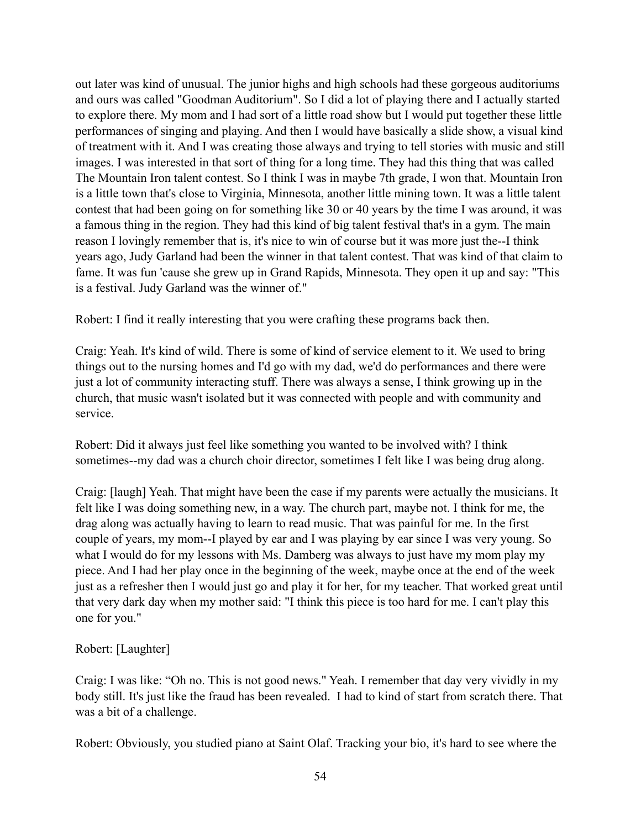out later was kind of unusual. The junior highs and high schools had these gorgeous auditoriums and ours was called "Goodman Auditorium". So I did a lot of playing there and I actually started to explore there. My mom and I had sort of a little road show but I would put together these little performances of singing and playing. And then I would have basically a slide show, a visual kind of treatment with it. And I was creating those always and trying to tell stories with music and still images. I was interested in that sort of thing for a long time. They had this thing that was called The Mountain Iron talent contest. So I think I was in maybe 7th grade, I won that. Mountain Iron is a little town that's close to Virginia, Minnesota, another little mining town. It was a little talent contest that had been going on for something like 30 or 40 years by the time I was around, it was a famous thing in the region. They had this kind of big talent festival that's in a gym. The main reason I lovingly remember that is, it's nice to win of course but it was more just the--I think years ago, Judy Garland had been the winner in that talent contest. That was kind of that claim to fame. It was fun 'cause she grew up in Grand Rapids, Minnesota. They open it up and say: "This is a festival. Judy Garland was the winner of."

Robert: I find it really interesting that you were crafting these programs back then.

Craig: Yeah. It's kind of wild. There is some of kind of service element to it. We used to bring things out to the nursing homes and I'd go with my dad, we'd do performances and there were just a lot of community interacting stuff. There was always a sense, I think growing up in the church, that music wasn't isolated but it was connected with people and with community and service.

Robert: Did it always just feel like something you wanted to be involved with? I think sometimes--my dad was a church choir director, sometimes I felt like I was being drug along.

Craig: [laugh] Yeah. That might have been the case if my parents were actually the musicians. It felt like I was doing something new, in a way. The church part, maybe not. I think for me, the drag along was actually having to learn to read music. That was painful for me. In the first couple of years, my mom--I played by ear and I was playing by ear since I was very young. So what I would do for my lessons with Ms. Damberg was always to just have my mom play my piece. And I had her play once in the beginning of the week, maybe once at the end of the week just as a refresher then I would just go and play it for her, for my teacher. That worked great until that very dark day when my mother said: "I think this piece is too hard for me. I can't play this one for you."

Robert: [Laughter]

Craig: I was like: "Oh no. This is not good news." Yeah. I remember that day very vividly in my body still. It's just like the fraud has been revealed. I had to kind of start from scratch there. That was a bit of a challenge.

Robert: Obviously, you studied piano at Saint Olaf. Tracking your bio, it's hard to see where the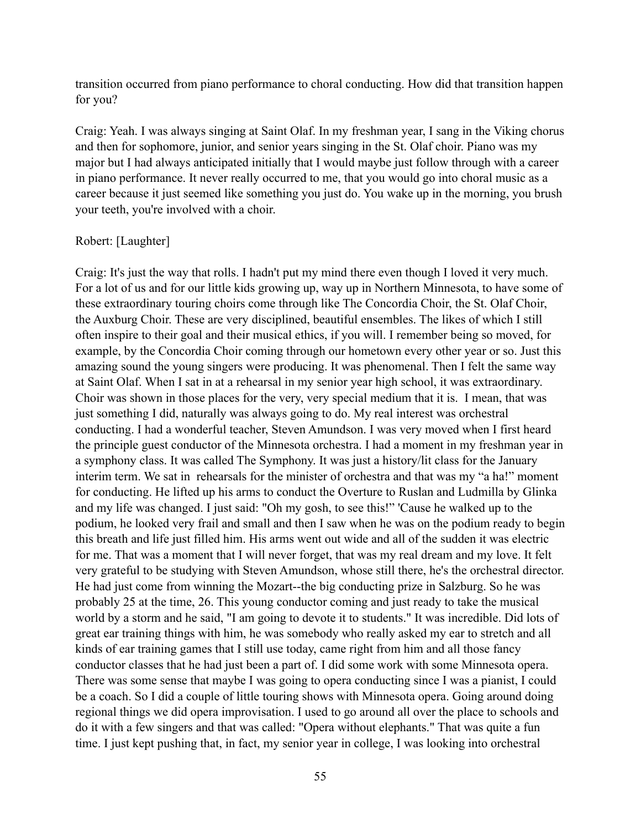transition occurred from piano performance to choral conducting. How did that transition happen for you?

Craig: Yeah. I was always singing at Saint Olaf. In my freshman year, I sang in the Viking chorus and then for sophomore, junior, and senior years singing in the St. Olaf choir. Piano was my major but I had always anticipated initially that I would maybe just follow through with a career in piano performance. It never really occurred to me, that you would go into choral music as a career because it just seemed like something you just do. You wake up in the morning, you brush your teeth, you're involved with a choir.

## Robert: [Laughter]

Craig: It's just the way that rolls. I hadn't put my mind there even though I loved it very much. For a lot of us and for our little kids growing up, way up in Northern Minnesota, to have some of these extraordinary touring choirs come through like The Concordia Choir, the St. Olaf Choir, the Auxburg Choir. These are very disciplined, beautiful ensembles. The likes of which I still often inspire to their goal and their musical ethics, if you will. I remember being so moved, for example, by the Concordia Choir coming through our hometown every other year or so. Just this amazing sound the young singers were producing. It was phenomenal. Then I felt the same way at Saint Olaf. When I sat in at a rehearsal in my senior year high school, it was extraordinary. Choir was shown in those places for the very, very special medium that it is. I mean, that was just something I did, naturally was always going to do. My real interest was orchestral conducting. I had a wonderful teacher, Steven Amundson. I was very moved when I first heard the principle guest conductor of the Minnesota orchestra. I had a moment in my freshman year in a symphony class. It was called The Symphony. It was just a history/lit class for the January interim term. We sat in rehearsals for the minister of orchestra and that was my "a ha!" moment for conducting. He lifted up his arms to conduct the Overture to Ruslan and Ludmilla by Glinka and my life was changed. I just said: "Oh my gosh, to see this!" 'Cause he walked up to the podium, he looked very frail and small and then I saw when he was on the podium ready to begin this breath and life just filled him. His arms went out wide and all of the sudden it was electric for me. That was a moment that I will never forget, that was my real dream and my love. It felt very grateful to be studying with Steven Amundson, whose still there, he's the orchestral director. He had just come from winning the Mozart--the big conducting prize in Salzburg. So he was probably 25 at the time, 26. This young conductor coming and just ready to take the musical world by a storm and he said, "I am going to devote it to students." It was incredible. Did lots of great ear training things with him, he was somebody who really asked my ear to stretch and all kinds of ear training games that I still use today, came right from him and all those fancy conductor classes that he had just been a part of. I did some work with some Minnesota opera. There was some sense that maybe I was going to opera conducting since I was a pianist, I could be a coach. So I did a couple of little touring shows with Minnesota opera. Going around doing regional things we did opera improvisation. I used to go around all over the place to schools and do it with a few singers and that was called: "Opera without elephants." That was quite a fun time. I just kept pushing that, in fact, my senior year in college, I was looking into orchestral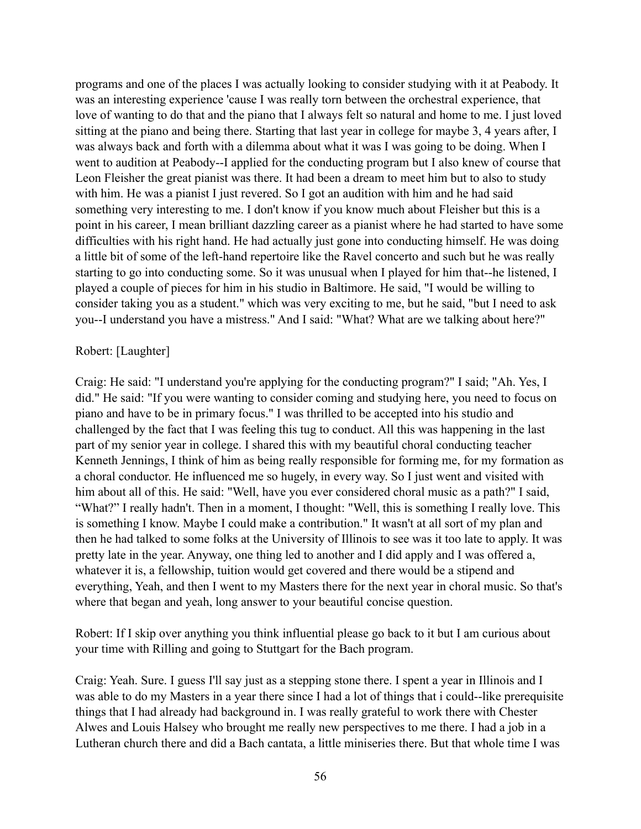programs and one of the places I was actually looking to consider studying with it at Peabody. It was an interesting experience 'cause I was really torn between the orchestral experience, that love of wanting to do that and the piano that I always felt so natural and home to me. I just loved sitting at the piano and being there. Starting that last year in college for maybe 3, 4 years after, I was always back and forth with a dilemma about what it was I was going to be doing. When I went to audition at Peabody--I applied for the conducting program but I also knew of course that Leon Fleisher the great pianist was there. It had been a dream to meet him but to also to study with him. He was a pianist I just revered. So I got an audition with him and he had said something very interesting to me. I don't know if you know much about Fleisher but this is a point in his career, I mean brilliant dazzling career as a pianist where he had started to have some difficulties with his right hand. He had actually just gone into conducting himself. He was doing a little bit of some of the left-hand repertoire like the Ravel concerto and such but he was really starting to go into conducting some. So it was unusual when I played for him that--he listened, I played a couple of pieces for him in his studio in Baltimore. He said, "I would be willing to consider taking you as a student." which was very exciting to me, but he said, "but I need to ask you--I understand you have a mistress." And I said: "What? What are we talking about here?"

## Robert: [Laughter]

Craig: He said: "I understand you're applying for the conducting program?" I said; "Ah. Yes, I did." He said: "If you were wanting to consider coming and studying here, you need to focus on piano and have to be in primary focus." I was thrilled to be accepted into his studio and challenged by the fact that I was feeling this tug to conduct. All this was happening in the last part of my senior year in college. I shared this with my beautiful choral conducting teacher Kenneth Jennings, I think of him as being really responsible for forming me, for my formation as a choral conductor. He influenced me so hugely, in every way. So I just went and visited with him about all of this. He said: "Well, have you ever considered choral music as a path?" I said, "What?" I really hadn't. Then in a moment, I thought: "Well, this is something I really love. This is something I know. Maybe I could make a contribution." It wasn't at all sort of my plan and then he had talked to some folks at the University of Illinois to see was it too late to apply. It was pretty late in the year. Anyway, one thing led to another and I did apply and I was offered a, whatever it is, a fellowship, tuition would get covered and there would be a stipend and everything, Yeah, and then I went to my Masters there for the next year in choral music. So that's where that began and yeah, long answer to your beautiful concise question.

Robert: If I skip over anything you think influential please go back to it but I am curious about your time with Rilling and going to Stuttgart for the Bach program.

Craig: Yeah. Sure. I guess I'll say just as a stepping stone there. I spent a year in Illinois and I was able to do my Masters in a year there since I had a lot of things that i could--like prerequisite things that I had already had background in. I was really grateful to work there with Chester Alwes and Louis Halsey who brought me really new perspectives to me there. I had a job in a Lutheran church there and did a Bach cantata, a little miniseries there. But that whole time I was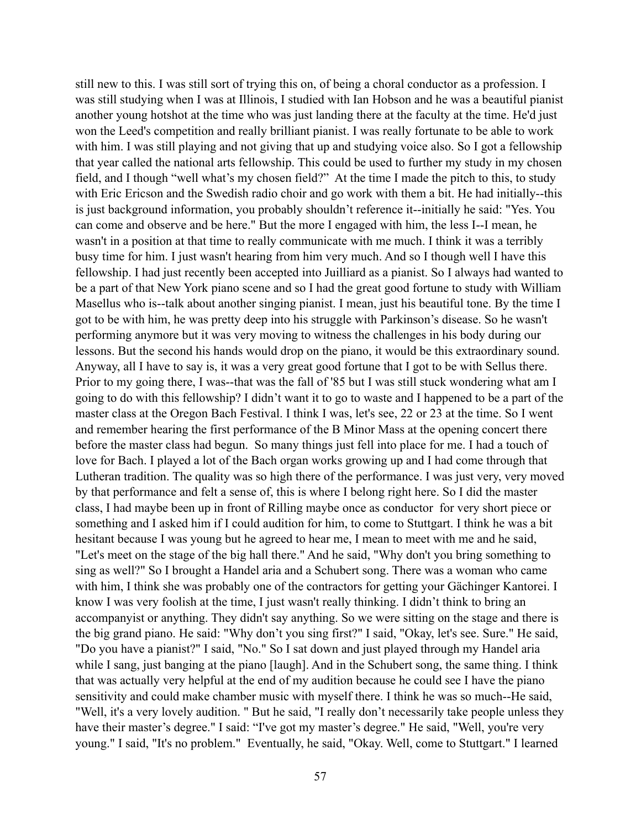still new to this. I was still sort of trying this on, of being a choral conductor as a profession. I was still studying when I was at Illinois, I studied with Ian Hobson and he was a beautiful pianist another young hotshot at the time who was just landing there at the faculty at the time. He'd just won the Leed's competition and really brilliant pianist. I was really fortunate to be able to work with him. I was still playing and not giving that up and studying voice also. So I got a fellowship that year called the national arts fellowship. This could be used to further my study in my chosen field, and I though "well what's my chosen field?" At the time I made the pitch to this, to study with Eric Ericson and the Swedish radio choir and go work with them a bit. He had initially--this is just background information, you probably shouldn't reference it--initially he said: "Yes. You can come and observe and be here." But the more I engaged with him, the less I--I mean, he wasn't in a position at that time to really communicate with me much. I think it was a terribly busy time for him. I just wasn't hearing from him very much. And so I though well I have this fellowship. I had just recently been accepted into Juilliard as a pianist. So I always had wanted to be a part of that New York piano scene and so I had the great good fortune to study with William Masellus who is--talk about another singing pianist. I mean, just his beautiful tone. By the time I got to be with him, he was pretty deep into his struggle with Parkinson's disease. So he wasn't performing anymore but it was very moving to witness the challenges in his body during our lessons. But the second his hands would drop on the piano, it would be this extraordinary sound. Anyway, all I have to say is, it was a very great good fortune that I got to be with Sellus there. Prior to my going there, I was--that was the fall of '85 but I was still stuck wondering what am I going to do with this fellowship? I didn't want it to go to waste and I happened to be a part of the master class at the Oregon Bach Festival. I think I was, let's see, 22 or 23 at the time. So I went and remember hearing the first performance of the B Minor Mass at the opening concert there before the master class had begun. So many things just fell into place for me. I had a touch of love for Bach. I played a lot of the Bach organ works growing up and I had come through that Lutheran tradition. The quality was so high there of the performance. I was just very, very moved by that performance and felt a sense of, this is where I belong right here. So I did the master class, I had maybe been up in front of Rilling maybe once as conductor for very short piece or something and I asked him if I could audition for him, to come to Stuttgart. I think he was a bit hesitant because I was young but he agreed to hear me, I mean to meet with me and he said, "Let's meet on the stage of the big hall there." And he said, "Why don't you bring something to sing as well?" So I brought a Handel aria and a Schubert song. There was a woman who came with him, I think she was probably one of the contractors for getting your Gächinger Kantorei. I know I was very foolish at the time, I just wasn't really thinking. I didn't think to bring an accompanyist or anything. They didn't say anything. So we were sitting on the stage and there is the big grand piano. He said: "Why don't you sing first?" I said, "Okay, let's see. Sure." He said, "Do you have a pianist?" I said, "No." So I sat down and just played through my Handel aria while I sang, just banging at the piano [laugh]. And in the Schubert song, the same thing. I think that was actually very helpful at the end of my audition because he could see I have the piano sensitivity and could make chamber music with myself there. I think he was so much--He said, "Well, it's a very lovely audition. " But he said, "I really don't necessarily take people unless they have their master's degree." I said: "I've got my master's degree." He said, "Well, you're very young." I said, "It's no problem." Eventually, he said, "Okay. Well, come to Stuttgart." I learned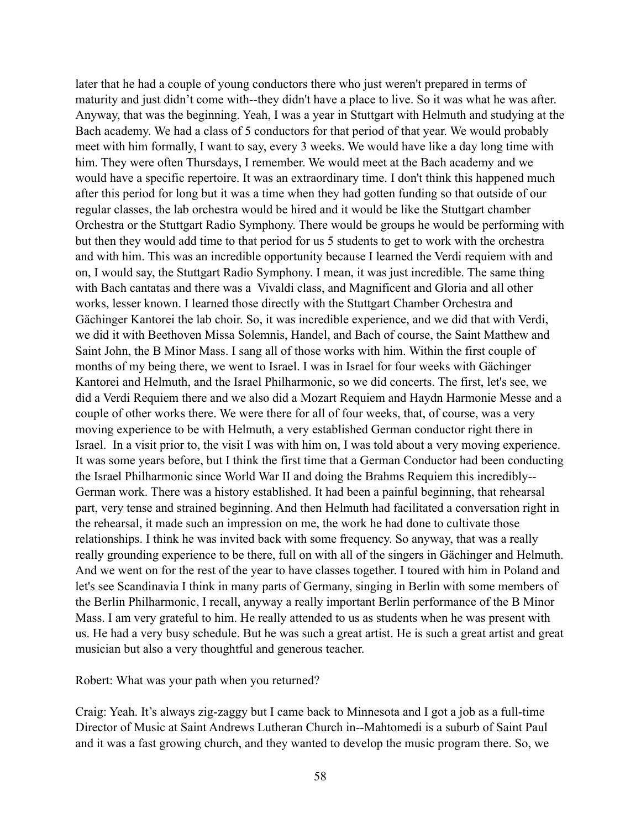later that he had a couple of young conductors there who just weren't prepared in terms of maturity and just didn't come with--they didn't have a place to live. So it was what he was after. Anyway, that was the beginning. Yeah, I was a year in Stuttgart with Helmuth and studying at the Bach academy. We had a class of 5 conductors for that period of that year. We would probably meet with him formally, I want to say, every 3 weeks. We would have like a day long time with him. They were often Thursdays, I remember. We would meet at the Bach academy and we would have a specific repertoire. It was an extraordinary time. I don't think this happened much after this period for long but it was a time when they had gotten funding so that outside of our regular classes, the lab orchestra would be hired and it would be like the Stuttgart chamber Orchestra or the Stuttgart Radio Symphony. There would be groups he would be performing with but then they would add time to that period for us 5 students to get to work with the orchestra and with him. This was an incredible opportunity because I learned the Verdi requiem with and on, I would say, the Stuttgart Radio Symphony. I mean, it was just incredible. The same thing with Bach cantatas and there was a Vivaldi class, and Magnificent and Gloria and all other works, lesser known. I learned those directly with the Stuttgart Chamber Orchestra and Gächinger Kantorei the lab choir. So, it was incredible experience, and we did that with Verdi, we did it with Beethoven Missa Solemnis, Handel, and Bach of course, the Saint Matthew and Saint John, the B Minor Mass. I sang all of those works with him. Within the first couple of months of my being there, we went to Israel. I was in Israel for four weeks with Gächinger Kantorei and Helmuth, and the Israel Philharmonic, so we did concerts. The first, let's see, we did a Verdi Requiem there and we also did a Mozart Requiem and Haydn Harmonie Messe and a couple of other works there. We were there for all of four weeks, that, of course, was a very moving experience to be with Helmuth, a very established German conductor right there in Israel. In a visit prior to, the visit I was with him on, I was told about a very moving experience. It was some years before, but I think the first time that a German Conductor had been conducting the Israel Philharmonic since World War II and doing the Brahms Requiem this incredibly-- German work. There was a history established. It had been a painful beginning, that rehearsal part, very tense and strained beginning. And then Helmuth had facilitated a conversation right in the rehearsal, it made such an impression on me, the work he had done to cultivate those relationships. I think he was invited back with some frequency. So anyway, that was a really really grounding experience to be there, full on with all of the singers in Gächinger and Helmuth. And we went on for the rest of the year to have classes together. I toured with him in Poland and let's see Scandinavia I think in many parts of Germany, singing in Berlin with some members of the Berlin Philharmonic, I recall, anyway a really important Berlin performance of the B Minor Mass. I am very grateful to him. He really attended to us as students when he was present with us. He had a very busy schedule. But he was such a great artist. He is such a great artist and great musician but also a very thoughtful and generous teacher.

Robert: What was your path when you returned?

Craig: Yeah. It's always zig-zaggy but I came back to Minnesota and I got a job as a full-time Director of Music at Saint Andrews Lutheran Church in--Mahtomedi is a suburb of Saint Paul and it was a fast growing church, and they wanted to develop the music program there. So, we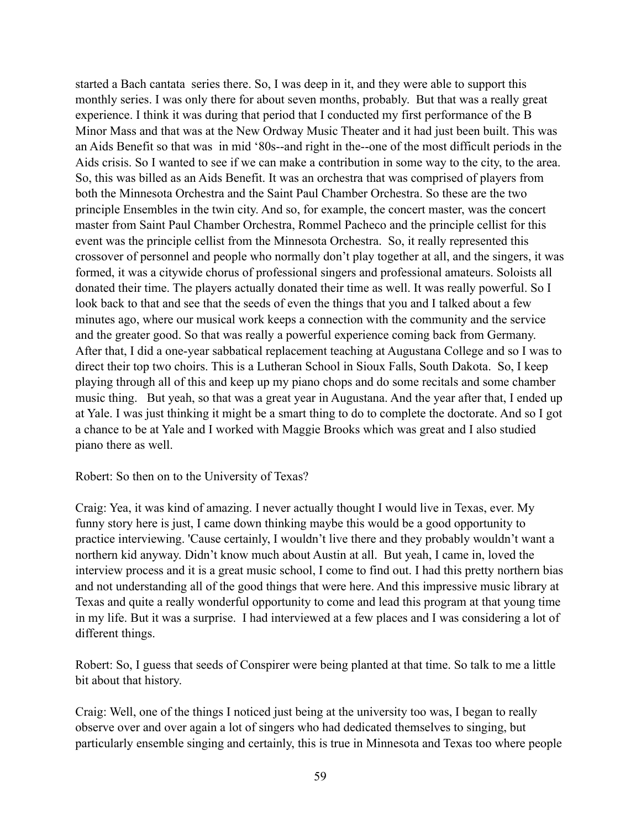started a Bach cantata series there. So, I was deep in it, and they were able to support this monthly series. I was only there for about seven months, probably. But that was a really great experience. I think it was during that period that I conducted my first performance of the B Minor Mass and that was at the New Ordway Music Theater and it had just been built. This was an Aids Benefit so that was in mid '80s--and right in the--one of the most difficult periods in the Aids crisis. So I wanted to see if we can make a contribution in some way to the city, to the area. So, this was billed as an Aids Benefit. It was an orchestra that was comprised of players from both the Minnesota Orchestra and the Saint Paul Chamber Orchestra. So these are the two principle Ensembles in the twin city. And so, for example, the concert master, was the concert master from Saint Paul Chamber Orchestra, Rommel Pacheco and the principle cellist for this event was the principle cellist from the Minnesota Orchestra. So, it really represented this crossover of personnel and people who normally don't play together at all, and the singers, it was formed, it was a citywide chorus of professional singers and professional amateurs. Soloists all donated their time. The players actually donated their time as well. It was really powerful. So I look back to that and see that the seeds of even the things that you and I talked about a few minutes ago, where our musical work keeps a connection with the community and the service and the greater good. So that was really a powerful experience coming back from Germany. After that, I did a one-year sabbatical replacement teaching at Augustana College and so I was to direct their top two choirs. This is a Lutheran School in Sioux Falls, South Dakota. So, I keep playing through all of this and keep up my piano chops and do some recitals and some chamber music thing. But yeah, so that was a great year in Augustana. And the year after that, I ended up at Yale. I was just thinking it might be a smart thing to do to complete the doctorate. And so I got a chance to be at Yale and I worked with Maggie Brooks which was great and I also studied piano there as well.

## Robert: So then on to the University of Texas?

Craig: Yea, it was kind of amazing. I never actually thought I would live in Texas, ever. My funny story here is just, I came down thinking maybe this would be a good opportunity to practice interviewing. 'Cause certainly, I wouldn't live there and they probably wouldn't want a northern kid anyway. Didn't know much about Austin at all. But yeah, I came in, loved the interview process and it is a great music school, I come to find out. I had this pretty northern bias and not understanding all of the good things that were here. And this impressive music library at Texas and quite a really wonderful opportunity to come and lead this program at that young time in my life. But it was a surprise. I had interviewed at a few places and I was considering a lot of different things.

Robert: So, I guess that seeds of Conspirer were being planted at that time. So talk to me a little bit about that history.

Craig: Well, one of the things I noticed just being at the university too was, I began to really observe over and over again a lot of singers who had dedicated themselves to singing, but particularly ensemble singing and certainly, this is true in Minnesota and Texas too where people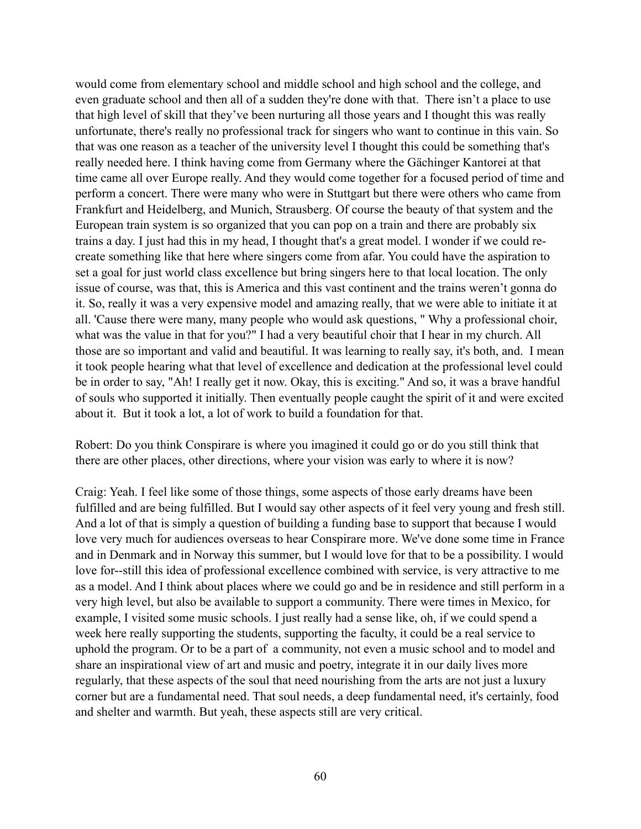would come from elementary school and middle school and high school and the college, and even graduate school and then all of a sudden they're done with that. There isn't a place to use that high level of skill that they've been nurturing all those years and I thought this was really unfortunate, there's really no professional track for singers who want to continue in this vain. So that was one reason as a teacher of the university level I thought this could be something that's really needed here. I think having come from Germany where the Gächinger Kantorei at that time came all over Europe really. And they would come together for a focused period of time and perform a concert. There were many who were in Stuttgart but there were others who came from Frankfurt and Heidelberg, and Munich, Strausberg. Of course the beauty of that system and the European train system is so organized that you can pop on a train and there are probably six trains a day. I just had this in my head, I thought that's a great model. I wonder if we could recreate something like that here where singers come from afar. You could have the aspiration to set a goal for just world class excellence but bring singers here to that local location. The only issue of course, was that, this is America and this vast continent and the trains weren't gonna do it. So, really it was a very expensive model and amazing really, that we were able to initiate it at all. 'Cause there were many, many people who would ask questions, " Why a professional choir, what was the value in that for you?" I had a very beautiful choir that I hear in my church. All those are so important and valid and beautiful. It was learning to really say, it's both, and. I mean it took people hearing what that level of excellence and dedication at the professional level could be in order to say, "Ah! I really get it now. Okay, this is exciting." And so, it was a brave handful of souls who supported it initially. Then eventually people caught the spirit of it and were excited about it. But it took a lot, a lot of work to build a foundation for that.

Robert: Do you think Conspirare is where you imagined it could go or do you still think that there are other places, other directions, where your vision was early to where it is now?

Craig: Yeah. I feel like some of those things, some aspects of those early dreams have been fulfilled and are being fulfilled. But I would say other aspects of it feel very young and fresh still. And a lot of that is simply a question of building a funding base to support that because I would love very much for audiences overseas to hear Conspirare more. We've done some time in France and in Denmark and in Norway this summer, but I would love for that to be a possibility. I would love for--still this idea of professional excellence combined with service, is very attractive to me as a model. And I think about places where we could go and be in residence and still perform in a very high level, but also be available to support a community. There were times in Mexico, for example, I visited some music schools. I just really had a sense like, oh, if we could spend a week here really supporting the students, supporting the faculty, it could be a real service to uphold the program. Or to be a part of a community, not even a music school and to model and share an inspirational view of art and music and poetry, integrate it in our daily lives more regularly, that these aspects of the soul that need nourishing from the arts are not just a luxury corner but are a fundamental need. That soul needs, a deep fundamental need, it's certainly, food and shelter and warmth. But yeah, these aspects still are very critical.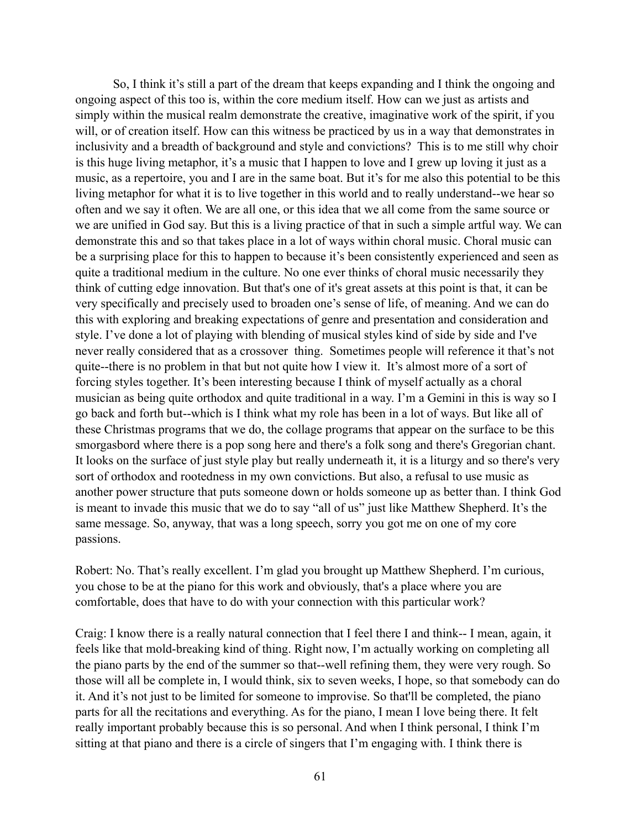So, I think it's still a part of the dream that keeps expanding and I think the ongoing and ongoing aspect of this too is, within the core medium itself. How can we just as artists and simply within the musical realm demonstrate the creative, imaginative work of the spirit, if you will, or of creation itself. How can this witness be practiced by us in a way that demonstrates in inclusivity and a breadth of background and style and convictions? This is to me still why choir is this huge living metaphor, it's a music that I happen to love and I grew up loving it just as a music, as a repertoire, you and I are in the same boat. But it's for me also this potential to be this living metaphor for what it is to live together in this world and to really understand--we hear so often and we say it often. We are all one, or this idea that we all come from the same source or we are unified in God say. But this is a living practice of that in such a simple artful way. We can demonstrate this and so that takes place in a lot of ways within choral music. Choral music can be a surprising place for this to happen to because it's been consistently experienced and seen as quite a traditional medium in the culture. No one ever thinks of choral music necessarily they think of cutting edge innovation. But that's one of it's great assets at this point is that, it can be very specifically and precisely used to broaden one's sense of life, of meaning. And we can do this with exploring and breaking expectations of genre and presentation and consideration and style. I've done a lot of playing with blending of musical styles kind of side by side and I've never really considered that as a crossover thing. Sometimes people will reference it that's not quite--there is no problem in that but not quite how I view it. It's almost more of a sort of forcing styles together. It's been interesting because I think of myself actually as a choral musician as being quite orthodox and quite traditional in a way. I'm a Gemini in this is way so I go back and forth but--which is I think what my role has been in a lot of ways. But like all of these Christmas programs that we do, the collage programs that appear on the surface to be this smorgasbord where there is a pop song here and there's a folk song and there's Gregorian chant. It looks on the surface of just style play but really underneath it, it is a liturgy and so there's very sort of orthodox and rootedness in my own convictions. But also, a refusal to use music as another power structure that puts someone down or holds someone up as better than. I think God is meant to invade this music that we do to say "all of us" just like Matthew Shepherd. It's the same message. So, anyway, that was a long speech, sorry you got me on one of my core passions.

Robert: No. That's really excellent. I'm glad you brought up Matthew Shepherd. I'm curious, you chose to be at the piano for this work and obviously, that's a place where you are comfortable, does that have to do with your connection with this particular work?

Craig: I know there is a really natural connection that I feel there I and think-- I mean, again, it feels like that mold-breaking kind of thing. Right now, I'm actually working on completing all the piano parts by the end of the summer so that--well refining them, they were very rough. So those will all be complete in, I would think, six to seven weeks, I hope, so that somebody can do it. And it's not just to be limited for someone to improvise. So that'll be completed, the piano parts for all the recitations and everything. As for the piano, I mean I love being there. It felt really important probably because this is so personal. And when I think personal, I think I'm sitting at that piano and there is a circle of singers that I'm engaging with. I think there is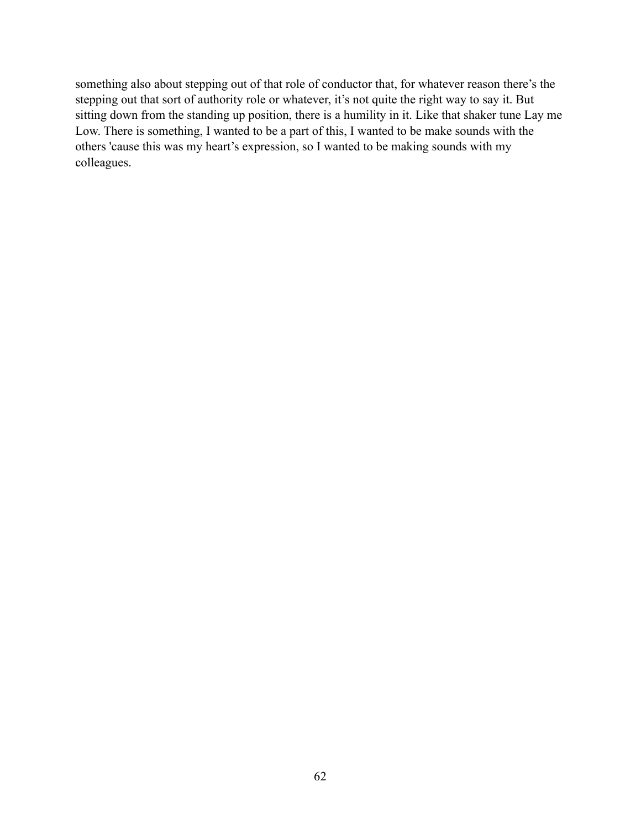something also about stepping out of that role of conductor that, for whatever reason there's the stepping out that sort of authority role or whatever, it's not quite the right way to say it. But sitting down from the standing up position, there is a humility in it. Like that shaker tune Lay me Low. There is something, I wanted to be a part of this, I wanted to be make sounds with the others 'cause this was my heart's expression, so I wanted to be making sounds with my colleagues.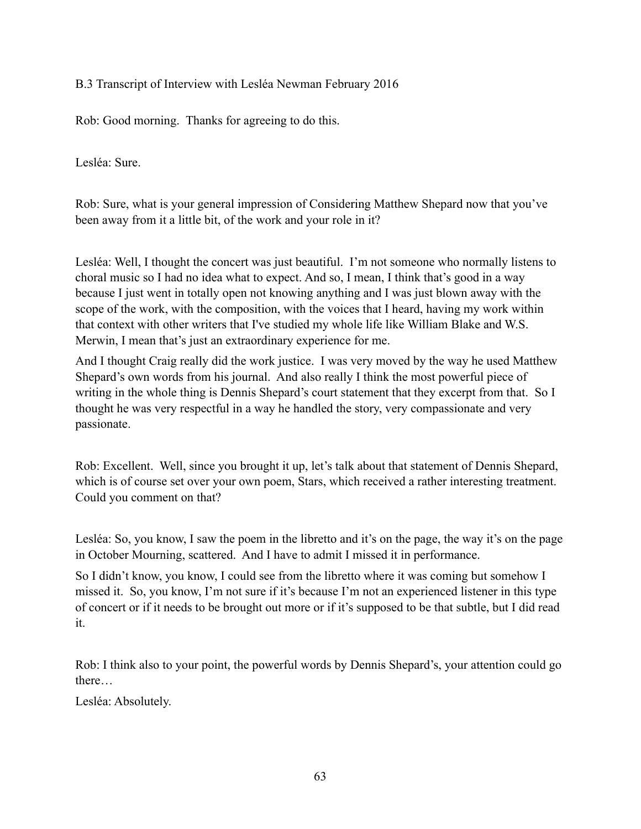B.3 Transcript of Interview with Lesléa Newman February 2016

Rob: Good morning. Thanks for agreeing to do this.

Lesléa: Sure.

Rob: Sure, what is your general impression of Considering Matthew Shepard now that you've been away from it a little bit, of the work and your role in it?

Lesléa: Well, I thought the concert was just beautiful. I'm not someone who normally listens to choral music so I had no idea what to expect. And so, I mean, I think that's good in a way because I just went in totally open not knowing anything and I was just blown away with the scope of the work, with the composition, with the voices that I heard, having my work within that context with other writers that I've studied my whole life like William Blake and W.S. Merwin, I mean that's just an extraordinary experience for me.

And I thought Craig really did the work justice. I was very moved by the way he used Matthew Shepard's own words from his journal. And also really I think the most powerful piece of writing in the whole thing is Dennis Shepard's court statement that they excerpt from that. So I thought he was very respectful in a way he handled the story, very compassionate and very passionate.

Rob: Excellent. Well, since you brought it up, let's talk about that statement of Dennis Shepard, which is of course set over your own poem, Stars, which received a rather interesting treatment. Could you comment on that?

Lesléa: So, you know, I saw the poem in the libretto and it's on the page, the way it's on the page in October Mourning, scattered. And I have to admit I missed it in performance.

So I didn't know, you know, I could see from the libretto where it was coming but somehow I missed it. So, you know, I'm not sure if it's because I'm not an experienced listener in this type of concert or if it needs to be brought out more or if it's supposed to be that subtle, but I did read it.

Rob: I think also to your point, the powerful words by Dennis Shepard's, your attention could go there…

Lesléa: Absolutely.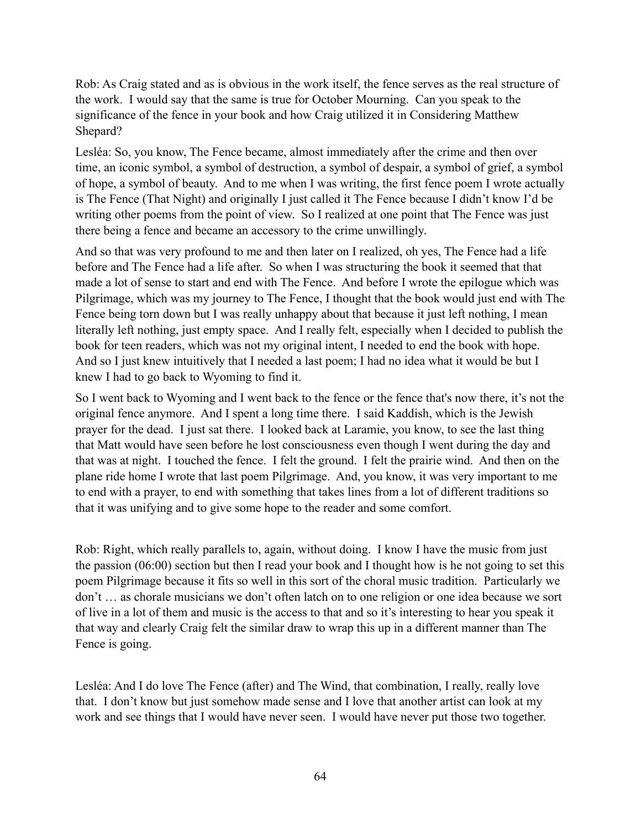Rob: As Craig stated and as is obvious in the work itself, the fence serves as the real structure of the work. I would say that the same is true for October Mourning. Can you speak to the significance of the fence in your book and how Craig utilized it in Considering Matthew Shepard?

Lesléa: So, you know, The Fence became, almost immediately after the crime and then over time, an iconic symbol, a symbol of destruction, a symbol of despair, a symbol of grief, a symbol of hope, a symbol of beauty. And to me when I was writing, the first fence poem I wrote actually is The Fence (That Night) and originally I just called it The Fence because I didn't know I'd be writing other poems from the point of view. So I realized at one point that The Fence was just there being a fence and became an accessory to the crime unwillingly.

And so that was very profound to me and then later on I realized, oh yes, The Fence had a life before and The Fence had a life after. So when I was structuring the book it seemed that that made a lot of sense to start and end with The Fence. And before I wrote the epilogue which was Pilgrimage, which was my journey to The Fence, I thought that the book would just end with The Fence being torn down but I was really unhappy about that because it just left nothing, I mean literally left nothing, just empty space. And I really felt, especially when I decided to publish the book for teen readers, which was not my original intent, I needed to end the book with hope. And so I just knew intuitively that I needed a last poem; I had no idea what it would be but I knew I had to go back to Wyoming to find it.

So I went back to Wyoming and I went back to the fence or the fence that's now there, it's not the original fence anymore. And I spent a long time there. I said Kaddish, which is the Jewish prayer for the dead. I just sat there. I looked back at Laramie, you know, to see the last thing that Matt would have seen before he lost consciousness even though I went during the day and that was at night. I touched the fence. I felt the ground. I felt the prairie wind. And then on the plane ride home I wrote that last poem Pilgrimage. And, you know, it was very important to me to end with a prayer, to end with something that takes lines from a lot of different traditions so that it was unifying and to give some hope to the reader and some comfort.

Rob: Right, which really parallels to, again, without doing. I know I have the music from just the passion (06:00) section but then I read your book and I thought how is he not going to set this poem Pilgrimage because it fits so well in this sort of the choral music tradition. Particularly we don't … as chorale musicians we don't often latch on to one religion or one idea because we sort of live in a lot of them and music is the access to that and so it's interesting to hear you speak it that way and clearly Craig felt the similar draw to wrap this up in a different manner than The Fence is going.

Lesléa: And I do love The Fence (after) and The Wind, that combination, I really, really love that. I don't know but just somehow made sense and I love that another artist can look at my work and see things that I would have never seen. I would have never put those two together.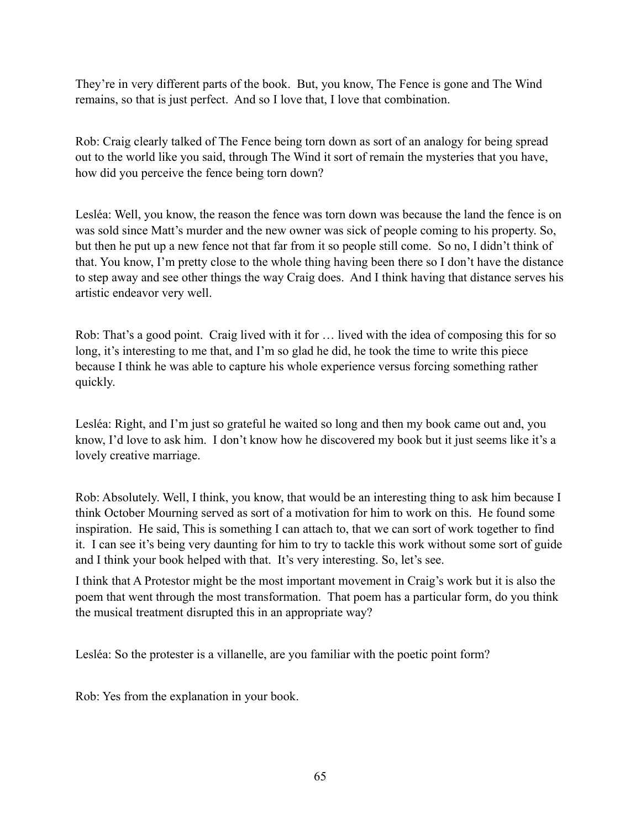They're in very different parts of the book. But, you know, The Fence is gone and The Wind remains, so that is just perfect. And so I love that, I love that combination.

Rob: Craig clearly talked of The Fence being torn down as sort of an analogy for being spread out to the world like you said, through The Wind it sort of remain the mysteries that you have, how did you perceive the fence being torn down?

Lesléa: Well, you know, the reason the fence was torn down was because the land the fence is on was sold since Matt's murder and the new owner was sick of people coming to his property. So, but then he put up a new fence not that far from it so people still come. So no, I didn't think of that. You know, I'm pretty close to the whole thing having been there so I don't have the distance to step away and see other things the way Craig does. And I think having that distance serves his artistic endeavor very well.

Rob: That's a good point. Craig lived with it for … lived with the idea of composing this for so long, it's interesting to me that, and I'm so glad he did, he took the time to write this piece because I think he was able to capture his whole experience versus forcing something rather quickly.

Lesléa: Right, and I'm just so grateful he waited so long and then my book came out and, you know, I'd love to ask him. I don't know how he discovered my book but it just seems like it's a lovely creative marriage.

Rob: Absolutely. Well, I think, you know, that would be an interesting thing to ask him because I think October Mourning served as sort of a motivation for him to work on this. He found some inspiration. He said, This is something I can attach to, that we can sort of work together to find it. I can see it's being very daunting for him to try to tackle this work without some sort of guide and I think your book helped with that. It's very interesting. So, let's see.

I think that A Protestor might be the most important movement in Craig's work but it is also the poem that went through the most transformation. That poem has a particular form, do you think the musical treatment disrupted this in an appropriate way?

Lesléa: So the protester is a villanelle, are you familiar with the poetic point form?

Rob: Yes from the explanation in your book.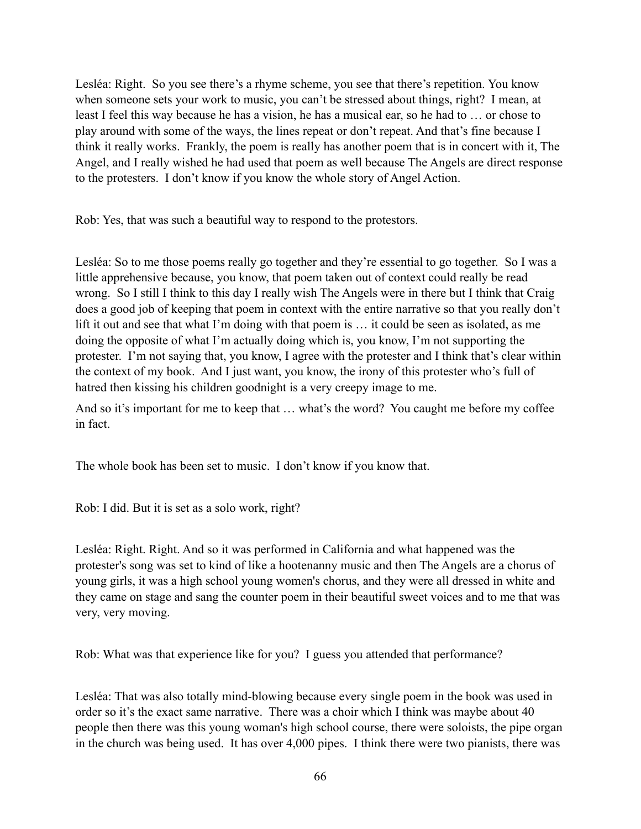Lesléa: Right. So you see there's a rhyme scheme, you see that there's repetition. You know when someone sets your work to music, you can't be stressed about things, right? I mean, at least I feel this way because he has a vision, he has a musical ear, so he had to … or chose to play around with some of the ways, the lines repeat or don't repeat. And that's fine because I think it really works. Frankly, the poem is really has another poem that is in concert with it, The Angel, and I really wished he had used that poem as well because The Angels are direct response to the protesters. I don't know if you know the whole story of Angel Action.

Rob: Yes, that was such a beautiful way to respond to the protestors.

Lesléa: So to me those poems really go together and they're essential to go together. So I was a little apprehensive because, you know, that poem taken out of context could really be read wrong. So I still I think to this day I really wish The Angels were in there but I think that Craig does a good job of keeping that poem in context with the entire narrative so that you really don't lift it out and see that what I'm doing with that poem is … it could be seen as isolated, as me doing the opposite of what I'm actually doing which is, you know, I'm not supporting the protester. I'm not saying that, you know, I agree with the protester and I think that's clear within the context of my book. And I just want, you know, the irony of this protester who's full of hatred then kissing his children goodnight is a very creepy image to me.

And so it's important for me to keep that … what's the word? You caught me before my coffee in fact.

The whole book has been set to music. I don't know if you know that.

Rob: I did. But it is set as a solo work, right?

Lesléa: Right. Right. And so it was performed in California and what happened was the protester's song was set to kind of like a hootenanny music and then The Angels are a chorus of young girls, it was a high school young women's chorus, and they were all dressed in white and they came on stage and sang the counter poem in their beautiful sweet voices and to me that was very, very moving.

Rob: What was that experience like for you? I guess you attended that performance?

Lesléa: That was also totally mind-blowing because every single poem in the book was used in order so it's the exact same narrative. There was a choir which I think was maybe about 40 people then there was this young woman's high school course, there were soloists, the pipe organ in the church was being used. It has over 4,000 pipes. I think there were two pianists, there was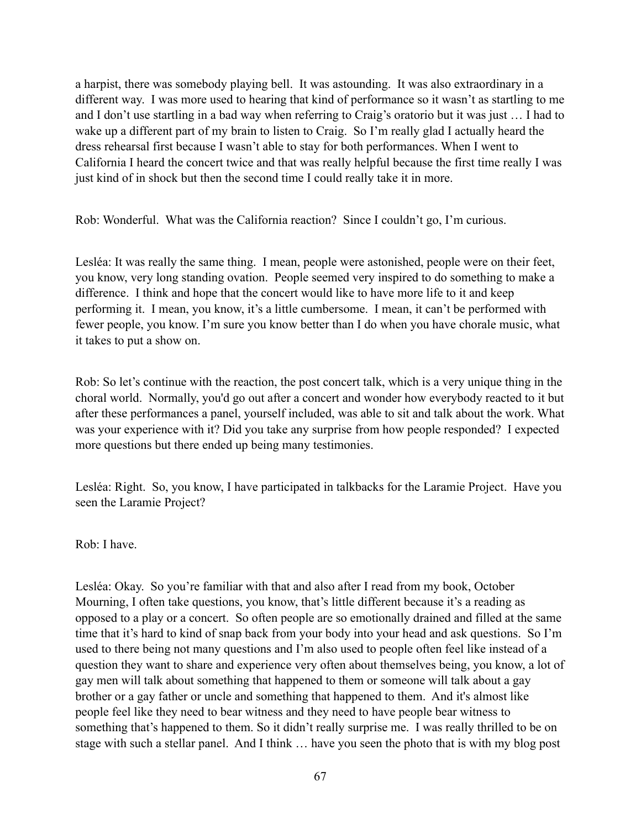a harpist, there was somebody playing bell. It was astounding. It was also extraordinary in a different way. I was more used to hearing that kind of performance so it wasn't as startling to me and I don't use startling in a bad way when referring to Craig's oratorio but it was just … I had to wake up a different part of my brain to listen to Craig. So I'm really glad I actually heard the dress rehearsal first because I wasn't able to stay for both performances. When I went to California I heard the concert twice and that was really helpful because the first time really I was just kind of in shock but then the second time I could really take it in more.

Rob: Wonderful. What was the California reaction? Since I couldn't go, I'm curious.

Lesléa: It was really the same thing. I mean, people were astonished, people were on their feet, you know, very long standing ovation. People seemed very inspired to do something to make a difference. I think and hope that the concert would like to have more life to it and keep performing it. I mean, you know, it's a little cumbersome. I mean, it can't be performed with fewer people, you know. I'm sure you know better than I do when you have chorale music, what it takes to put a show on.

Rob: So let's continue with the reaction, the post concert talk, which is a very unique thing in the choral world. Normally, you'd go out after a concert and wonder how everybody reacted to it but after these performances a panel, yourself included, was able to sit and talk about the work. What was your experience with it? Did you take any surprise from how people responded? I expected more questions but there ended up being many testimonies.

Lesléa: Right. So, you know, I have participated in talkbacks for the Laramie Project. Have you seen the Laramie Project?

Rob: I have.

Lesléa: Okay. So you're familiar with that and also after I read from my book, October Mourning, I often take questions, you know, that's little different because it's a reading as opposed to a play or a concert. So often people are so emotionally drained and filled at the same time that it's hard to kind of snap back from your body into your head and ask questions. So I'm used to there being not many questions and I'm also used to people often feel like instead of a question they want to share and experience very often about themselves being, you know, a lot of gay men will talk about something that happened to them or someone will talk about a gay brother or a gay father or uncle and something that happened to them. And it's almost like people feel like they need to bear witness and they need to have people bear witness to something that's happened to them. So it didn't really surprise me. I was really thrilled to be on stage with such a stellar panel. And I think … have you seen the photo that is with my blog post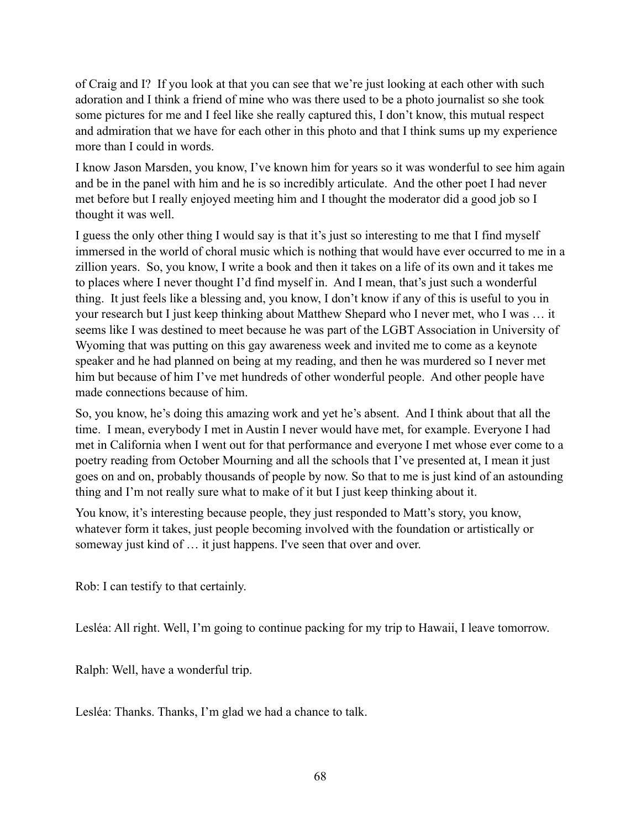of Craig and I? If you look at that you can see that we're just looking at each other with such adoration and I think a friend of mine who was there used to be a photo journalist so she took some pictures for me and I feel like she really captured this, I don't know, this mutual respect and admiration that we have for each other in this photo and that I think sums up my experience more than I could in words.

I know Jason Marsden, you know, I've known him for years so it was wonderful to see him again and be in the panel with him and he is so incredibly articulate. And the other poet I had never met before but I really enjoyed meeting him and I thought the moderator did a good job so I thought it was well.

I guess the only other thing I would say is that it's just so interesting to me that I find myself immersed in the world of choral music which is nothing that would have ever occurred to me in a zillion years. So, you know, I write a book and then it takes on a life of its own and it takes me to places where I never thought I'd find myself in. And I mean, that's just such a wonderful thing. It just feels like a blessing and, you know, I don't know if any of this is useful to you in your research but I just keep thinking about Matthew Shepard who I never met, who I was … it seems like I was destined to meet because he was part of the LGBT Association in University of Wyoming that was putting on this gay awareness week and invited me to come as a keynote speaker and he had planned on being at my reading, and then he was murdered so I never met him but because of him I've met hundreds of other wonderful people. And other people have made connections because of him.

So, you know, he's doing this amazing work and yet he's absent. And I think about that all the time. I mean, everybody I met in Austin I never would have met, for example. Everyone I had met in California when I went out for that performance and everyone I met whose ever come to a poetry reading from October Mourning and all the schools that I've presented at, I mean it just goes on and on, probably thousands of people by now. So that to me is just kind of an astounding thing and I'm not really sure what to make of it but I just keep thinking about it.

You know, it's interesting because people, they just responded to Matt's story, you know, whatever form it takes, just people becoming involved with the foundation or artistically or someway just kind of ... it just happens. I've seen that over and over.

Rob: I can testify to that certainly.

Lesléa: All right. Well, I'm going to continue packing for my trip to Hawaii, I leave tomorrow.

Ralph: Well, have a wonderful trip.

Lesléa: Thanks. Thanks, I'm glad we had a chance to talk.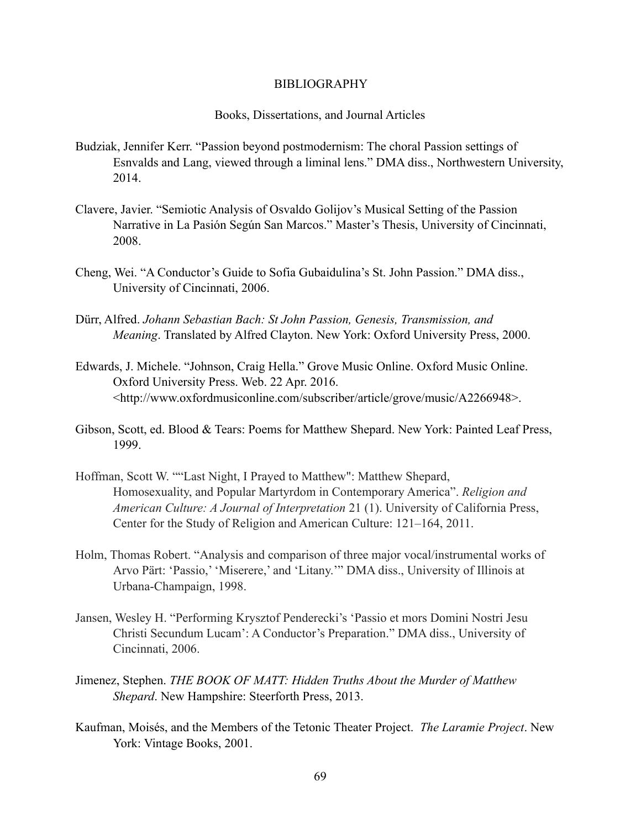## BIBLIOGRAPHY

## Books, Dissertations, and Journal Articles

- Budziak, Jennifer Kerr. "Passion beyond postmodernism: The choral Passion settings of Esnvalds and Lang, viewed through a liminal lens." DMA diss., Northwestern University, 2014.
- Clavere, Javier. "Semiotic Analysis of Osvaldo Golijov's Musical Setting of the Passion Narrative in La Pasión Según San Marcos." Master's Thesis, University of Cincinnati, 2008.
- Cheng, Wei. "A Conductor's Guide to Sofia Gubaidulina's St. John Passion." DMA diss., University of Cincinnati, 2006.
- Dürr, Alfred. *Johann Sebastian Bach: St John Passion, Genesis, Transmission, and Meaning*. Translated by Alfred Clayton. New York: Oxford University Press, 2000.
- Edwards, J. Michele. "Johnson, Craig Hella." Grove Music Online. Oxford Music Online. Oxford University Press. Web. 22 Apr. 2016. <http://www.oxfordmusiconline.com/subscriber/article/grove/music/A2266948>.
- Gibson, Scott, ed. Blood & Tears: Poems for Matthew Shepard. New York: Painted Leaf Press, 1999.
- Hoffman, Scott W. ""Last Night, I Prayed to Matthew": Matthew Shepard, Homosexuality, and Popular Martyrdom in Contemporary America". *Religion and American Culture: A Journal of Interpretation* 21 (1). University of California Press, Center for the Study of Religion and American Culture: 121–164, 2011.
- Holm, Thomas Robert. "Analysis and comparison of three major vocal/instrumental works of Arvo Pärt: 'Passio,' 'Miserere,' and 'Litany.'" DMA diss., University of Illinois at Urbana-Champaign, 1998.
- Jansen, Wesley H. "Performing Krysztof Penderecki's 'Passio et mors Domini Nostri Jesu Christi Secundum Lucam': A Conductor's Preparation." DMA diss., University of Cincinnati, 2006.
- Jimenez, Stephen. *THE BOOK OF MATT: Hidden Truths About the Murder of Matthew Shepard*. New Hampshire: Steerforth Press, 2013.
- Kaufman, Moisés, and the Members of the Tetonic Theater Project. *The Laramie Project*. New York: Vintage Books, 2001.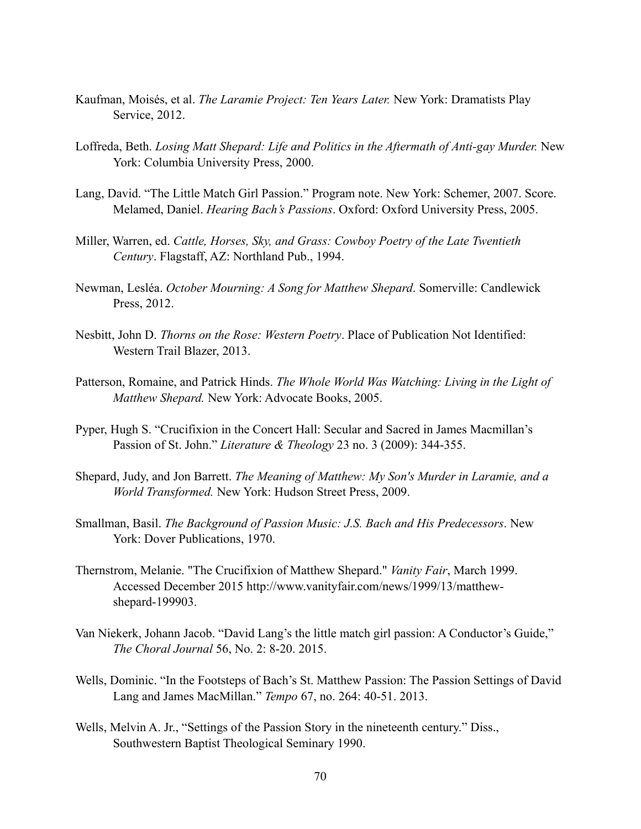- Kaufman, Moisés, et al. *The Laramie Project: Ten Years Later.* New York: Dramatists Play Service, 2012.
- Loffreda, Beth. *Losing Matt Shepard: Life and Politics in the Aftermath of Anti-gay Murder.* New York: Columbia University Press, 2000.
- Lang, David. "The Little Match Girl Passion." Program note. New York: Schemer, 2007. Score. Melamed, Daniel. *Hearing Bach's Passions*. Oxford: Oxford University Press, 2005.
- Miller, Warren, ed. *Cattle, Horses, Sky, and Grass: Cowboy Poetry of the Late Twentieth Century*. Flagstaff, AZ: Northland Pub., 1994.
- Newman, Lesléa. *October Mourning: A Song for Matthew Shepard*. Somerville: Candlewick Press, 2012.
- Nesbitt, John D. *Thorns on the Rose: Western Poetry*. Place of Publication Not Identified: Western Trail Blazer, 2013.
- Patterson, Romaine, and Patrick Hinds. *The Whole World Was Watching: Living in the Light of Matthew Shepard.* New York: Advocate Books, 2005.
- Pyper, Hugh S. "Crucifixion in the Concert Hall: Secular and Sacred in James Macmillan's Passion of St. John." *Literature & Theology* 23 no. 3 (2009): 344-355.
- Shepard, Judy, and Jon Barrett. *The Meaning of Matthew: My Son's Murder in Laramie, and a World Transformed.* New York: Hudson Street Press, 2009.
- Smallman, Basil. *The Background of Passion Music: J.S. Bach and His Predecessors*. New York: Dover Publications, 1970.
- Thernstrom, Melanie. "The Crucifixion of Matthew Shepard." *Vanity Fair*, March 1999. Accessed December 2015 http://www.vanityfair.com/news/1999/13/matthew shepard-199903.
- Van Niekerk, Johann Jacob. "David Lang's the little match girl passion: A Conductor's Guide," *The Choral Journal* 56, No. 2: 8-20. 2015.
- Wells, Dominic. "In the Footsteps of Bach's St. Matthew Passion: The Passion Settings of David Lang and James MacMillan." *Tempo* 67, no. 264: 40-51. 2013.
- Wells, Melvin A. Jr., "Settings of the Passion Story in the nineteenth century." Diss., Southwestern Baptist Theological Seminary 1990.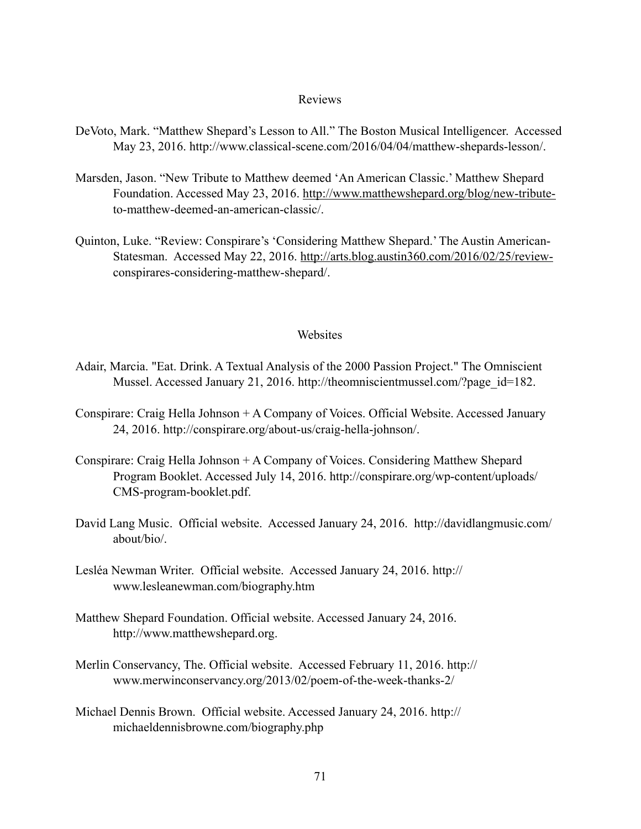## Reviews

- DeVoto, Mark. "Matthew Shepard's Lesson to All." The Boston Musical Intelligencer. Accessed May 23, 2016. http://www.classical-scene.com/2016/04/04/matthew-shepards-lesson/.
- Marsden, Jason. "New Tribute to Matthew deemed 'An American Classic.' Matthew Shepard Foundation. Accessed May 23, 2016. [http://www.matthewshepard.org/blog/new-tribute](http://www.matthewshepard.org/blog/new-tribute-) to-matthew-deemed-an-american-classic/.
- Quinton, Luke. "Review: Conspirare's 'Considering Matthew Shepard.' The Austin American- Statesman. Accessed May 22, 2016. [http://arts.blog.austin360.com/2016/02/25/review](http://arts.blog.austin360.com/2016/02/25/review-) conspirares-considering-matthew-shepard/.

## Websites

- Adair, Marcia. "Eat. Drink. A Textual Analysis of the 2000 Passion Project." The Omniscient Mussel. Accessed January 21, 2016. http://theomniscientmussel.com/?page\_id=182.
- Conspirare: Craig Hella Johnson + A Company of Voices. Official Website. Accessed January 24, 2016. http://conspirare.org/about-us/craig-hella-johnson/.
- Conspirare: Craig Hella Johnson + A Company of Voices. Considering Matthew Shepard Program Booklet. Accessed July 14, 2016. http://conspirare.org/wp-content/uploads/ CMS-program-booklet.pdf.
- David Lang Music. Official website. Accessed January 24, 2016. http://davidlangmusic.com/ about/bio/.
- Lesléa Newman Writer. Official website. Accessed January 24, 2016. http:// www.lesleanewman.com/biography.htm
- Matthew Shepard Foundation. Official website. Accessed January 24, 2016. http://www.matthewshepard.org.
- Merlin Conservancy, The. Official website. Accessed February 11, 2016. http:// www.merwinconservancy.org/2013/02/poem-of-the-week-thanks-2/
- Michael Dennis Brown. Official website. Accessed January 24, 2016. http:// michaeldennisbrowne.com/biography.php